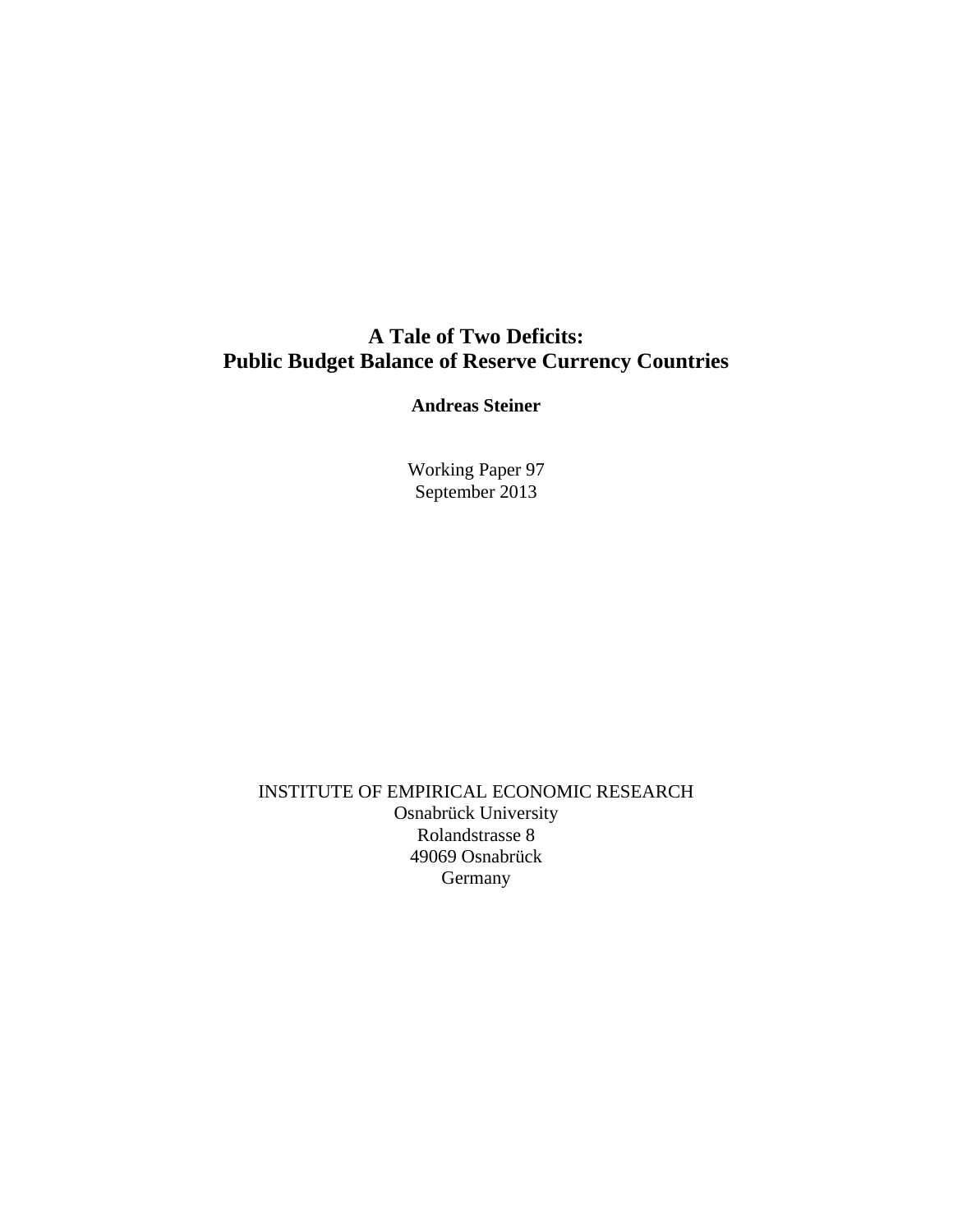### **A Tale of Two Deficits: Public Budget Balance of Reserve Currency Countries**

**Andreas Steiner** 

Working Paper 97 September 2013

INSTITUTE OF EMPIRICAL ECONOMIC RESEARCH Osnabrück University Rolandstrasse 8 49069 Osnabrück Germany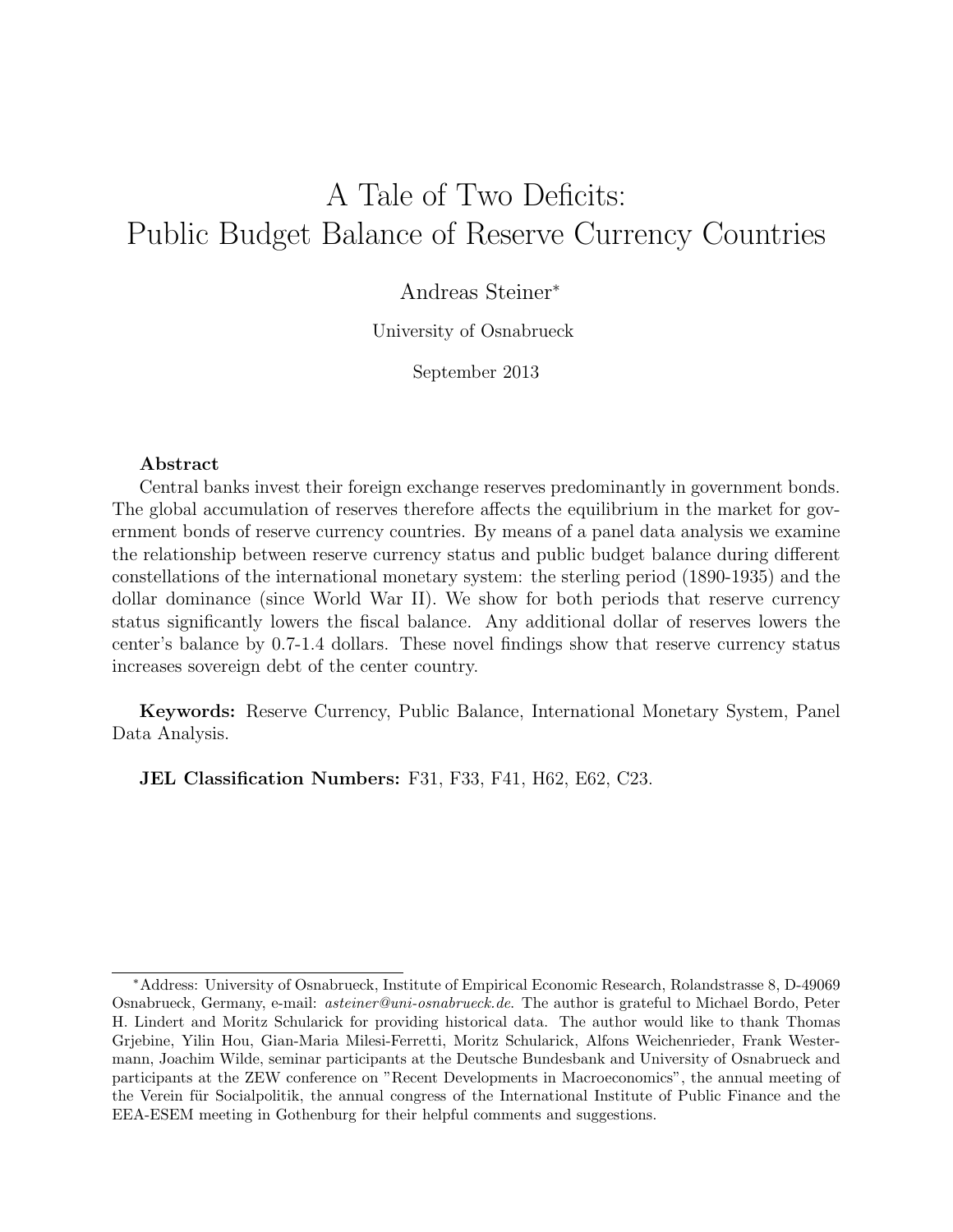# A Tale of Two Deficits: Public Budget Balance of Reserve Currency Countries

### Andreas Steiner<sup>∗</sup>

University of Osnabrueck

September 2013

#### Abstract

Central banks invest their foreign exchange reserves predominantly in government bonds. The global accumulation of reserves therefore affects the equilibrium in the market for government bonds of reserve currency countries. By means of a panel data analysis we examine the relationship between reserve currency status and public budget balance during different constellations of the international monetary system: the sterling period (1890-1935) and the dollar dominance (since World War II). We show for both periods that reserve currency status significantly lowers the fiscal balance. Any additional dollar of reserves lowers the center's balance by 0.7-1.4 dollars. These novel findings show that reserve currency status increases sovereign debt of the center country.

Keywords: Reserve Currency, Public Balance, International Monetary System, Panel Data Analysis.

JEL Classification Numbers: F31, F33, F41, H62, E62, C23.

<sup>∗</sup>Address: University of Osnabrueck, Institute of Empirical Economic Research, Rolandstrasse 8, D-49069 Osnabrueck, Germany, e-mail: asteiner@uni-osnabrueck.de. The author is grateful to Michael Bordo, Peter H. Lindert and Moritz Schularick for providing historical data. The author would like to thank Thomas Grjebine, Yilin Hou, Gian-Maria Milesi-Ferretti, Moritz Schularick, Alfons Weichenrieder, Frank Westermann, Joachim Wilde, seminar participants at the Deutsche Bundesbank and University of Osnabrueck and participants at the ZEW conference on "Recent Developments in Macroeconomics", the annual meeting of the Verein für Socialpolitik, the annual congress of the International Institute of Public Finance and the EEA-ESEM meeting in Gothenburg for their helpful comments and suggestions.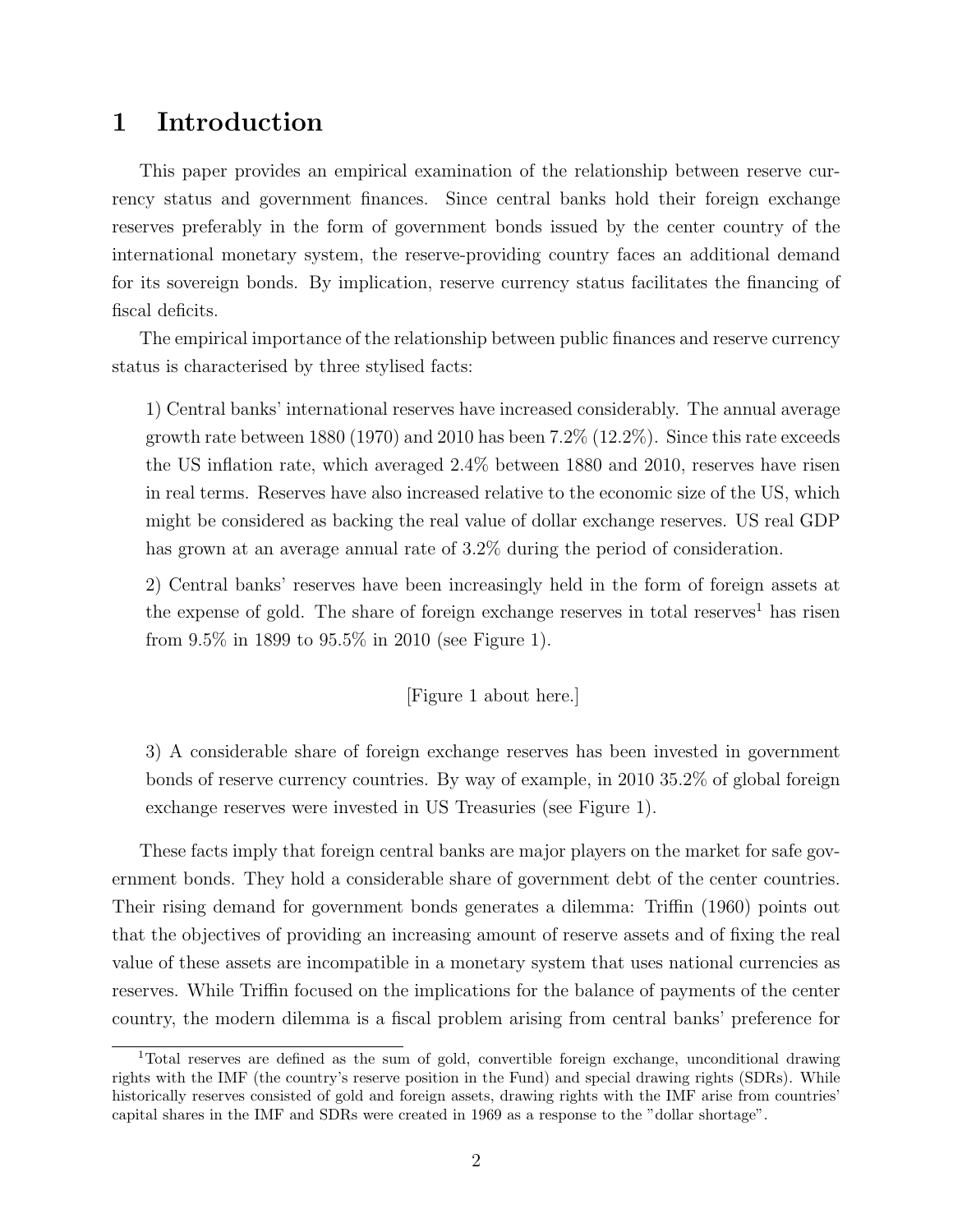## 1 Introduction

This paper provides an empirical examination of the relationship between reserve currency status and government finances. Since central banks hold their foreign exchange reserves preferably in the form of government bonds issued by the center country of the international monetary system, the reserve-providing country faces an additional demand for its sovereign bonds. By implication, reserve currency status facilitates the financing of fiscal deficits.

The empirical importance of the relationship between public finances and reserve currency status is characterised by three stylised facts:

1) Central banks' international reserves have increased considerably. The annual average growth rate between 1880 (1970) and 2010 has been  $7.2\%$  (12.2%). Since this rate exceeds the US inflation rate, which averaged 2.4% between 1880 and 2010, reserves have risen in real terms. Reserves have also increased relative to the economic size of the US, which might be considered as backing the real value of dollar exchange reserves. US real GDP has grown at an average annual rate of 3.2% during the period of consideration.

2) Central banks' reserves have been increasingly held in the form of foreign assets at the expense of gold. The share of foreign exchange reserves in total reserves<sup>1</sup> has risen from 9.5% in 1899 to 95.5% in 2010 (see Figure 1).

[Figure 1 about here.]

3) A considerable share of foreign exchange reserves has been invested in government bonds of reserve currency countries. By way of example, in 2010 35.2% of global foreign exchange reserves were invested in US Treasuries (see Figure 1).

These facts imply that foreign central banks are major players on the market for safe government bonds. They hold a considerable share of government debt of the center countries. Their rising demand for government bonds generates a dilemma: Triffin (1960) points out that the objectives of providing an increasing amount of reserve assets and of fixing the real value of these assets are incompatible in a monetary system that uses national currencies as reserves. While Triffin focused on the implications for the balance of payments of the center country, the modern dilemma is a fiscal problem arising from central banks' preference for

<sup>1</sup>Total reserves are defined as the sum of gold, convertible foreign exchange, unconditional drawing rights with the IMF (the country's reserve position in the Fund) and special drawing rights (SDRs). While historically reserves consisted of gold and foreign assets, drawing rights with the IMF arise from countries' capital shares in the IMF and SDRs were created in 1969 as a response to the "dollar shortage".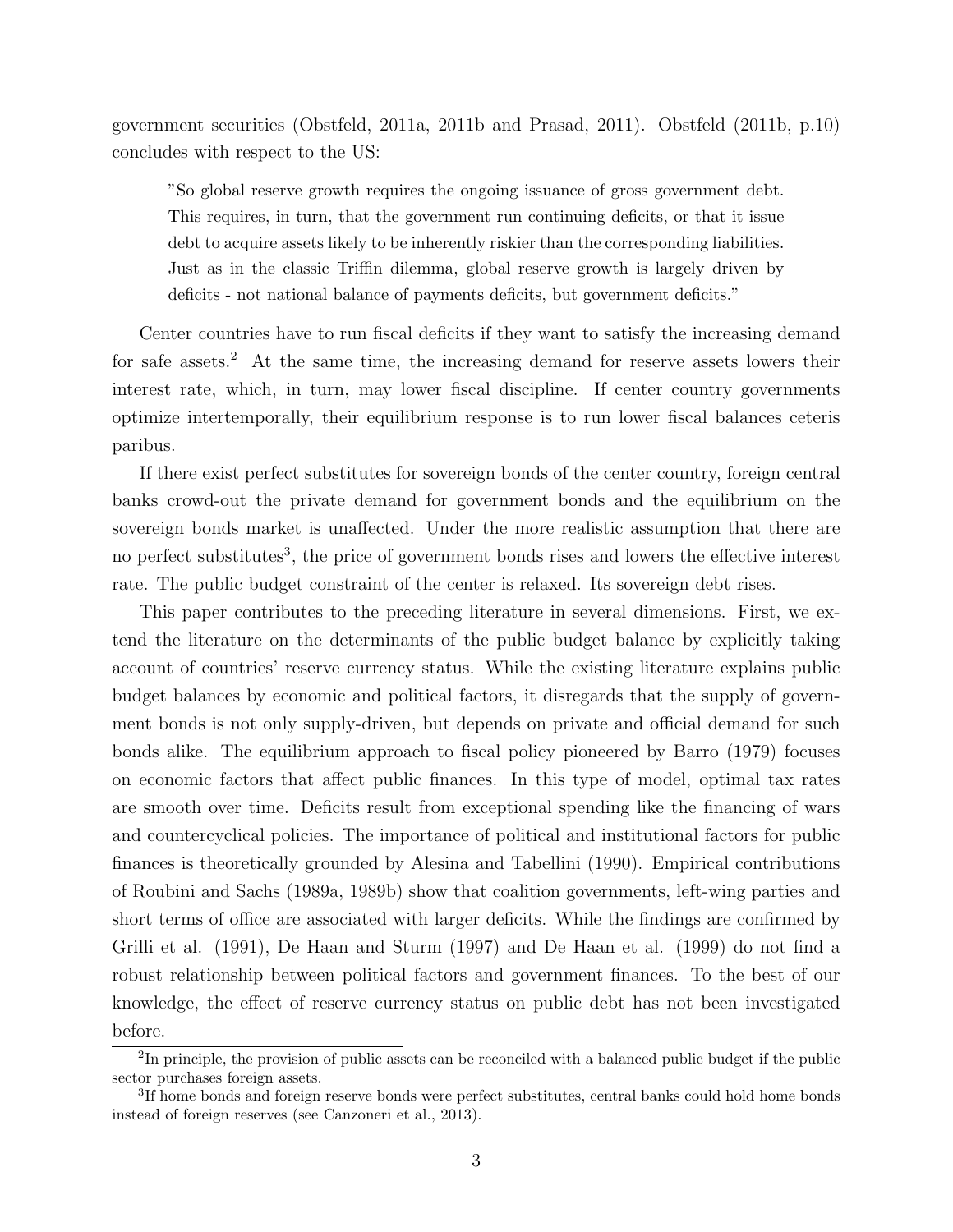government securities (Obstfeld, 2011a, 2011b and Prasad, 2011). Obstfeld (2011b, p.10) concludes with respect to the US:

"So global reserve growth requires the ongoing issuance of gross government debt. This requires, in turn, that the government run continuing deficits, or that it issue debt to acquire assets likely to be inherently riskier than the corresponding liabilities. Just as in the classic Triffin dilemma, global reserve growth is largely driven by deficits - not national balance of payments deficits, but government deficits."

Center countries have to run fiscal deficits if they want to satisfy the increasing demand for safe assets.<sup>2</sup> At the same time, the increasing demand for reserve assets lowers their interest rate, which, in turn, may lower fiscal discipline. If center country governments optimize intertemporally, their equilibrium response is to run lower fiscal balances ceteris paribus.

If there exist perfect substitutes for sovereign bonds of the center country, foreign central banks crowd-out the private demand for government bonds and the equilibrium on the sovereign bonds market is unaffected. Under the more realistic assumption that there are no perfect substitutes<sup>3</sup>, the price of government bonds rises and lowers the effective interest rate. The public budget constraint of the center is relaxed. Its sovereign debt rises.

This paper contributes to the preceding literature in several dimensions. First, we extend the literature on the determinants of the public budget balance by explicitly taking account of countries' reserve currency status. While the existing literature explains public budget balances by economic and political factors, it disregards that the supply of government bonds is not only supply-driven, but depends on private and official demand for such bonds alike. The equilibrium approach to fiscal policy pioneered by Barro (1979) focuses on economic factors that affect public finances. In this type of model, optimal tax rates are smooth over time. Deficits result from exceptional spending like the financing of wars and countercyclical policies. The importance of political and institutional factors for public finances is theoretically grounded by Alesina and Tabellini (1990). Empirical contributions of Roubini and Sachs (1989a, 1989b) show that coalition governments, left-wing parties and short terms of office are associated with larger deficits. While the findings are confirmed by Grilli et al. (1991), De Haan and Sturm (1997) and De Haan et al. (1999) do not find a robust relationship between political factors and government finances. To the best of our knowledge, the effect of reserve currency status on public debt has not been investigated before.

<sup>&</sup>lt;sup>2</sup>In principle, the provision of public assets can be reconciled with a balanced public budget if the public sector purchases foreign assets.

<sup>&</sup>lt;sup>3</sup>If home bonds and foreign reserve bonds were perfect substitutes, central banks could hold home bonds instead of foreign reserves (see Canzoneri et al., 2013).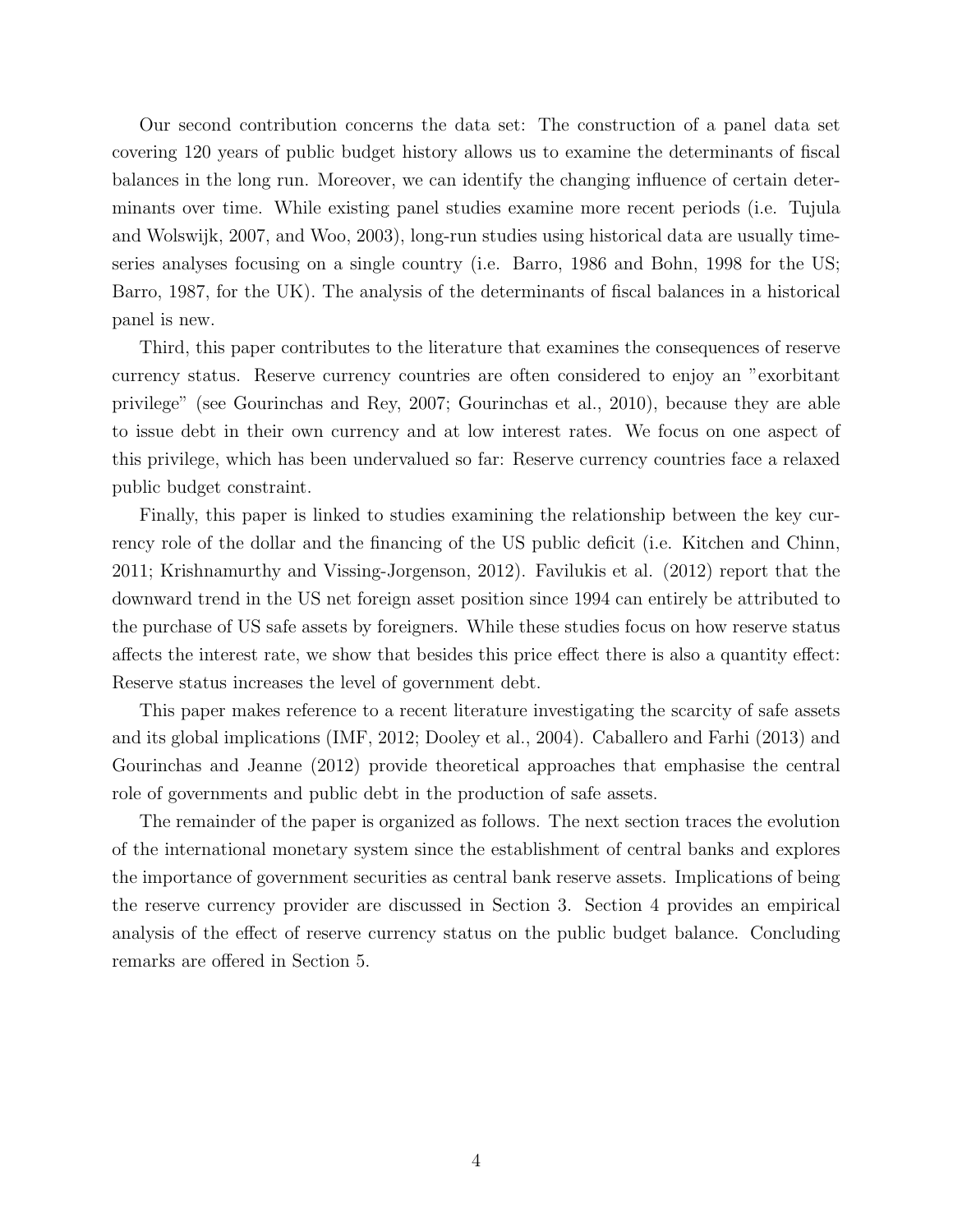Our second contribution concerns the data set: The construction of a panel data set covering 120 years of public budget history allows us to examine the determinants of fiscal balances in the long run. Moreover, we can identify the changing influence of certain determinants over time. While existing panel studies examine more recent periods (i.e. Tujula and Wolswijk, 2007, and Woo, 2003), long-run studies using historical data are usually timeseries analyses focusing on a single country (i.e. Barro, 1986 and Bohn, 1998 for the US; Barro, 1987, for the UK). The analysis of the determinants of fiscal balances in a historical panel is new.

Third, this paper contributes to the literature that examines the consequences of reserve currency status. Reserve currency countries are often considered to enjoy an "exorbitant privilege" (see Gourinchas and Rey, 2007; Gourinchas et al., 2010), because they are able to issue debt in their own currency and at low interest rates. We focus on one aspect of this privilege, which has been undervalued so far: Reserve currency countries face a relaxed public budget constraint.

Finally, this paper is linked to studies examining the relationship between the key currency role of the dollar and the financing of the US public deficit (i.e. Kitchen and Chinn, 2011; Krishnamurthy and Vissing-Jorgenson, 2012). Favilukis et al. (2012) report that the downward trend in the US net foreign asset position since 1994 can entirely be attributed to the purchase of US safe assets by foreigners. While these studies focus on how reserve status affects the interest rate, we show that besides this price effect there is also a quantity effect: Reserve status increases the level of government debt.

This paper makes reference to a recent literature investigating the scarcity of safe assets and its global implications (IMF, 2012; Dooley et al., 2004). Caballero and Farhi (2013) and Gourinchas and Jeanne (2012) provide theoretical approaches that emphasise the central role of governments and public debt in the production of safe assets.

The remainder of the paper is organized as follows. The next section traces the evolution of the international monetary system since the establishment of central banks and explores the importance of government securities as central bank reserve assets. Implications of being the reserve currency provider are discussed in Section 3. Section 4 provides an empirical analysis of the effect of reserve currency status on the public budget balance. Concluding remarks are offered in Section 5.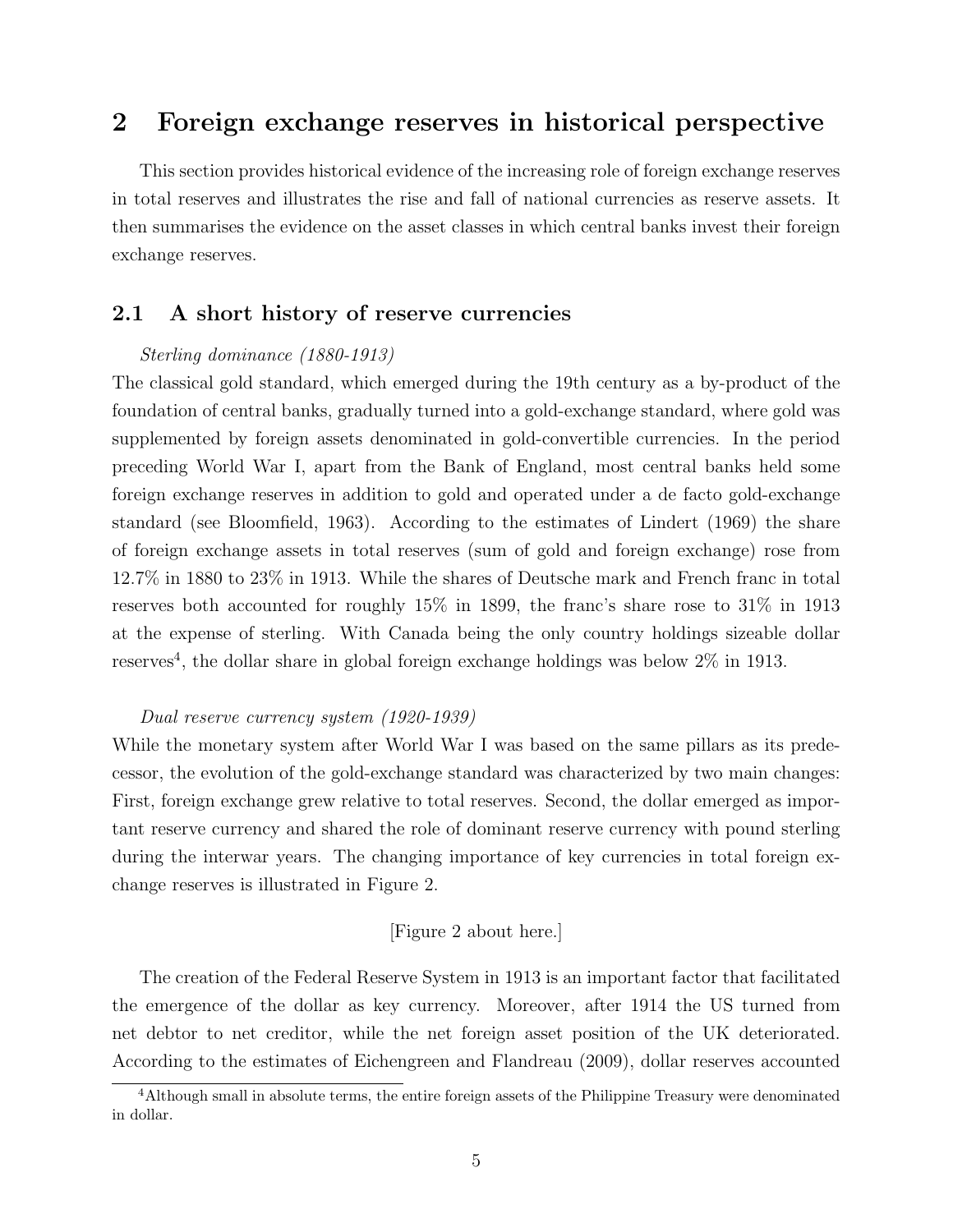### 2 Foreign exchange reserves in historical perspective

This section provides historical evidence of the increasing role of foreign exchange reserves in total reserves and illustrates the rise and fall of national currencies as reserve assets. It then summarises the evidence on the asset classes in which central banks invest their foreign exchange reserves.

#### 2.1 A short history of reserve currencies

#### Sterling dominance (1880-1913)

The classical gold standard, which emerged during the 19th century as a by-product of the foundation of central banks, gradually turned into a gold-exchange standard, where gold was supplemented by foreign assets denominated in gold-convertible currencies. In the period preceding World War I, apart from the Bank of England, most central banks held some foreign exchange reserves in addition to gold and operated under a de facto gold-exchange standard (see Bloomfield, 1963). According to the estimates of Lindert (1969) the share of foreign exchange assets in total reserves (sum of gold and foreign exchange) rose from 12.7% in 1880 to 23% in 1913. While the shares of Deutsche mark and French franc in total reserves both accounted for roughly 15% in 1899, the franc's share rose to 31% in 1913 at the expense of sterling. With Canada being the only country holdings sizeable dollar reserves<sup>4</sup>, the dollar share in global foreign exchange holdings was below  $2\%$  in 1913.

#### Dual reserve currency system (1920-1939)

While the monetary system after World War I was based on the same pillars as its predecessor, the evolution of the gold-exchange standard was characterized by two main changes: First, foreign exchange grew relative to total reserves. Second, the dollar emerged as important reserve currency and shared the role of dominant reserve currency with pound sterling during the interwar years. The changing importance of key currencies in total foreign exchange reserves is illustrated in Figure 2.

#### [Figure 2 about here.]

The creation of the Federal Reserve System in 1913 is an important factor that facilitated the emergence of the dollar as key currency. Moreover, after 1914 the US turned from net debtor to net creditor, while the net foreign asset position of the UK deteriorated. According to the estimates of Eichengreen and Flandreau (2009), dollar reserves accounted

<sup>&</sup>lt;sup>4</sup>Although small in absolute terms, the entire foreign assets of the Philippine Treasury were denominated in dollar.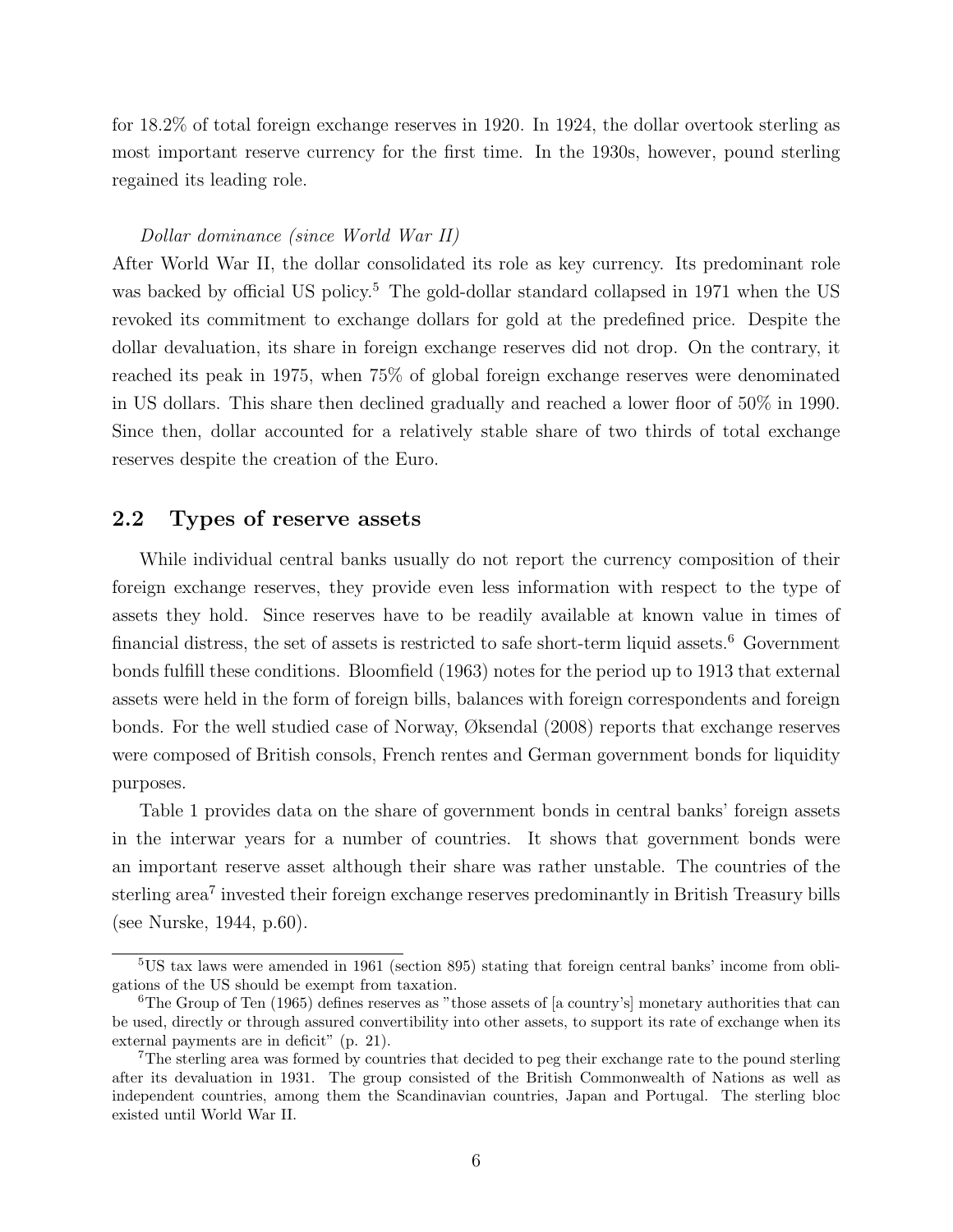for 18.2% of total foreign exchange reserves in 1920. In 1924, the dollar overtook sterling as most important reserve currency for the first time. In the 1930s, however, pound sterling regained its leading role.

#### Dollar dominance (since World War II)

After World War II, the dollar consolidated its role as key currency. Its predominant role was backed by official US policy.<sup>5</sup> The gold-dollar standard collapsed in 1971 when the US revoked its commitment to exchange dollars for gold at the predefined price. Despite the dollar devaluation, its share in foreign exchange reserves did not drop. On the contrary, it reached its peak in 1975, when 75% of global foreign exchange reserves were denominated in US dollars. This share then declined gradually and reached a lower floor of 50% in 1990. Since then, dollar accounted for a relatively stable share of two thirds of total exchange reserves despite the creation of the Euro.

#### 2.2 Types of reserve assets

While individual central banks usually do not report the currency composition of their foreign exchange reserves, they provide even less information with respect to the type of assets they hold. Since reserves have to be readily available at known value in times of financial distress, the set of assets is restricted to safe short-term liquid assets.<sup>6</sup> Government bonds fulfill these conditions. Bloomfield (1963) notes for the period up to 1913 that external assets were held in the form of foreign bills, balances with foreign correspondents and foreign bonds. For the well studied case of Norway, Øksendal (2008) reports that exchange reserves were composed of British consols, French rentes and German government bonds for liquidity purposes.

Table 1 provides data on the share of government bonds in central banks' foreign assets in the interwar years for a number of countries. It shows that government bonds were an important reserve asset although their share was rather unstable. The countries of the sterling area<sup>7</sup> invested their foreign exchange reserves predominantly in British Treasury bills (see Nurske, 1944, p.60).

<sup>5</sup>US tax laws were amended in 1961 (section 895) stating that foreign central banks' income from obligations of the US should be exempt from taxation.

<sup>&</sup>lt;sup>6</sup>The Group of Ten (1965) defines reserves as "those assets of [a country's] monetary authorities that can be used, directly or through assured convertibility into other assets, to support its rate of exchange when its external payments are in deficit" (p. 21).

<sup>7</sup>The sterling area was formed by countries that decided to peg their exchange rate to the pound sterling after its devaluation in 1931. The group consisted of the British Commonwealth of Nations as well as independent countries, among them the Scandinavian countries, Japan and Portugal. The sterling bloc existed until World War II.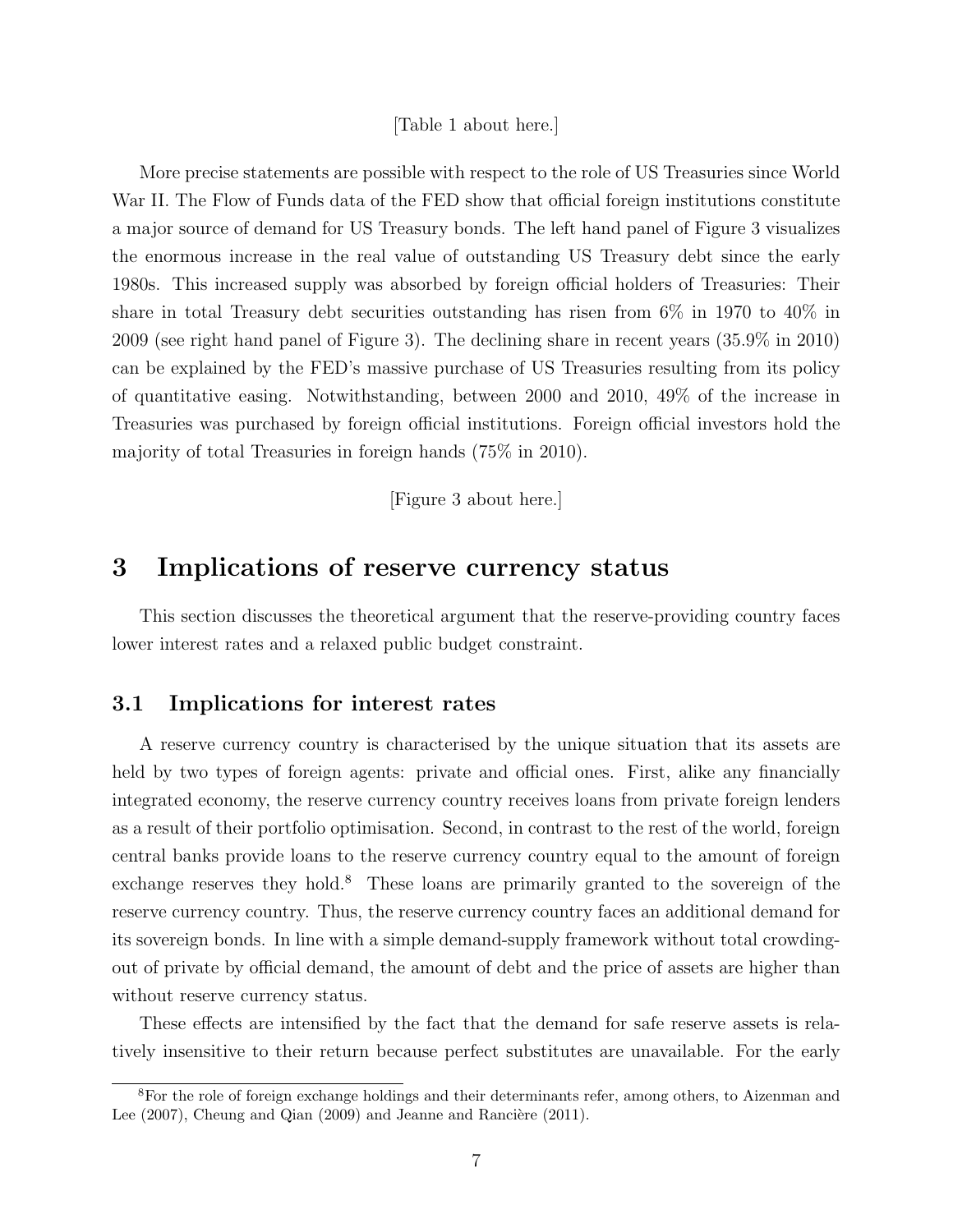[Table 1 about here.]

More precise statements are possible with respect to the role of US Treasuries since World War II. The Flow of Funds data of the FED show that official foreign institutions constitute a major source of demand for US Treasury bonds. The left hand panel of Figure 3 visualizes the enormous increase in the real value of outstanding US Treasury debt since the early 1980s. This increased supply was absorbed by foreign official holders of Treasuries: Their share in total Treasury debt securities outstanding has risen from 6% in 1970 to 40% in 2009 (see right hand panel of Figure 3). The declining share in recent years (35.9% in 2010) can be explained by the FED's massive purchase of US Treasuries resulting from its policy of quantitative easing. Notwithstanding, between 2000 and 2010, 49% of the increase in Treasuries was purchased by foreign official institutions. Foreign official investors hold the majority of total Treasuries in foreign hands (75% in 2010).

[Figure 3 about here.]

## 3 Implications of reserve currency status

This section discusses the theoretical argument that the reserve-providing country faces lower interest rates and a relaxed public budget constraint.

#### 3.1 Implications for interest rates

A reserve currency country is characterised by the unique situation that its assets are held by two types of foreign agents: private and official ones. First, alike any financially integrated economy, the reserve currency country receives loans from private foreign lenders as a result of their portfolio optimisation. Second, in contrast to the rest of the world, foreign central banks provide loans to the reserve currency country equal to the amount of foreign exchange reserves they hold.<sup>8</sup> These loans are primarily granted to the sovereign of the reserve currency country. Thus, the reserve currency country faces an additional demand for its sovereign bonds. In line with a simple demand-supply framework without total crowdingout of private by official demand, the amount of debt and the price of assets are higher than without reserve currency status.

These effects are intensified by the fact that the demand for safe reserve assets is relatively insensitive to their return because perfect substitutes are unavailable. For the early

<sup>8</sup>For the role of foreign exchange holdings and their determinants refer, among others, to Aizenman and Lee  $(2007)$ , Cheung and Qian  $(2009)$  and Jeanne and Rancière  $(2011)$ .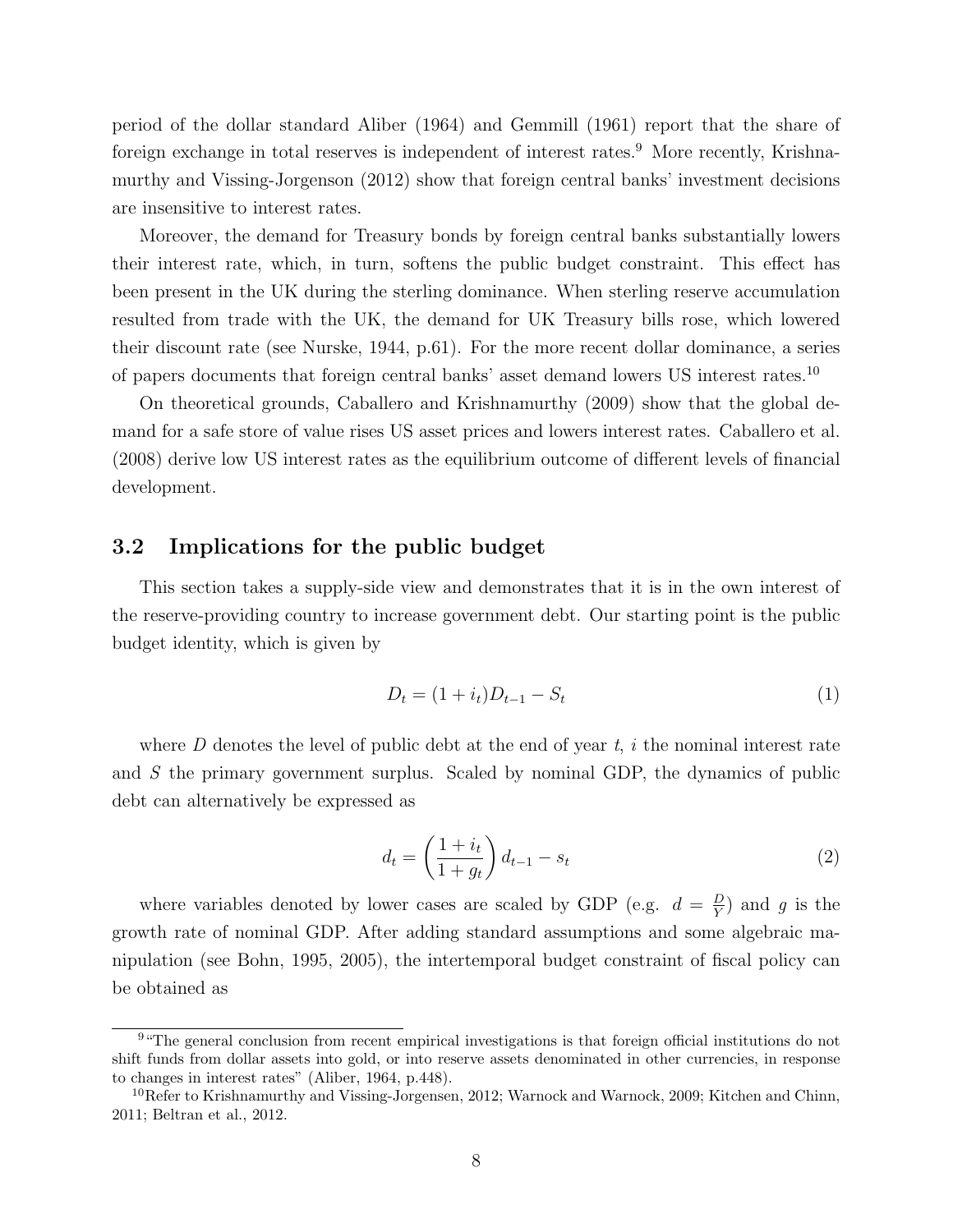period of the dollar standard Aliber (1964) and Gemmill (1961) report that the share of foreign exchange in total reserves is independent of interest rates.<sup>9</sup> More recently, Krishnamurthy and Vissing-Jorgenson (2012) show that foreign central banks' investment decisions are insensitive to interest rates.

Moreover, the demand for Treasury bonds by foreign central banks substantially lowers their interest rate, which, in turn, softens the public budget constraint. This effect has been present in the UK during the sterling dominance. When sterling reserve accumulation resulted from trade with the UK, the demand for UK Treasury bills rose, which lowered their discount rate (see Nurske, 1944, p.61). For the more recent dollar dominance, a series of papers documents that foreign central banks' asset demand lowers US interest rates.<sup>10</sup>

On theoretical grounds, Caballero and Krishnamurthy (2009) show that the global demand for a safe store of value rises US asset prices and lowers interest rates. Caballero et al. (2008) derive low US interest rates as the equilibrium outcome of different levels of financial development.

#### 3.2 Implications for the public budget

This section takes a supply-side view and demonstrates that it is in the own interest of the reserve-providing country to increase government debt. Our starting point is the public budget identity, which is given by

$$
D_t = (1 + i_t)D_{t-1} - S_t \tag{1}
$$

where  $D$  denotes the level of public debt at the end of year  $t$ , i the nominal interest rate and S the primary government surplus. Scaled by nominal GDP, the dynamics of public debt can alternatively be expressed as

$$
d_t = \left(\frac{1+i_t}{1+g_t}\right)d_{t-1} - s_t
$$
\n<sup>(2)</sup>

where variables denoted by lower cases are scaled by GDP (e.g.  $d = \frac{D}{V}$  $\frac{D}{Y}$  and g is the growth rate of nominal GDP. After adding standard assumptions and some algebraic manipulation (see Bohn, 1995, 2005), the intertemporal budget constraint of fiscal policy can be obtained as

<sup>9</sup>"The general conclusion from recent empirical investigations is that foreign official institutions do not shift funds from dollar assets into gold, or into reserve assets denominated in other currencies, in response to changes in interest rates" (Aliber, 1964, p.448).

<sup>&</sup>lt;sup>10</sup>Refer to Krishnamurthy and Vissing-Jorgensen, 2012; Warnock and Warnock, 2009; Kitchen and Chinn, 2011; Beltran et al., 2012.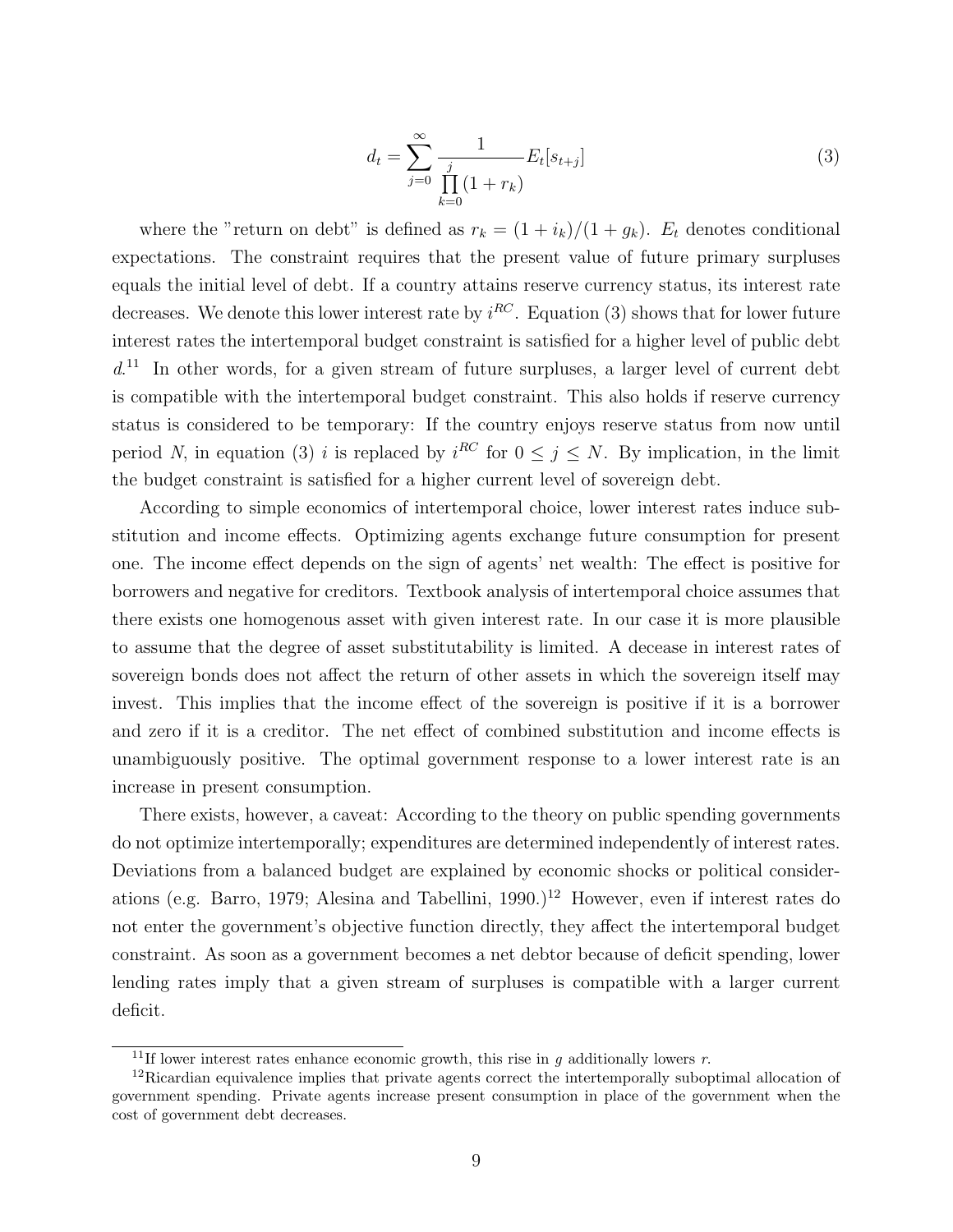$$
d_t = \sum_{j=0}^{\infty} \frac{1}{\prod_{k=0}^{j} (1+r_k)} E_t[s_{t+j}]
$$
\n(3)

where the "return on debt" is defined as  $r_k = (1 + i_k)/(1 + g_k)$ .  $E_t$  denotes conditional expectations. The constraint requires that the present value of future primary surpluses equals the initial level of debt. If a country attains reserve currency status, its interest rate decreases. We denote this lower interest rate by  $i^{RC}$ . Equation (3) shows that for lower future interest rates the intertemporal budget constraint is satisfied for a higher level of public debt d. <sup>11</sup> In other words, for a given stream of future surpluses, a larger level of current debt is compatible with the intertemporal budget constraint. This also holds if reserve currency status is considered to be temporary: If the country enjoys reserve status from now until period N, in equation (3) i is replaced by  $i^{RC}$  for  $0 \leq j \leq N$ . By implication, in the limit the budget constraint is satisfied for a higher current level of sovereign debt.

According to simple economics of intertemporal choice, lower interest rates induce substitution and income effects. Optimizing agents exchange future consumption for present one. The income effect depends on the sign of agents' net wealth: The effect is positive for borrowers and negative for creditors. Textbook analysis of intertemporal choice assumes that there exists one homogenous asset with given interest rate. In our case it is more plausible to assume that the degree of asset substitutability is limited. A decease in interest rates of sovereign bonds does not affect the return of other assets in which the sovereign itself may invest. This implies that the income effect of the sovereign is positive if it is a borrower and zero if it is a creditor. The net effect of combined substitution and income effects is unambiguously positive. The optimal government response to a lower interest rate is an increase in present consumption.

There exists, however, a caveat: According to the theory on public spending governments do not optimize intertemporally; expenditures are determined independently of interest rates. Deviations from a balanced budget are explained by economic shocks or political considerations (e.g. Barro, 1979; Alesina and Tabellini, 1990.)<sup>12</sup> However, even if interest rates do not enter the government's objective function directly, they affect the intertemporal budget constraint. As soon as a government becomes a net debtor because of deficit spending, lower lending rates imply that a given stream of surpluses is compatible with a larger current deficit.

<sup>&</sup>lt;sup>11</sup>If lower interest rates enhance economic growth, this rise in q additionally lowers r.

<sup>12</sup>Ricardian equivalence implies that private agents correct the intertemporally suboptimal allocation of government spending. Private agents increase present consumption in place of the government when the cost of government debt decreases.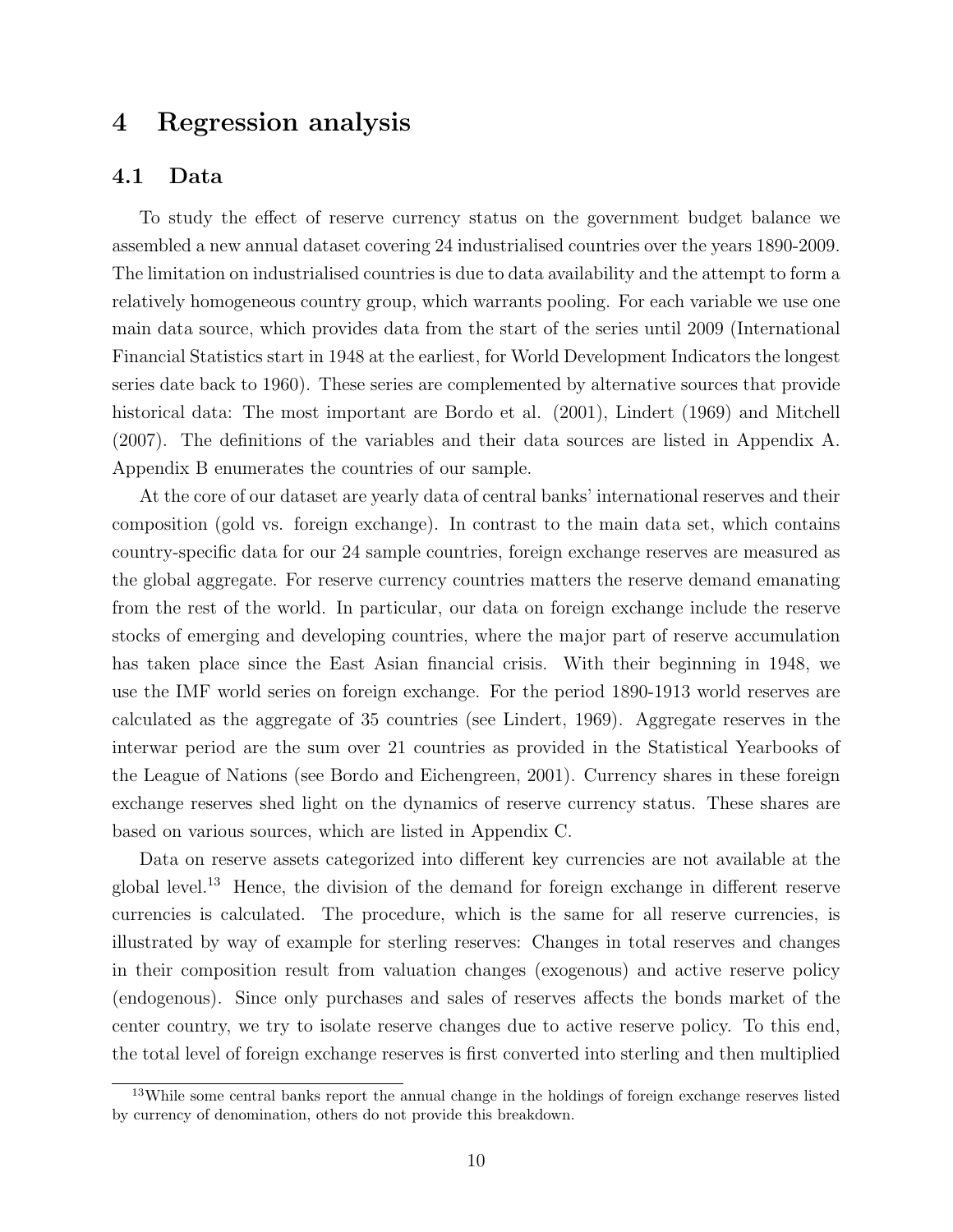# 4 Regression analysis

#### 4.1 Data

To study the effect of reserve currency status on the government budget balance we assembled a new annual dataset covering 24 industrialised countries over the years 1890-2009. The limitation on industrialised countries is due to data availability and the attempt to form a relatively homogeneous country group, which warrants pooling. For each variable we use one main data source, which provides data from the start of the series until 2009 (International Financial Statistics start in 1948 at the earliest, for World Development Indicators the longest series date back to 1960). These series are complemented by alternative sources that provide historical data: The most important are Bordo et al. (2001), Lindert (1969) and Mitchell (2007). The definitions of the variables and their data sources are listed in Appendix A. Appendix B enumerates the countries of our sample.

At the core of our dataset are yearly data of central banks' international reserves and their composition (gold vs. foreign exchange). In contrast to the main data set, which contains country-specific data for our 24 sample countries, foreign exchange reserves are measured as the global aggregate. For reserve currency countries matters the reserve demand emanating from the rest of the world. In particular, our data on foreign exchange include the reserve stocks of emerging and developing countries, where the major part of reserve accumulation has taken place since the East Asian financial crisis. With their beginning in 1948, we use the IMF world series on foreign exchange. For the period 1890-1913 world reserves are calculated as the aggregate of 35 countries (see Lindert, 1969). Aggregate reserves in the interwar period are the sum over 21 countries as provided in the Statistical Yearbooks of the League of Nations (see Bordo and Eichengreen, 2001). Currency shares in these foreign exchange reserves shed light on the dynamics of reserve currency status. These shares are based on various sources, which are listed in Appendix C.

Data on reserve assets categorized into different key currencies are not available at the global level.<sup>13</sup> Hence, the division of the demand for foreign exchange in different reserve currencies is calculated. The procedure, which is the same for all reserve currencies, is illustrated by way of example for sterling reserves: Changes in total reserves and changes in their composition result from valuation changes (exogenous) and active reserve policy (endogenous). Since only purchases and sales of reserves affects the bonds market of the center country, we try to isolate reserve changes due to active reserve policy. To this end, the total level of foreign exchange reserves is first converted into sterling and then multiplied

<sup>13</sup>While some central banks report the annual change in the holdings of foreign exchange reserves listed by currency of denomination, others do not provide this breakdown.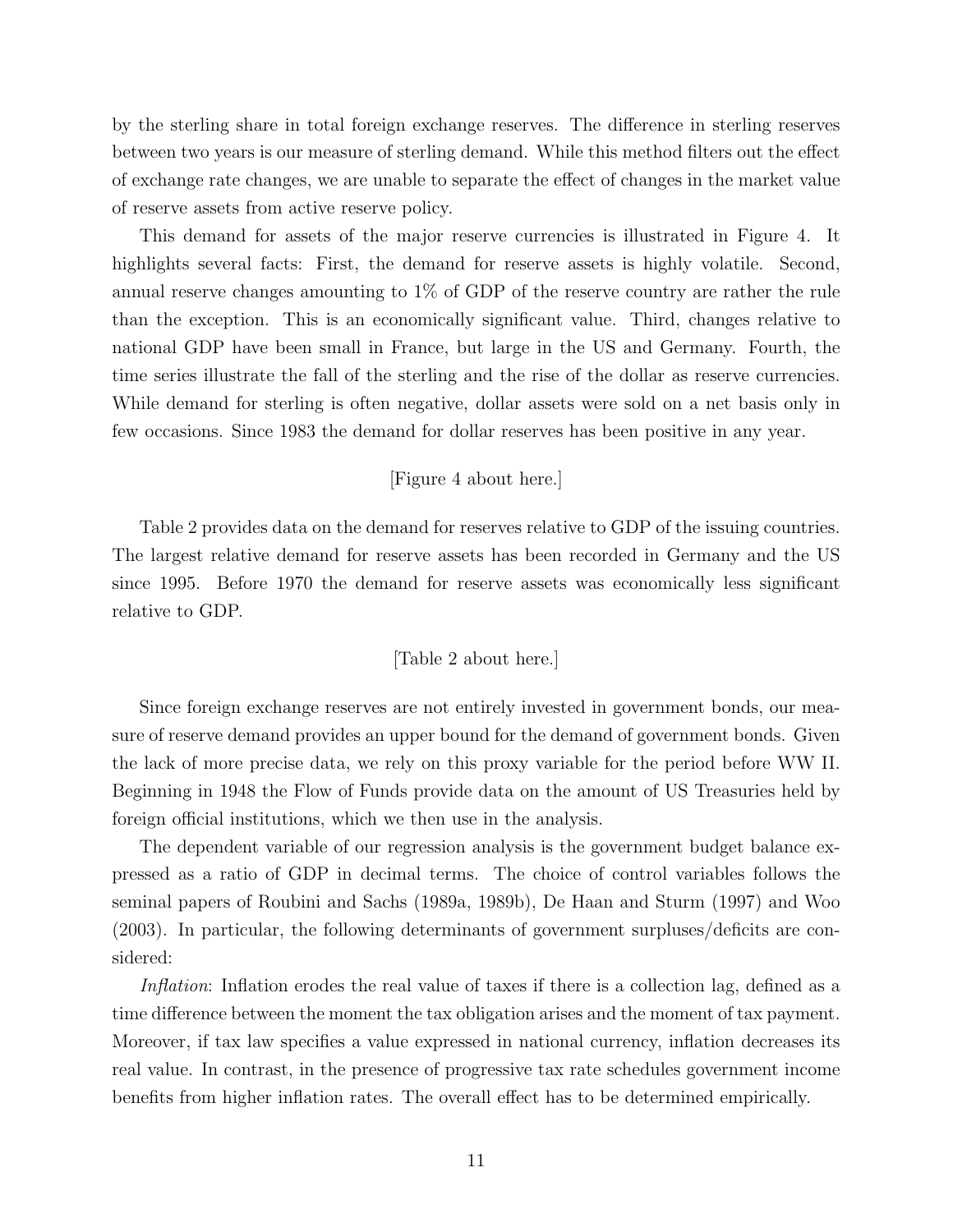by the sterling share in total foreign exchange reserves. The difference in sterling reserves between two years is our measure of sterling demand. While this method filters out the effect of exchange rate changes, we are unable to separate the effect of changes in the market value of reserve assets from active reserve policy.

This demand for assets of the major reserve currencies is illustrated in Figure 4. It highlights several facts: First, the demand for reserve assets is highly volatile. Second, annual reserve changes amounting to 1% of GDP of the reserve country are rather the rule than the exception. This is an economically significant value. Third, changes relative to national GDP have been small in France, but large in the US and Germany. Fourth, the time series illustrate the fall of the sterling and the rise of the dollar as reserve currencies. While demand for sterling is often negative, dollar assets were sold on a net basis only in few occasions. Since 1983 the demand for dollar reserves has been positive in any year.

#### [Figure 4 about here.]

Table 2 provides data on the demand for reserves relative to GDP of the issuing countries. The largest relative demand for reserve assets has been recorded in Germany and the US since 1995. Before 1970 the demand for reserve assets was economically less significant relative to GDP.

#### [Table 2 about here.]

Since foreign exchange reserves are not entirely invested in government bonds, our measure of reserve demand provides an upper bound for the demand of government bonds. Given the lack of more precise data, we rely on this proxy variable for the period before WW II. Beginning in 1948 the Flow of Funds provide data on the amount of US Treasuries held by foreign official institutions, which we then use in the analysis.

The dependent variable of our regression analysis is the government budget balance expressed as a ratio of GDP in decimal terms. The choice of control variables follows the seminal papers of Roubini and Sachs (1989a, 1989b), De Haan and Sturm (1997) and Woo (2003). In particular, the following determinants of government surpluses/deficits are considered:

Inflation: Inflation erodes the real value of taxes if there is a collection lag, defined as a time difference between the moment the tax obligation arises and the moment of tax payment. Moreover, if tax law specifies a value expressed in national currency, inflation decreases its real value. In contrast, in the presence of progressive tax rate schedules government income benefits from higher inflation rates. The overall effect has to be determined empirically.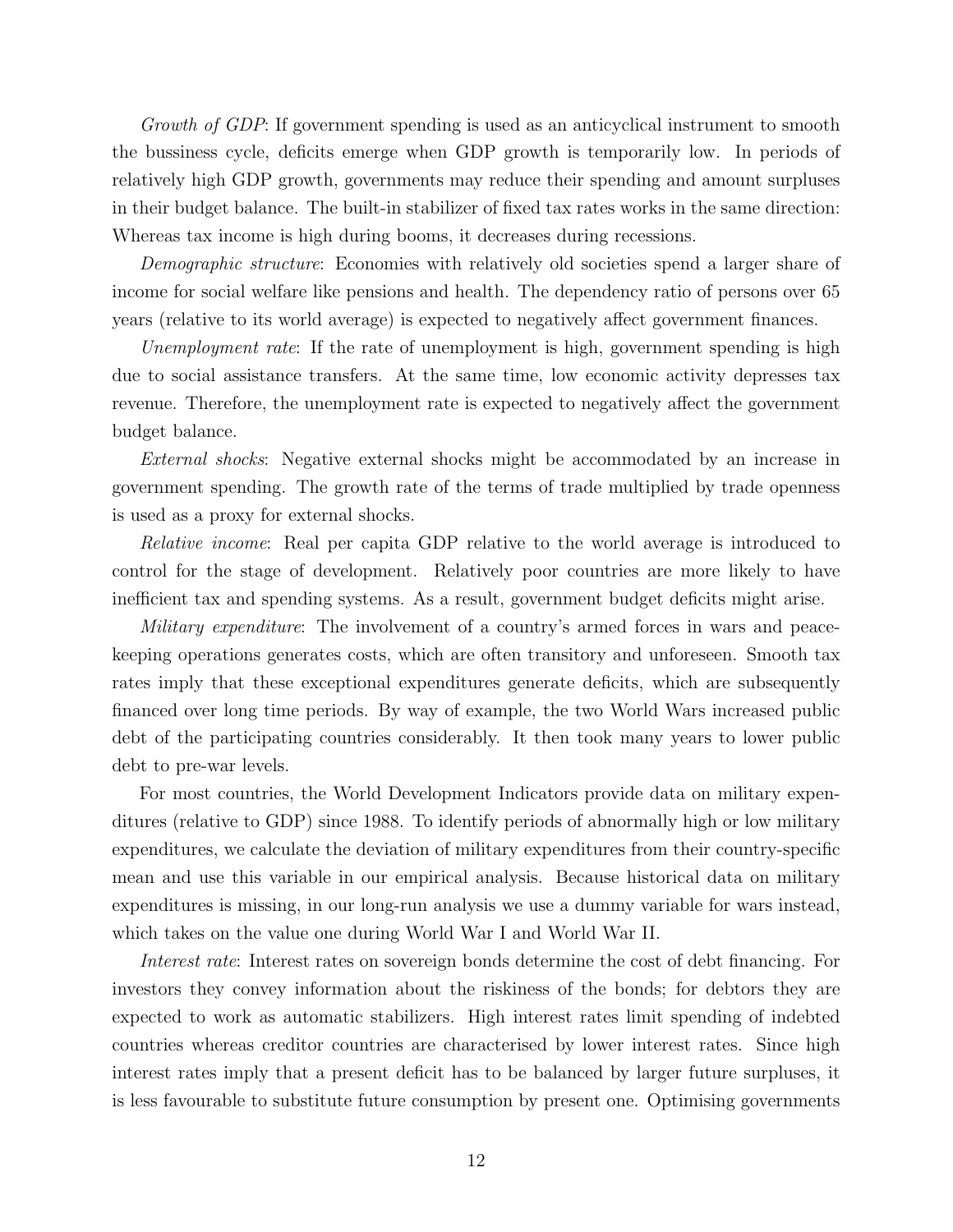Growth of GDP: If government spending is used as an anticyclical instrument to smooth the bussiness cycle, deficits emerge when GDP growth is temporarily low. In periods of relatively high GDP growth, governments may reduce their spending and amount surpluses in their budget balance. The built-in stabilizer of fixed tax rates works in the same direction: Whereas tax income is high during booms, it decreases during recessions.

Demographic structure: Economies with relatively old societies spend a larger share of income for social welfare like pensions and health. The dependency ratio of persons over 65 years (relative to its world average) is expected to negatively affect government finances.

Unemployment rate: If the rate of unemployment is high, government spending is high due to social assistance transfers. At the same time, low economic activity depresses tax revenue. Therefore, the unemployment rate is expected to negatively affect the government budget balance.

External shocks: Negative external shocks might be accommodated by an increase in government spending. The growth rate of the terms of trade multiplied by trade openness is used as a proxy for external shocks.

Relative income: Real per capita GDP relative to the world average is introduced to control for the stage of development. Relatively poor countries are more likely to have inefficient tax and spending systems. As a result, government budget deficits might arise.

Military expenditure: The involvement of a country's armed forces in wars and peacekeeping operations generates costs, which are often transitory and unforeseen. Smooth tax rates imply that these exceptional expenditures generate deficits, which are subsequently financed over long time periods. By way of example, the two World Wars increased public debt of the participating countries considerably. It then took many years to lower public debt to pre-war levels.

For most countries, the World Development Indicators provide data on military expenditures (relative to GDP) since 1988. To identify periods of abnormally high or low military expenditures, we calculate the deviation of military expenditures from their country-specific mean and use this variable in our empirical analysis. Because historical data on military expenditures is missing, in our long-run analysis we use a dummy variable for wars instead, which takes on the value one during World War I and World War II.

Interest rate: Interest rates on sovereign bonds determine the cost of debt financing. For investors they convey information about the riskiness of the bonds; for debtors they are expected to work as automatic stabilizers. High interest rates limit spending of indebted countries whereas creditor countries are characterised by lower interest rates. Since high interest rates imply that a present deficit has to be balanced by larger future surpluses, it is less favourable to substitute future consumption by present one. Optimising governments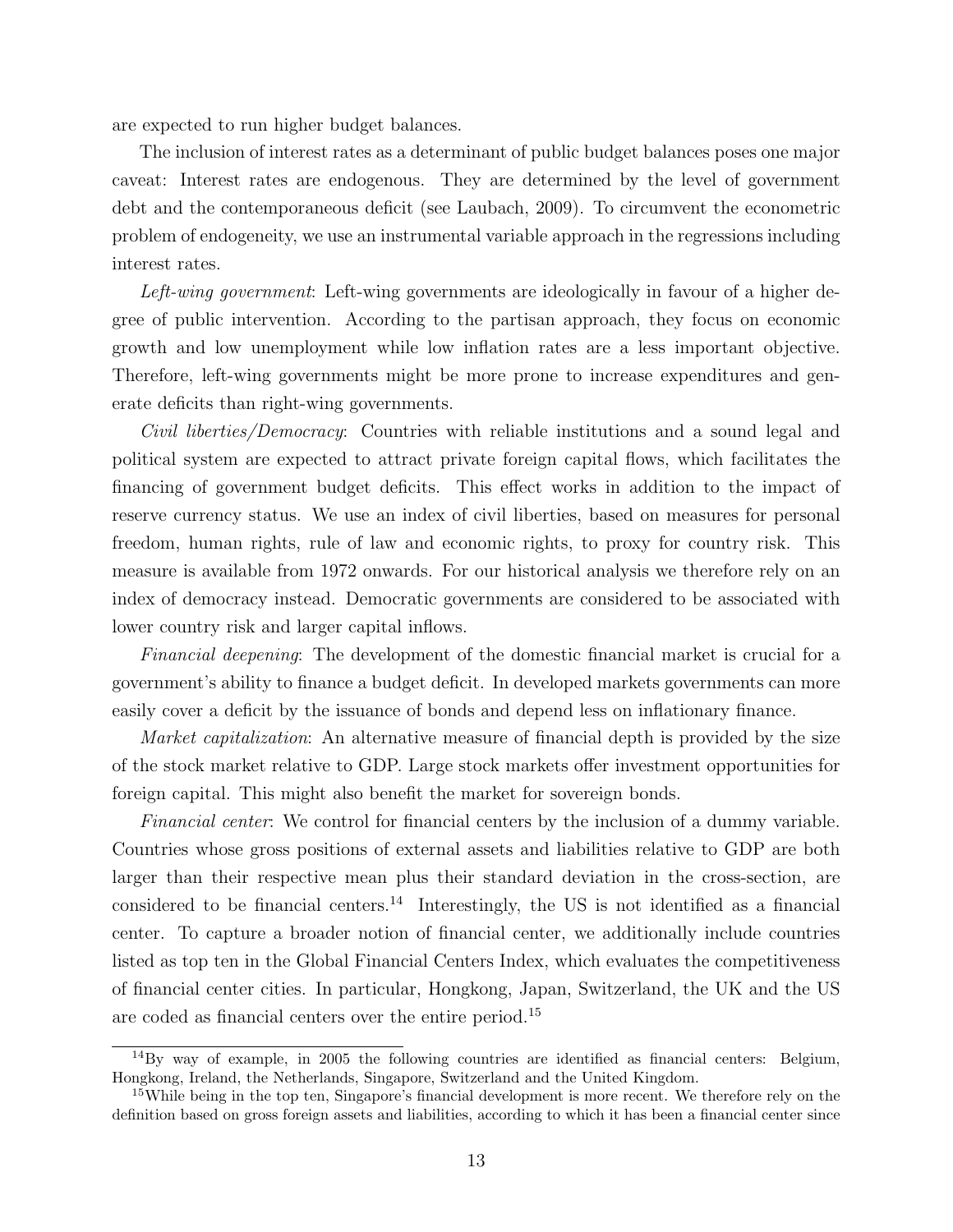are expected to run higher budget balances.

The inclusion of interest rates as a determinant of public budget balances poses one major caveat: Interest rates are endogenous. They are determined by the level of government debt and the contemporaneous deficit (see Laubach, 2009). To circumvent the econometric problem of endogeneity, we use an instrumental variable approach in the regressions including interest rates.

Left-wing government: Left-wing governments are ideologically in favour of a higher degree of public intervention. According to the partisan approach, they focus on economic growth and low unemployment while low inflation rates are a less important objective. Therefore, left-wing governments might be more prone to increase expenditures and generate deficits than right-wing governments.

Civil liberties/Democracy: Countries with reliable institutions and a sound legal and political system are expected to attract private foreign capital flows, which facilitates the financing of government budget deficits. This effect works in addition to the impact of reserve currency status. We use an index of civil liberties, based on measures for personal freedom, human rights, rule of law and economic rights, to proxy for country risk. This measure is available from 1972 onwards. For our historical analysis we therefore rely on an index of democracy instead. Democratic governments are considered to be associated with lower country risk and larger capital inflows.

Financial deepening: The development of the domestic financial market is crucial for a government's ability to finance a budget deficit. In developed markets governments can more easily cover a deficit by the issuance of bonds and depend less on inflationary finance.

*Market capitalization*: An alternative measure of financial depth is provided by the size of the stock market relative to GDP. Large stock markets offer investment opportunities for foreign capital. This might also benefit the market for sovereign bonds.

Financial center: We control for financial centers by the inclusion of a dummy variable. Countries whose gross positions of external assets and liabilities relative to GDP are both larger than their respective mean plus their standard deviation in the cross-section, are considered to be financial centers.<sup>14</sup> Interestingly, the US is not identified as a financial center. To capture a broader notion of financial center, we additionally include countries listed as top ten in the Global Financial Centers Index, which evaluates the competitiveness of financial center cities. In particular, Hongkong, Japan, Switzerland, the UK and the US are coded as financial centers over the entire period.<sup>15</sup>

 $14\text{By}$  way of example, in 2005 the following countries are identified as financial centers: Belgium, Hongkong, Ireland, the Netherlands, Singapore, Switzerland and the United Kingdom.

<sup>&</sup>lt;sup>15</sup>While being in the top ten, Singapore's financial development is more recent. We therefore rely on the definition based on gross foreign assets and liabilities, according to which it has been a financial center since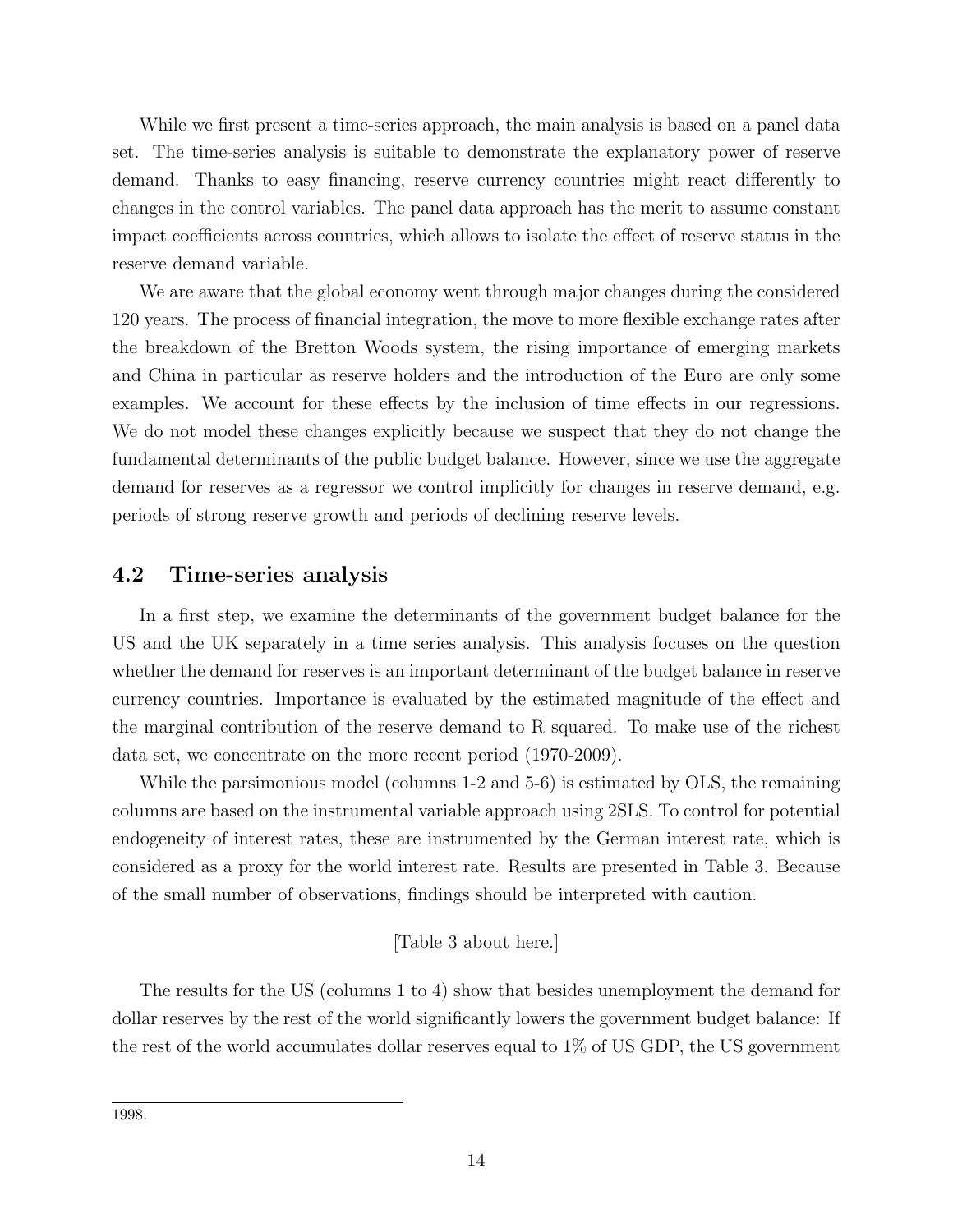While we first present a time-series approach, the main analysis is based on a panel data set. The time-series analysis is suitable to demonstrate the explanatory power of reserve demand. Thanks to easy financing, reserve currency countries might react differently to changes in the control variables. The panel data approach has the merit to assume constant impact coefficients across countries, which allows to isolate the effect of reserve status in the reserve demand variable.

We are aware that the global economy went through major changes during the considered 120 years. The process of financial integration, the move to more flexible exchange rates after the breakdown of the Bretton Woods system, the rising importance of emerging markets and China in particular as reserve holders and the introduction of the Euro are only some examples. We account for these effects by the inclusion of time effects in our regressions. We do not model these changes explicitly because we suspect that they do not change the fundamental determinants of the public budget balance. However, since we use the aggregate demand for reserves as a regressor we control implicitly for changes in reserve demand, e.g. periods of strong reserve growth and periods of declining reserve levels.

#### 4.2 Time-series analysis

In a first step, we examine the determinants of the government budget balance for the US and the UK separately in a time series analysis. This analysis focuses on the question whether the demand for reserves is an important determinant of the budget balance in reserve currency countries. Importance is evaluated by the estimated magnitude of the effect and the marginal contribution of the reserve demand to R squared. To make use of the richest data set, we concentrate on the more recent period (1970-2009).

While the parsimonious model (columns 1-2 and 5-6) is estimated by OLS, the remaining columns are based on the instrumental variable approach using 2SLS. To control for potential endogeneity of interest rates, these are instrumented by the German interest rate, which is considered as a proxy for the world interest rate. Results are presented in Table 3. Because of the small number of observations, findings should be interpreted with caution.

#### [Table 3 about here.]

The results for the US (columns 1 to 4) show that besides unemployment the demand for dollar reserves by the rest of the world significantly lowers the government budget balance: If the rest of the world accumulates dollar reserves equal to 1% of US GDP, the US government

<sup>1998.</sup>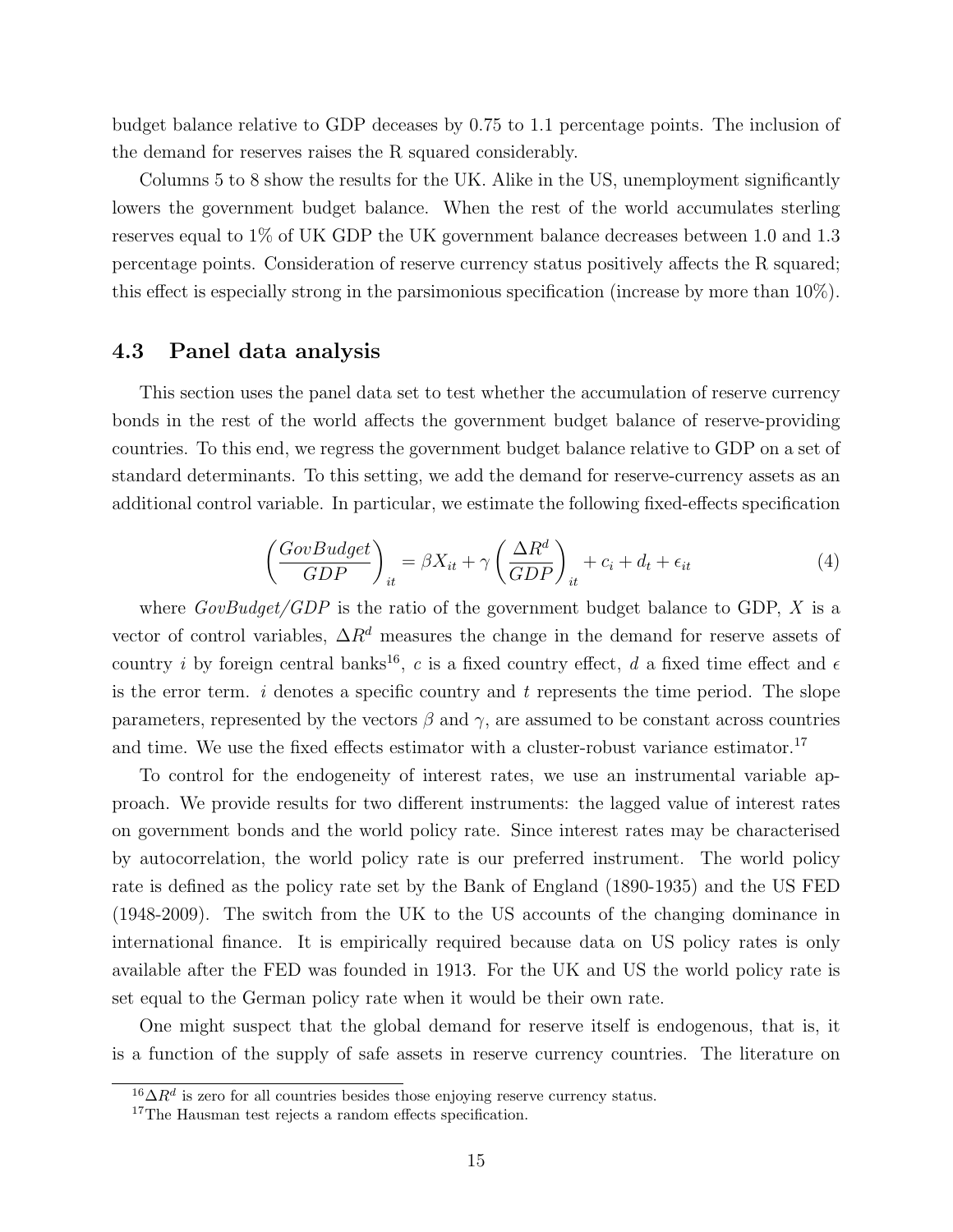budget balance relative to GDP deceases by 0.75 to 1.1 percentage points. The inclusion of the demand for reserves raises the R squared considerably.

Columns 5 to 8 show the results for the UK. Alike in the US, unemployment significantly lowers the government budget balance. When the rest of the world accumulates sterling reserves equal to 1% of UK GDP the UK government balance decreases between 1.0 and 1.3 percentage points. Consideration of reserve currency status positively affects the R squared; this effect is especially strong in the parsimonious specification (increase by more than 10%).

#### 4.3 Panel data analysis

This section uses the panel data set to test whether the accumulation of reserve currency bonds in the rest of the world affects the government budget balance of reserve-providing countries. To this end, we regress the government budget balance relative to GDP on a set of standard determinants. To this setting, we add the demand for reserve-currency assets as an additional control variable. In particular, we estimate the following fixed-effects specification

$$
\left(\frac{GovBudget}{GDP}\right)_{it} = \beta X_{it} + \gamma \left(\frac{\Delta R^d}{GDP}\right)_{it} + c_i + d_t + \epsilon_{it}
$$
\n(4)

where  $GovBudget/GDP$  is the ratio of the government budget balance to GDP, X is a vector of control variables,  $\Delta R^d$  measures the change in the demand for reserve assets of country *i* by foreign central banks<sup>16</sup>, *c* is a fixed country effect, *d* a fixed time effect and  $\epsilon$ is the error term.  $i$  denotes a specific country and  $t$  represents the time period. The slope parameters, represented by the vectors  $\beta$  and  $\gamma$ , are assumed to be constant across countries and time. We use the fixed effects estimator with a cluster-robust variance estimator.<sup>17</sup>

To control for the endogeneity of interest rates, we use an instrumental variable approach. We provide results for two different instruments: the lagged value of interest rates on government bonds and the world policy rate. Since interest rates may be characterised by autocorrelation, the world policy rate is our preferred instrument. The world policy rate is defined as the policy rate set by the Bank of England (1890-1935) and the US FED (1948-2009). The switch from the UK to the US accounts of the changing dominance in international finance. It is empirically required because data on US policy rates is only available after the FED was founded in 1913. For the UK and US the world policy rate is set equal to the German policy rate when it would be their own rate.

One might suspect that the global demand for reserve itself is endogenous, that is, it is a function of the supply of safe assets in reserve currency countries. The literature on

 $16\Delta R^d$  is zero for all countries besides those enjoying reserve currency status.

<sup>&</sup>lt;sup>17</sup>The Hausman test rejects a random effects specification.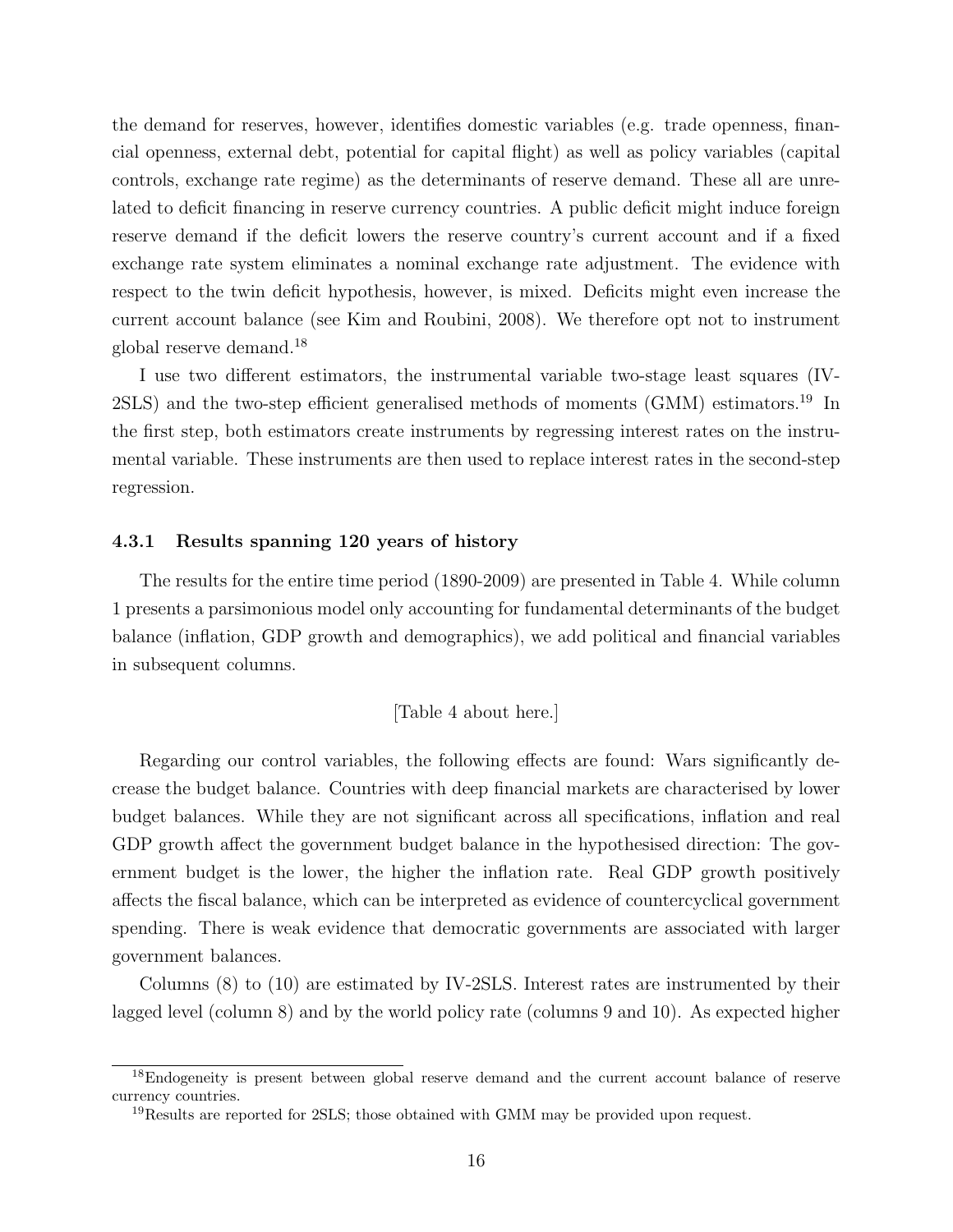the demand for reserves, however, identifies domestic variables (e.g. trade openness, financial openness, external debt, potential for capital flight) as well as policy variables (capital controls, exchange rate regime) as the determinants of reserve demand. These all are unrelated to deficit financing in reserve currency countries. A public deficit might induce foreign reserve demand if the deficit lowers the reserve country's current account and if a fixed exchange rate system eliminates a nominal exchange rate adjustment. The evidence with respect to the twin deficit hypothesis, however, is mixed. Deficits might even increase the current account balance (see Kim and Roubini, 2008). We therefore opt not to instrument global reserve demand.<sup>18</sup>

I use two different estimators, the instrumental variable two-stage least squares (IV-2SLS) and the two-step efficient generalised methods of moments (GMM) estimators.<sup>19</sup> In the first step, both estimators create instruments by regressing interest rates on the instrumental variable. These instruments are then used to replace interest rates in the second-step regression.

#### 4.3.1 Results spanning 120 years of history

The results for the entire time period (1890-2009) are presented in Table 4. While column 1 presents a parsimonious model only accounting for fundamental determinants of the budget balance (inflation, GDP growth and demographics), we add political and financial variables in subsequent columns.

[Table 4 about here.]

Regarding our control variables, the following effects are found: Wars significantly decrease the budget balance. Countries with deep financial markets are characterised by lower budget balances. While they are not significant across all specifications, inflation and real GDP growth affect the government budget balance in the hypothesised direction: The government budget is the lower, the higher the inflation rate. Real GDP growth positively affects the fiscal balance, which can be interpreted as evidence of countercyclical government spending. There is weak evidence that democratic governments are associated with larger government balances.

Columns (8) to (10) are estimated by IV-2SLS. Interest rates are instrumented by their lagged level (column 8) and by the world policy rate (columns 9 and 10). As expected higher

<sup>&</sup>lt;sup>18</sup>Endogeneity is present between global reserve demand and the current account balance of reserve currency countries.

<sup>19</sup>Results are reported for 2SLS; those obtained with GMM may be provided upon request.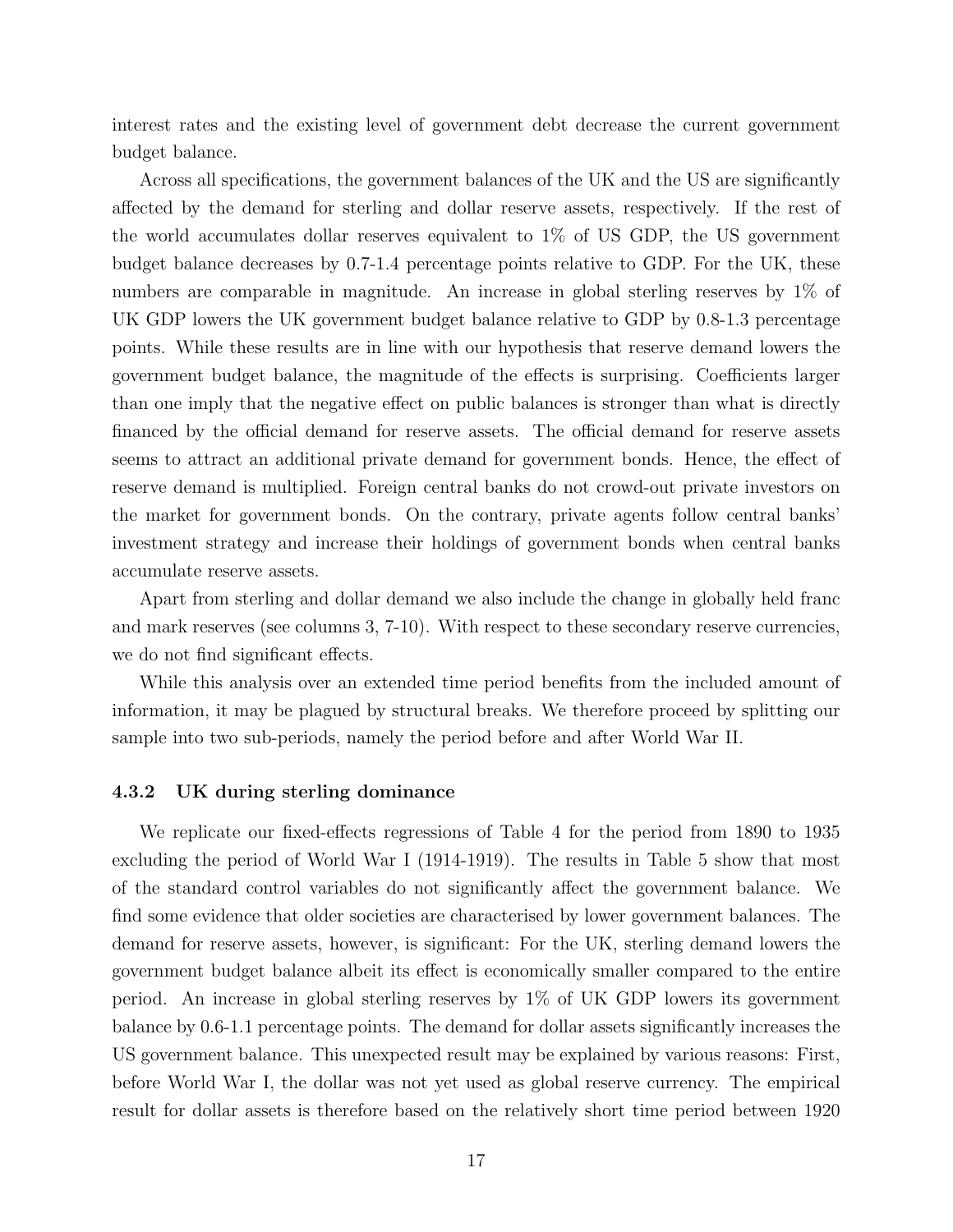interest rates and the existing level of government debt decrease the current government budget balance.

Across all specifications, the government balances of the UK and the US are significantly affected by the demand for sterling and dollar reserve assets, respectively. If the rest of the world accumulates dollar reserves equivalent to 1% of US GDP, the US government budget balance decreases by 0.7-1.4 percentage points relative to GDP. For the UK, these numbers are comparable in magnitude. An increase in global sterling reserves by 1% of UK GDP lowers the UK government budget balance relative to GDP by 0.8-1.3 percentage points. While these results are in line with our hypothesis that reserve demand lowers the government budget balance, the magnitude of the effects is surprising. Coefficients larger than one imply that the negative effect on public balances is stronger than what is directly financed by the official demand for reserve assets. The official demand for reserve assets seems to attract an additional private demand for government bonds. Hence, the effect of reserve demand is multiplied. Foreign central banks do not crowd-out private investors on the market for government bonds. On the contrary, private agents follow central banks' investment strategy and increase their holdings of government bonds when central banks accumulate reserve assets.

Apart from sterling and dollar demand we also include the change in globally held franc and mark reserves (see columns 3, 7-10). With respect to these secondary reserve currencies, we do not find significant effects.

While this analysis over an extended time period benefits from the included amount of information, it may be plagued by structural breaks. We therefore proceed by splitting our sample into two sub-periods, namely the period before and after World War II.

#### 4.3.2 UK during sterling dominance

We replicate our fixed-effects regressions of Table 4 for the period from 1890 to 1935 excluding the period of World War I (1914-1919). The results in Table 5 show that most of the standard control variables do not significantly affect the government balance. We find some evidence that older societies are characterised by lower government balances. The demand for reserve assets, however, is significant: For the UK, sterling demand lowers the government budget balance albeit its effect is economically smaller compared to the entire period. An increase in global sterling reserves by 1% of UK GDP lowers its government balance by 0.6-1.1 percentage points. The demand for dollar assets significantly increases the US government balance. This unexpected result may be explained by various reasons: First, before World War I, the dollar was not yet used as global reserve currency. The empirical result for dollar assets is therefore based on the relatively short time period between 1920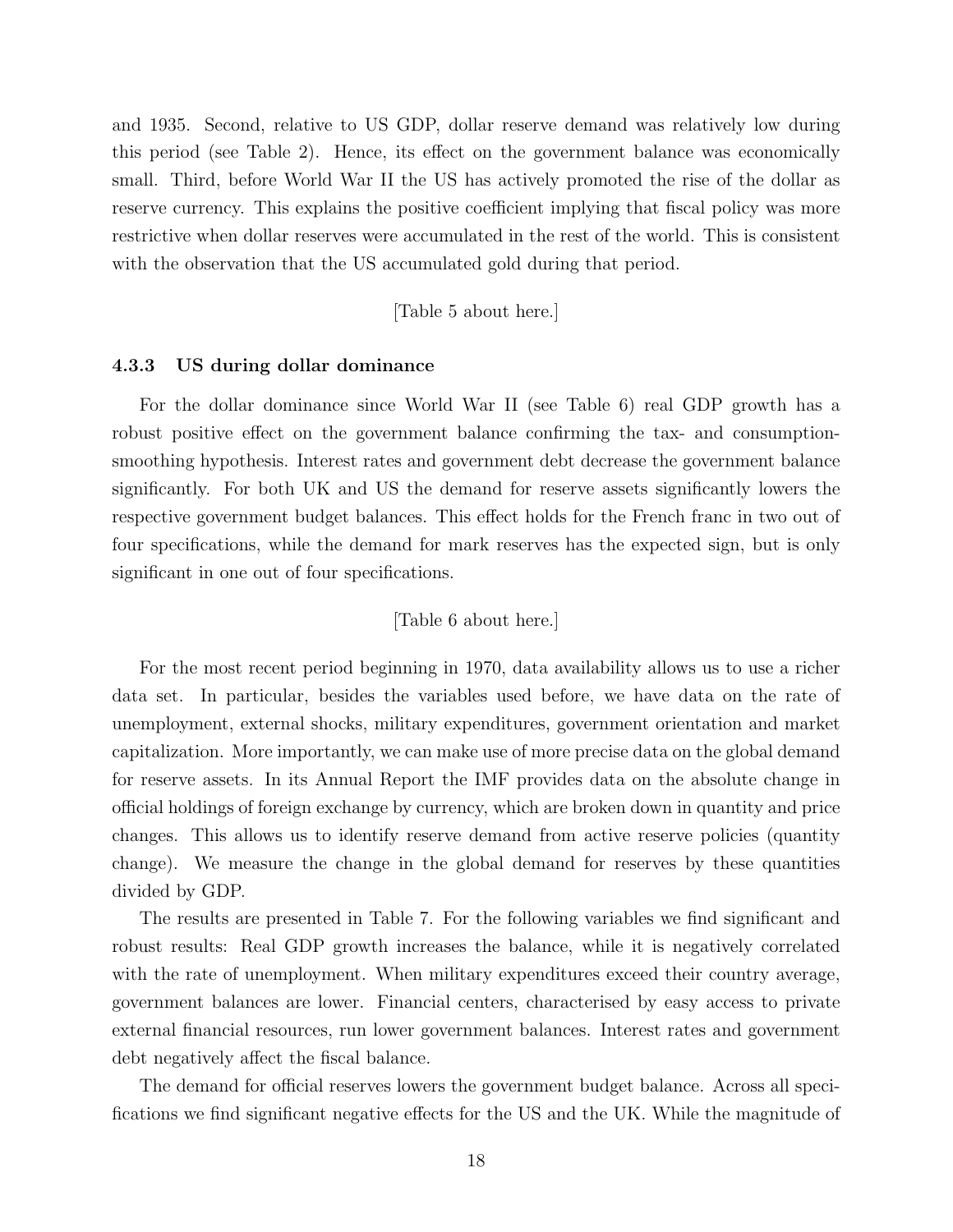and 1935. Second, relative to US GDP, dollar reserve demand was relatively low during this period (see Table 2). Hence, its effect on the government balance was economically small. Third, before World War II the US has actively promoted the rise of the dollar as reserve currency. This explains the positive coefficient implying that fiscal policy was more restrictive when dollar reserves were accumulated in the rest of the world. This is consistent with the observation that the US accumulated gold during that period.

[Table 5 about here.]

#### 4.3.3 US during dollar dominance

For the dollar dominance since World War II (see Table 6) real GDP growth has a robust positive effect on the government balance confirming the tax- and consumptionsmoothing hypothesis. Interest rates and government debt decrease the government balance significantly. For both UK and US the demand for reserve assets significantly lowers the respective government budget balances. This effect holds for the French franc in two out of four specifications, while the demand for mark reserves has the expected sign, but is only significant in one out of four specifications.

#### [Table 6 about here.]

For the most recent period beginning in 1970, data availability allows us to use a richer data set. In particular, besides the variables used before, we have data on the rate of unemployment, external shocks, military expenditures, government orientation and market capitalization. More importantly, we can make use of more precise data on the global demand for reserve assets. In its Annual Report the IMF provides data on the absolute change in official holdings of foreign exchange by currency, which are broken down in quantity and price changes. This allows us to identify reserve demand from active reserve policies (quantity change). We measure the change in the global demand for reserves by these quantities divided by GDP.

The results are presented in Table 7. For the following variables we find significant and robust results: Real GDP growth increases the balance, while it is negatively correlated with the rate of unemployment. When military expenditures exceed their country average, government balances are lower. Financial centers, characterised by easy access to private external financial resources, run lower government balances. Interest rates and government debt negatively affect the fiscal balance.

The demand for official reserves lowers the government budget balance. Across all specifications we find significant negative effects for the US and the UK. While the magnitude of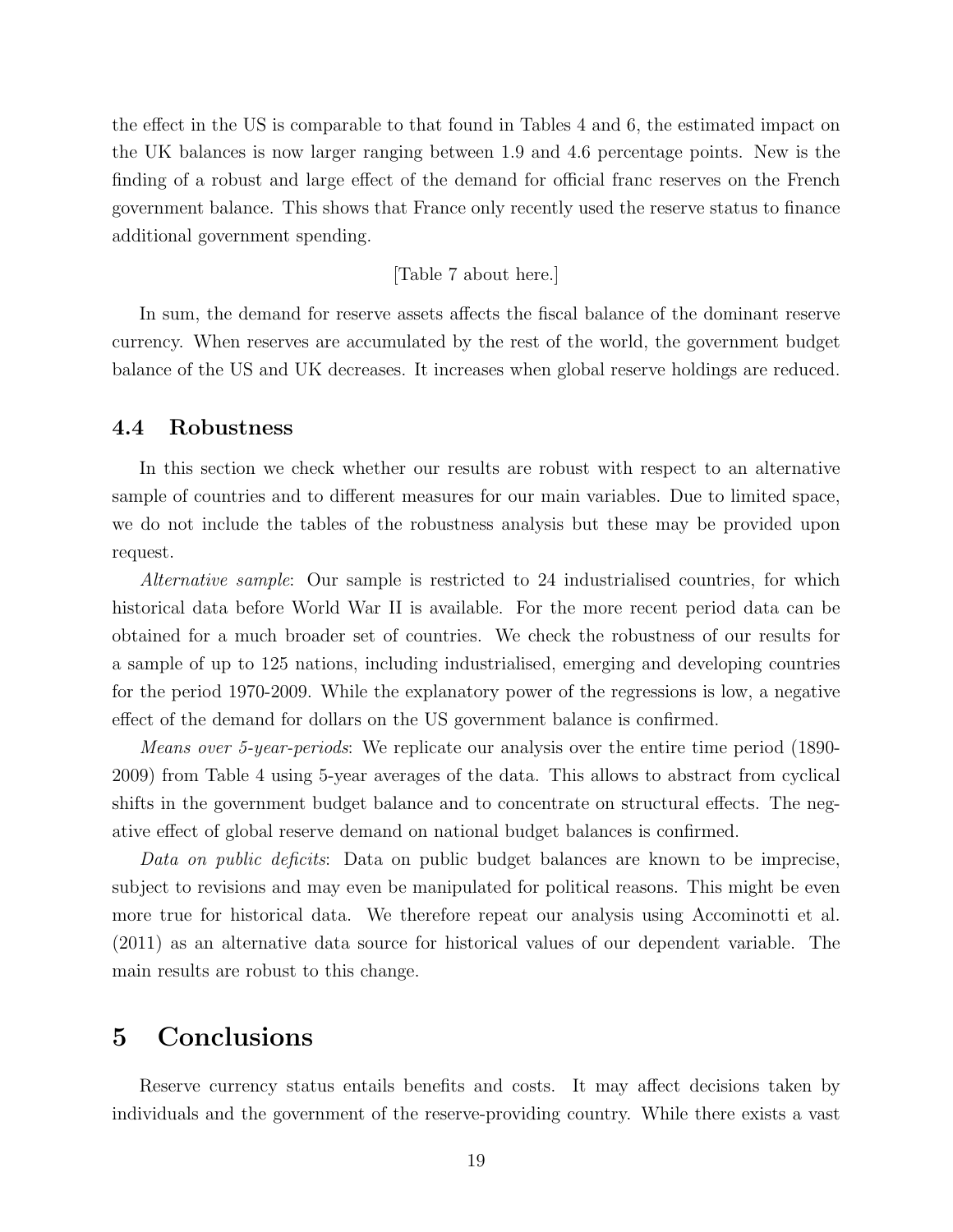the effect in the US is comparable to that found in Tables 4 and 6, the estimated impact on the UK balances is now larger ranging between 1.9 and 4.6 percentage points. New is the finding of a robust and large effect of the demand for official franc reserves on the French government balance. This shows that France only recently used the reserve status to finance additional government spending.

#### [Table 7 about here.]

In sum, the demand for reserve assets affects the fiscal balance of the dominant reserve currency. When reserves are accumulated by the rest of the world, the government budget balance of the US and UK decreases. It increases when global reserve holdings are reduced.

#### 4.4 Robustness

In this section we check whether our results are robust with respect to an alternative sample of countries and to different measures for our main variables. Due to limited space, we do not include the tables of the robustness analysis but these may be provided upon request.

Alternative sample: Our sample is restricted to 24 industrialised countries, for which historical data before World War II is available. For the more recent period data can be obtained for a much broader set of countries. We check the robustness of our results for a sample of up to 125 nations, including industrialised, emerging and developing countries for the period 1970-2009. While the explanatory power of the regressions is low, a negative effect of the demand for dollars on the US government balance is confirmed.

Means over 5-year-periods: We replicate our analysis over the entire time period (1890- 2009) from Table 4 using 5-year averages of the data. This allows to abstract from cyclical shifts in the government budget balance and to concentrate on structural effects. The negative effect of global reserve demand on national budget balances is confirmed.

Data on public deficits: Data on public budget balances are known to be imprecise, subject to revisions and may even be manipulated for political reasons. This might be even more true for historical data. We therefore repeat our analysis using Accominotti et al. (2011) as an alternative data source for historical values of our dependent variable. The main results are robust to this change.

### 5 Conclusions

Reserve currency status entails benefits and costs. It may affect decisions taken by individuals and the government of the reserve-providing country. While there exists a vast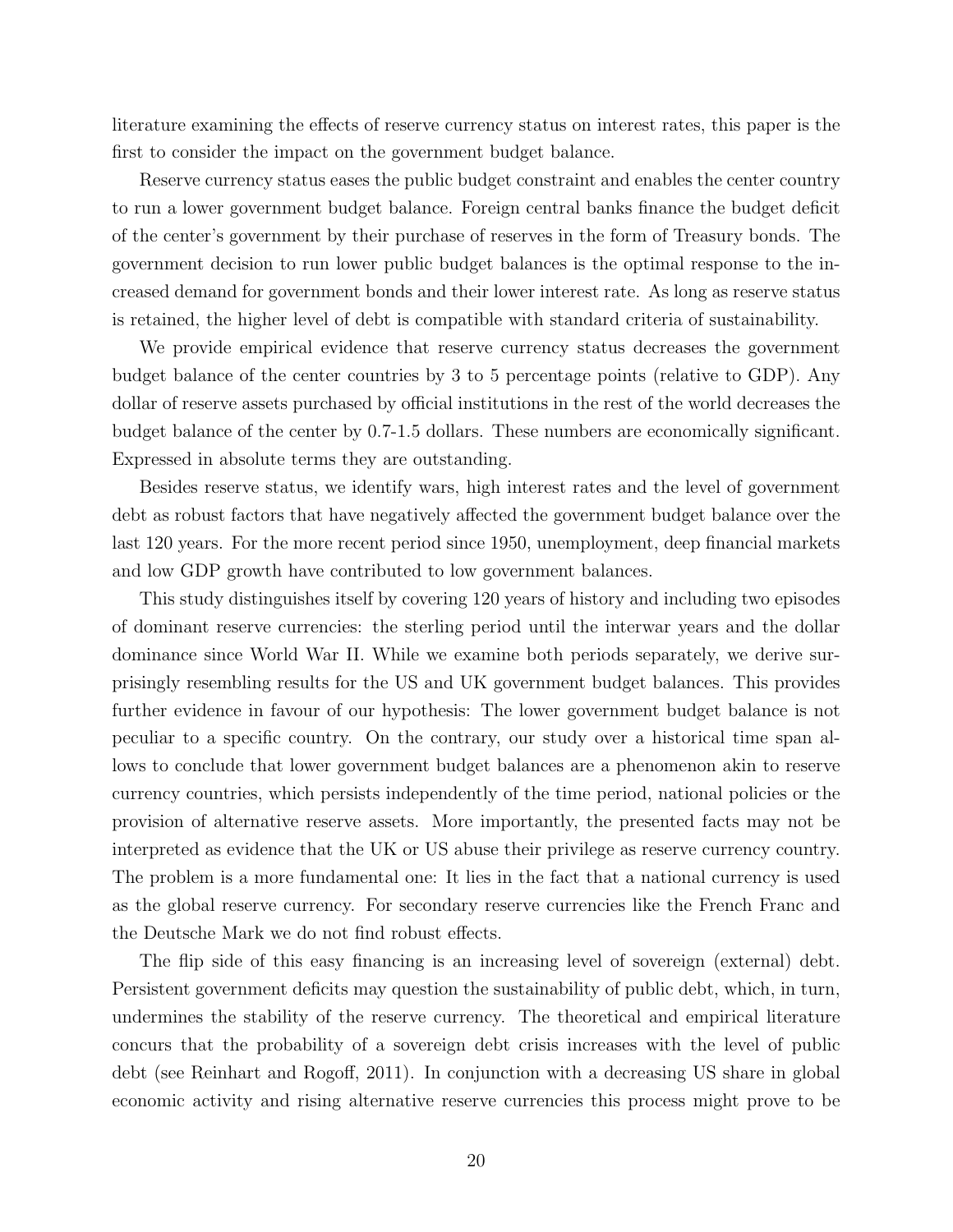literature examining the effects of reserve currency status on interest rates, this paper is the first to consider the impact on the government budget balance.

Reserve currency status eases the public budget constraint and enables the center country to run a lower government budget balance. Foreign central banks finance the budget deficit of the center's government by their purchase of reserves in the form of Treasury bonds. The government decision to run lower public budget balances is the optimal response to the increased demand for government bonds and their lower interest rate. As long as reserve status is retained, the higher level of debt is compatible with standard criteria of sustainability.

We provide empirical evidence that reserve currency status decreases the government budget balance of the center countries by 3 to 5 percentage points (relative to GDP). Any dollar of reserve assets purchased by official institutions in the rest of the world decreases the budget balance of the center by 0.7-1.5 dollars. These numbers are economically significant. Expressed in absolute terms they are outstanding.

Besides reserve status, we identify wars, high interest rates and the level of government debt as robust factors that have negatively affected the government budget balance over the last 120 years. For the more recent period since 1950, unemployment, deep financial markets and low GDP growth have contributed to low government balances.

This study distinguishes itself by covering 120 years of history and including two episodes of dominant reserve currencies: the sterling period until the interwar years and the dollar dominance since World War II. While we examine both periods separately, we derive surprisingly resembling results for the US and UK government budget balances. This provides further evidence in favour of our hypothesis: The lower government budget balance is not peculiar to a specific country. On the contrary, our study over a historical time span allows to conclude that lower government budget balances are a phenomenon akin to reserve currency countries, which persists independently of the time period, national policies or the provision of alternative reserve assets. More importantly, the presented facts may not be interpreted as evidence that the UK or US abuse their privilege as reserve currency country. The problem is a more fundamental one: It lies in the fact that a national currency is used as the global reserve currency. For secondary reserve currencies like the French Franc and the Deutsche Mark we do not find robust effects.

The flip side of this easy financing is an increasing level of sovereign (external) debt. Persistent government deficits may question the sustainability of public debt, which, in turn, undermines the stability of the reserve currency. The theoretical and empirical literature concurs that the probability of a sovereign debt crisis increases with the level of public debt (see Reinhart and Rogoff, 2011). In conjunction with a decreasing US share in global economic activity and rising alternative reserve currencies this process might prove to be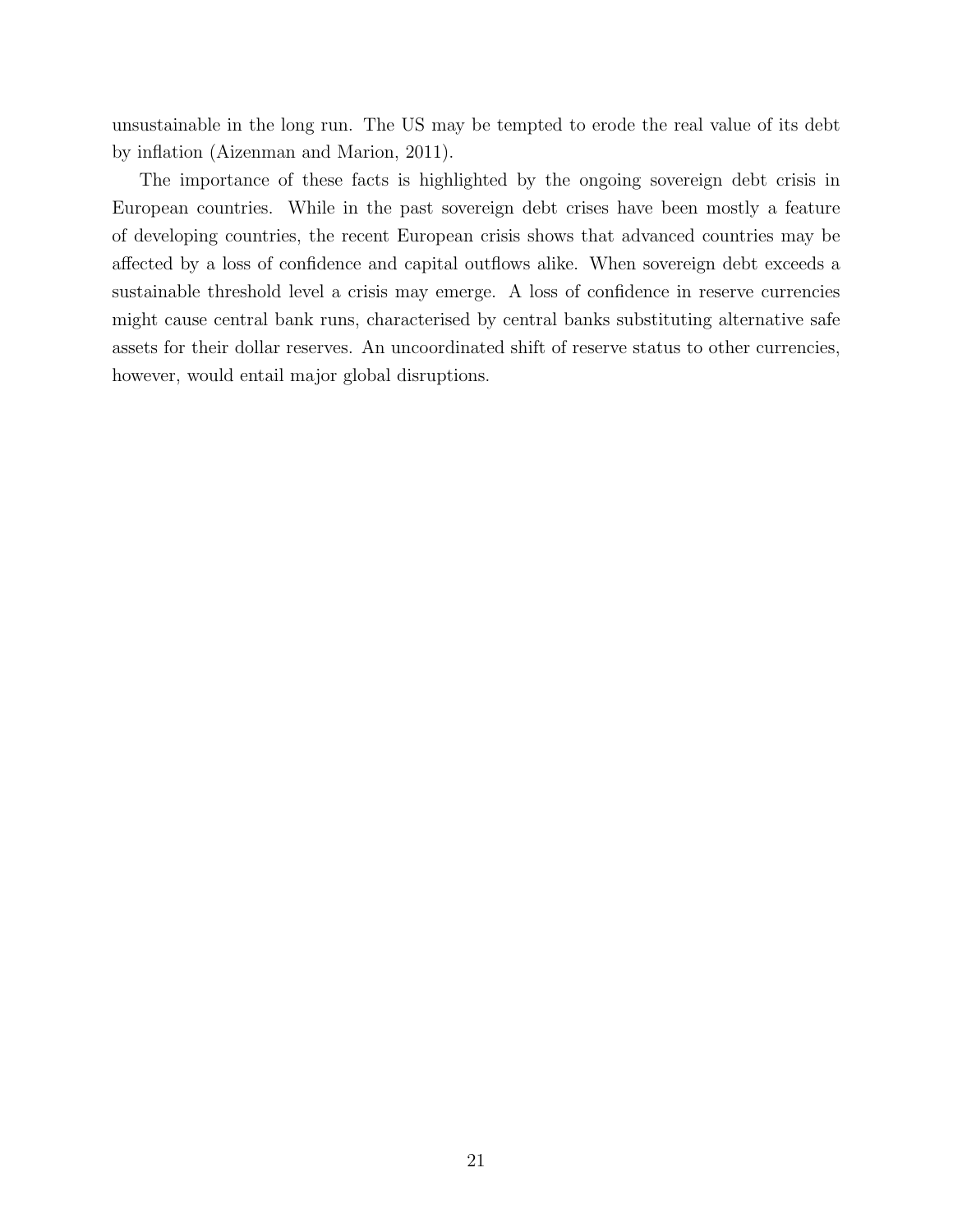unsustainable in the long run. The US may be tempted to erode the real value of its debt by inflation (Aizenman and Marion, 2011).

The importance of these facts is highlighted by the ongoing sovereign debt crisis in European countries. While in the past sovereign debt crises have been mostly a feature of developing countries, the recent European crisis shows that advanced countries may be affected by a loss of confidence and capital outflows alike. When sovereign debt exceeds a sustainable threshold level a crisis may emerge. A loss of confidence in reserve currencies might cause central bank runs, characterised by central banks substituting alternative safe assets for their dollar reserves. An uncoordinated shift of reserve status to other currencies, however, would entail major global disruptions.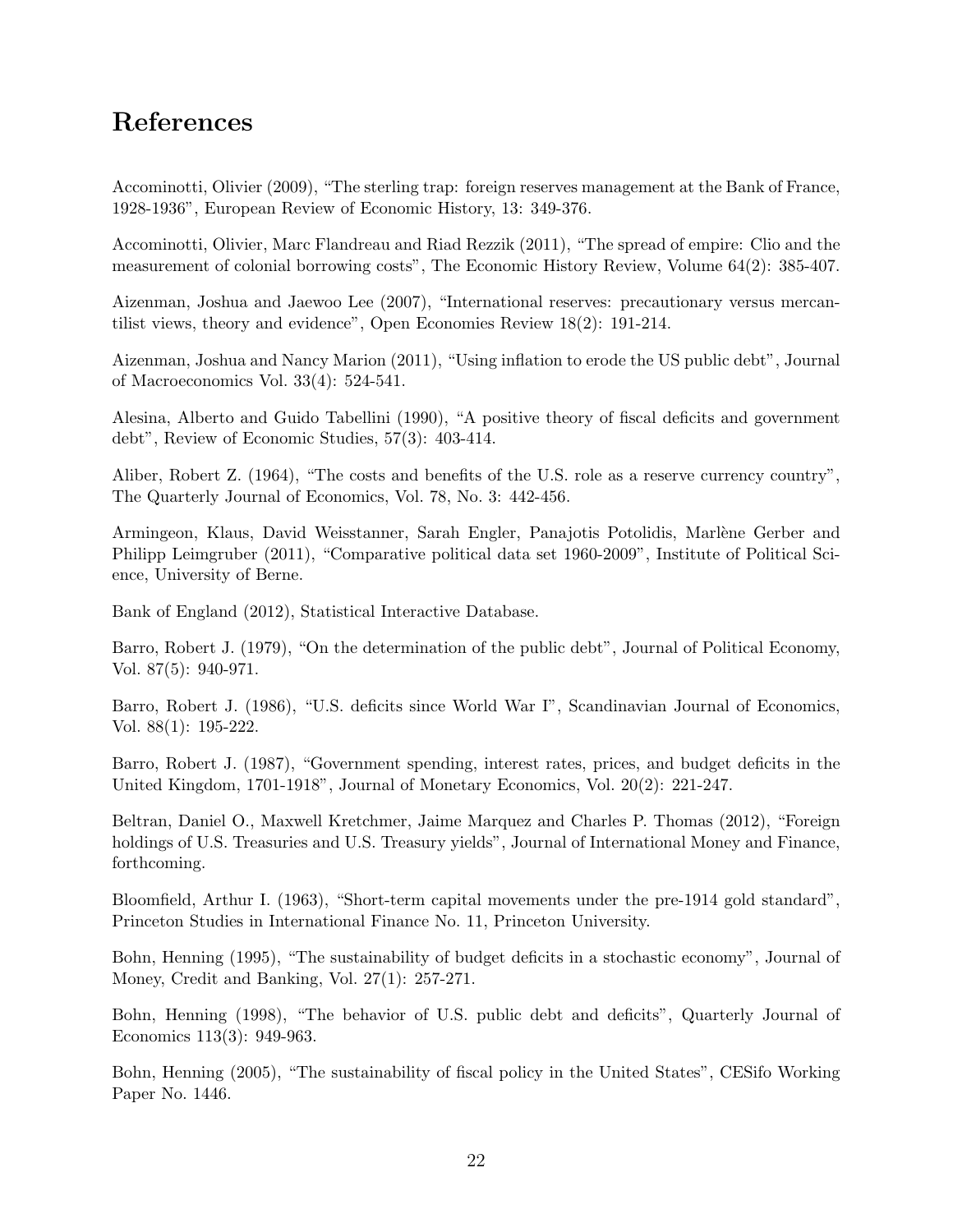# References

Accominotti, Olivier (2009), "The sterling trap: foreign reserves management at the Bank of France, 1928-1936", European Review of Economic History, 13: 349-376.

Accominotti, Olivier, Marc Flandreau and Riad Rezzik (2011), "The spread of empire: Clio and the measurement of colonial borrowing costs", The Economic History Review, Volume 64(2): 385-407.

Aizenman, Joshua and Jaewoo Lee (2007), "International reserves: precautionary versus mercantilist views, theory and evidence", Open Economies Review 18(2): 191-214.

Aizenman, Joshua and Nancy Marion (2011), "Using inflation to erode the US public debt", Journal of Macroeconomics Vol. 33(4): 524-541.

Alesina, Alberto and Guido Tabellini (1990), "A positive theory of fiscal deficits and government debt", Review of Economic Studies, 57(3): 403-414.

Aliber, Robert Z. (1964), "The costs and benefits of the U.S. role as a reserve currency country", The Quarterly Journal of Economics, Vol. 78, No. 3: 442-456.

Armingeon, Klaus, David Weisstanner, Sarah Engler, Panajotis Potolidis, Marlène Gerber and Philipp Leimgruber (2011), "Comparative political data set 1960-2009", Institute of Political Science, University of Berne.

Bank of England (2012), Statistical Interactive Database.

Barro, Robert J. (1979), "On the determination of the public debt", Journal of Political Economy, Vol. 87(5): 940-971.

Barro, Robert J. (1986), "U.S. deficits since World War I", Scandinavian Journal of Economics, Vol. 88(1): 195-222.

Barro, Robert J. (1987), "Government spending, interest rates, prices, and budget deficits in the United Kingdom, 1701-1918", Journal of Monetary Economics, Vol. 20(2): 221-247.

Beltran, Daniel O., Maxwell Kretchmer, Jaime Marquez and Charles P. Thomas (2012), "Foreign holdings of U.S. Treasuries and U.S. Treasury yields", Journal of International Money and Finance, forthcoming.

Bloomfield, Arthur I. (1963), "Short-term capital movements under the pre-1914 gold standard", Princeton Studies in International Finance No. 11, Princeton University.

Bohn, Henning (1995), "The sustainability of budget deficits in a stochastic economy", Journal of Money, Credit and Banking, Vol. 27(1): 257-271.

Bohn, Henning (1998), "The behavior of U.S. public debt and deficits", Quarterly Journal of Economics 113(3): 949-963.

Bohn, Henning (2005), "The sustainability of fiscal policy in the United States", CESifo Working Paper No. 1446.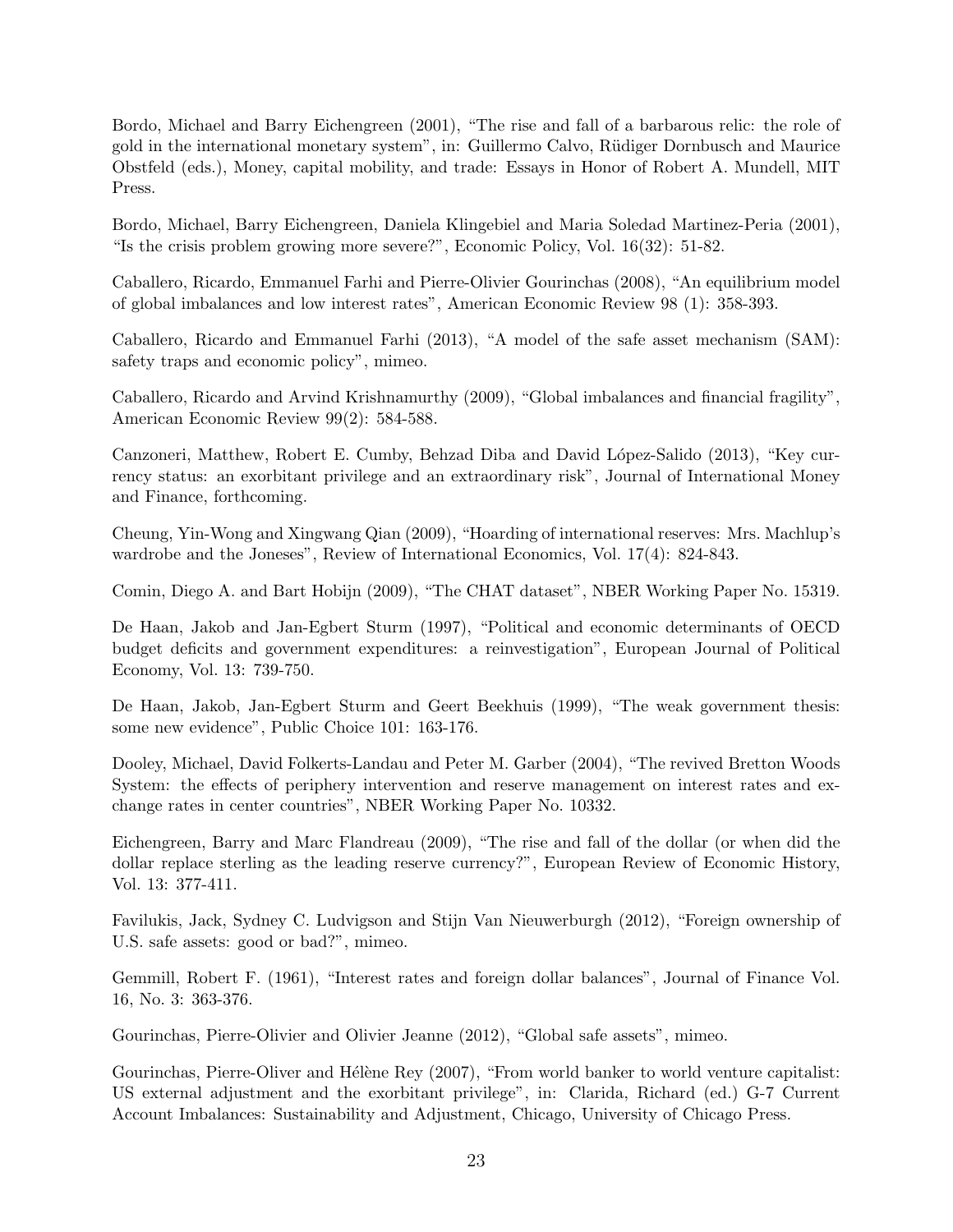Bordo, Michael and Barry Eichengreen (2001), "The rise and fall of a barbarous relic: the role of gold in the international monetary system", in: Guillermo Calvo, Rüdiger Dornbusch and Maurice Obstfeld (eds.), Money, capital mobility, and trade: Essays in Honor of Robert A. Mundell, MIT Press.

Bordo, Michael, Barry Eichengreen, Daniela Klingebiel and Maria Soledad Martinez-Peria (2001), "Is the crisis problem growing more severe?", Economic Policy, Vol. 16(32): 51-82.

Caballero, Ricardo, Emmanuel Farhi and Pierre-Olivier Gourinchas (2008), "An equilibrium model of global imbalances and low interest rates", American Economic Review 98 (1): 358-393.

Caballero, Ricardo and Emmanuel Farhi (2013), "A model of the safe asset mechanism (SAM): safety traps and economic policy", mimeo.

Caballero, Ricardo and Arvind Krishnamurthy (2009), "Global imbalances and financial fragility", American Economic Review 99(2): 584-588.

Canzoneri, Matthew, Robert E. Cumby, Behzad Diba and David López-Salido (2013), "Key currency status: an exorbitant privilege and an extraordinary risk", Journal of International Money and Finance, forthcoming.

Cheung, Yin-Wong and Xingwang Qian (2009), "Hoarding of international reserves: Mrs. Machlup's wardrobe and the Joneses", Review of International Economics, Vol. 17(4): 824-843.

Comin, Diego A. and Bart Hobijn (2009), "The CHAT dataset", NBER Working Paper No. 15319.

De Haan, Jakob and Jan-Egbert Sturm (1997), "Political and economic determinants of OECD budget deficits and government expenditures: a reinvestigation", European Journal of Political Economy, Vol. 13: 739-750.

De Haan, Jakob, Jan-Egbert Sturm and Geert Beekhuis (1999), "The weak government thesis: some new evidence", Public Choice 101: 163-176.

Dooley, Michael, David Folkerts-Landau and Peter M. Garber (2004), "The revived Bretton Woods System: the effects of periphery intervention and reserve management on interest rates and exchange rates in center countries", NBER Working Paper No. 10332.

Eichengreen, Barry and Marc Flandreau (2009), "The rise and fall of the dollar (or when did the dollar replace sterling as the leading reserve currency?", European Review of Economic History, Vol. 13: 377-411.

Favilukis, Jack, Sydney C. Ludvigson and Stijn Van Nieuwerburgh (2012), "Foreign ownership of U.S. safe assets: good or bad?", mimeo.

Gemmill, Robert F. (1961), "Interest rates and foreign dollar balances", Journal of Finance Vol. 16, No. 3: 363-376.

Gourinchas, Pierre-Olivier and Olivier Jeanne (2012), "Global safe assets", mimeo.

Gourinchas, Pierre-Oliver and Hélène Rey (2007), "From world banker to world venture capitalist: US external adjustment and the exorbitant privilege", in: Clarida, Richard (ed.) G-7 Current Account Imbalances: Sustainability and Adjustment, Chicago, University of Chicago Press.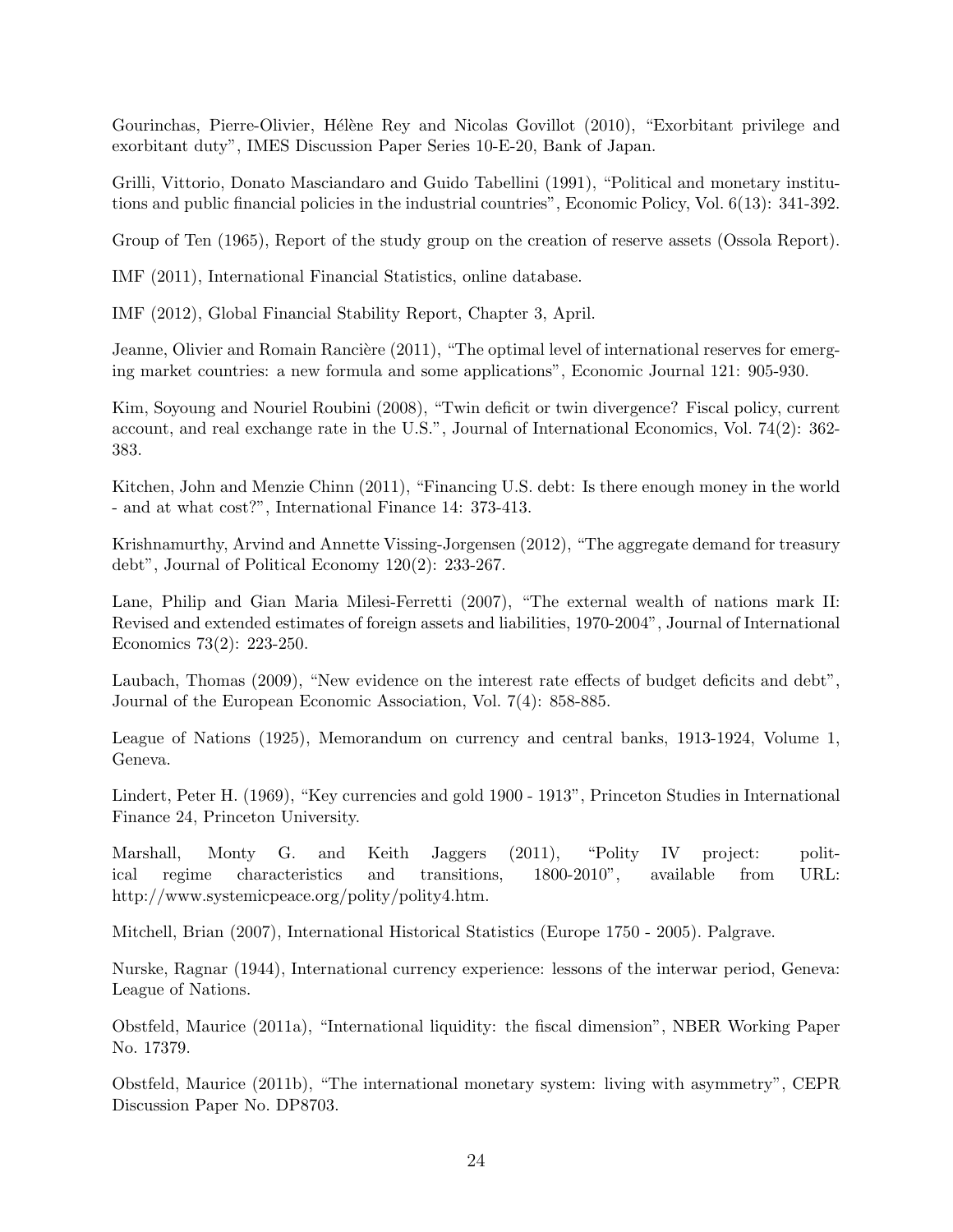Gourinchas, Pierre-Olivier, Hélène Rey and Nicolas Govillot (2010), "Exorbitant privilege and exorbitant duty", IMES Discussion Paper Series 10-E-20, Bank of Japan.

Grilli, Vittorio, Donato Masciandaro and Guido Tabellini (1991), "Political and monetary institutions and public financial policies in the industrial countries", Economic Policy, Vol. 6(13): 341-392.

Group of Ten (1965), Report of the study group on the creation of reserve assets (Ossola Report).

IMF (2011), International Financial Statistics, online database.

IMF (2012), Global Financial Stability Report, Chapter 3, April.

Jeanne, Olivier and Romain Rancière (2011), "The optimal level of international reserves for emerging market countries: a new formula and some applications", Economic Journal 121: 905-930.

Kim, Soyoung and Nouriel Roubini (2008), "Twin deficit or twin divergence? Fiscal policy, current account, and real exchange rate in the U.S.", Journal of International Economics, Vol. 74(2): 362- 383.

Kitchen, John and Menzie Chinn (2011), "Financing U.S. debt: Is there enough money in the world - and at what cost?", International Finance 14: 373-413.

Krishnamurthy, Arvind and Annette Vissing-Jorgensen (2012), "The aggregate demand for treasury debt", Journal of Political Economy 120(2): 233-267.

Lane, Philip and Gian Maria Milesi-Ferretti (2007), "The external wealth of nations mark II: Revised and extended estimates of foreign assets and liabilities, 1970-2004", Journal of International Economics 73(2): 223-250.

Laubach, Thomas (2009), "New evidence on the interest rate effects of budget deficits and debt", Journal of the European Economic Association, Vol. 7(4): 858-885.

League of Nations (1925), Memorandum on currency and central banks, 1913-1924, Volume 1, Geneva.

Lindert, Peter H. (1969), "Key currencies and gold 1900 - 1913", Princeton Studies in International Finance 24, Princeton University.

Marshall, Monty G. and Keith Jaggers (2011), "Polity IV project: political regime characteristics and transitions, 1800-2010", available from URL: http://www.systemicpeace.org/polity/polity4.htm.

Mitchell, Brian (2007), International Historical Statistics (Europe 1750 - 2005). Palgrave.

Nurske, Ragnar (1944), International currency experience: lessons of the interwar period, Geneva: League of Nations.

Obstfeld, Maurice (2011a), "International liquidity: the fiscal dimension", NBER Working Paper No. 17379.

Obstfeld, Maurice (2011b), "The international monetary system: living with asymmetry", CEPR Discussion Paper No. DP8703.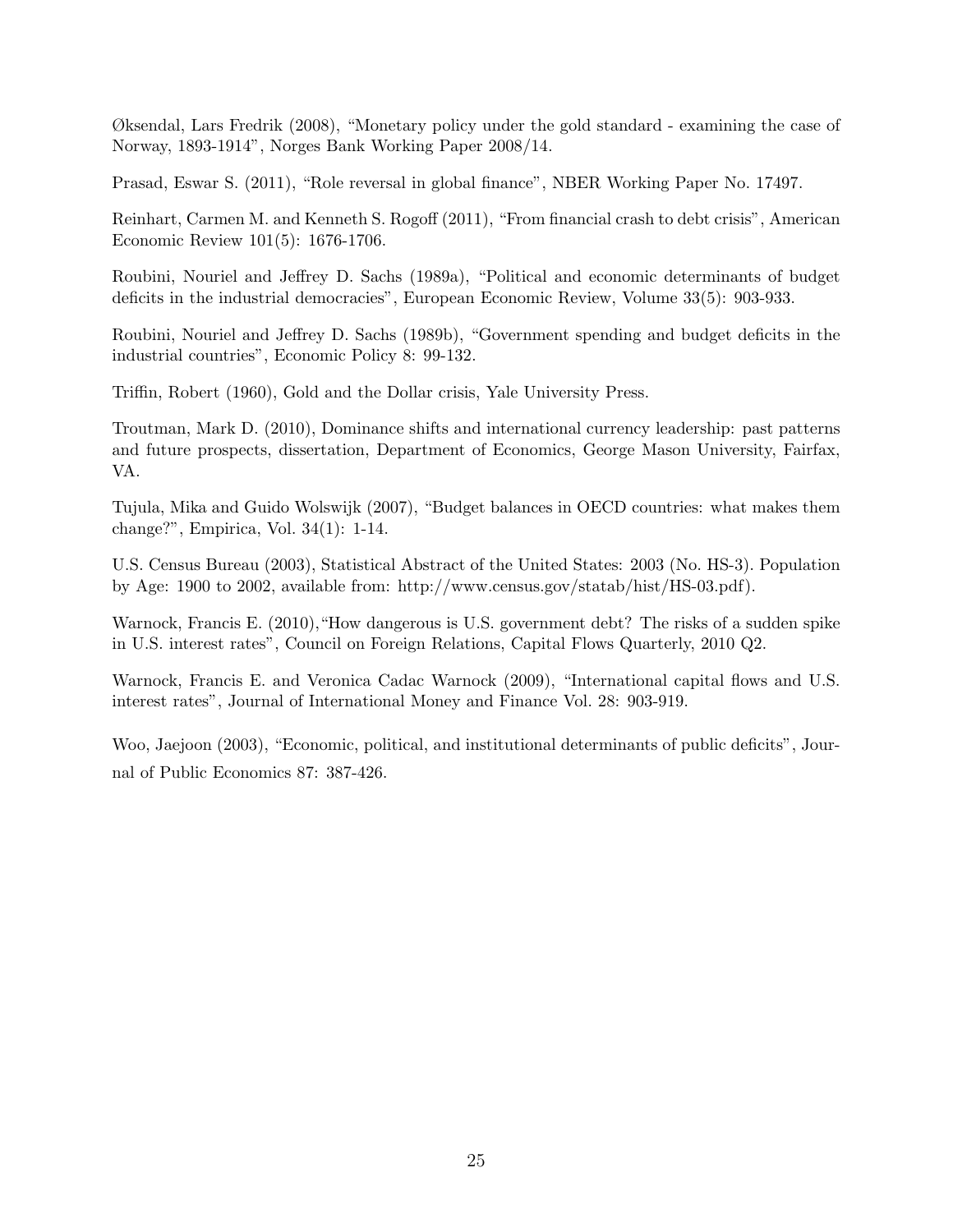Øksendal, Lars Fredrik (2008), "Monetary policy under the gold standard - examining the case of Norway, 1893-1914", Norges Bank Working Paper 2008/14.

Prasad, Eswar S. (2011), "Role reversal in global finance", NBER Working Paper No. 17497.

Reinhart, Carmen M. and Kenneth S. Rogoff (2011), "From financial crash to debt crisis", American Economic Review 101(5): 1676-1706.

Roubini, Nouriel and Jeffrey D. Sachs (1989a), "Political and economic determinants of budget deficits in the industrial democracies", European Economic Review, Volume 33(5): 903-933.

Roubini, Nouriel and Jeffrey D. Sachs (1989b), "Government spending and budget deficits in the industrial countries", Economic Policy 8: 99-132.

Triffin, Robert (1960), Gold and the Dollar crisis, Yale University Press.

Troutman, Mark D. (2010), Dominance shifts and international currency leadership: past patterns and future prospects, dissertation, Department of Economics, George Mason University, Fairfax, VA.

Tujula, Mika and Guido Wolswijk (2007), "Budget balances in OECD countries: what makes them change?", Empirica, Vol. 34(1): 1-14.

U.S. Census Bureau (2003), Statistical Abstract of the United States: 2003 (No. HS-3). Population by Age: 1900 to 2002, available from: http://www.census.gov/statab/hist/HS-03.pdf).

Warnock, Francis E. (2010), "How dangerous is U.S. government debt? The risks of a sudden spike in U.S. interest rates", Council on Foreign Relations, Capital Flows Quarterly, 2010 Q2.

Warnock, Francis E. and Veronica Cadac Warnock (2009), "International capital flows and U.S. interest rates", Journal of International Money and Finance Vol. 28: 903-919.

Woo, Jaejoon (2003), "Economic, political, and institutional determinants of public deficits", Journal of Public Economics 87: 387-426.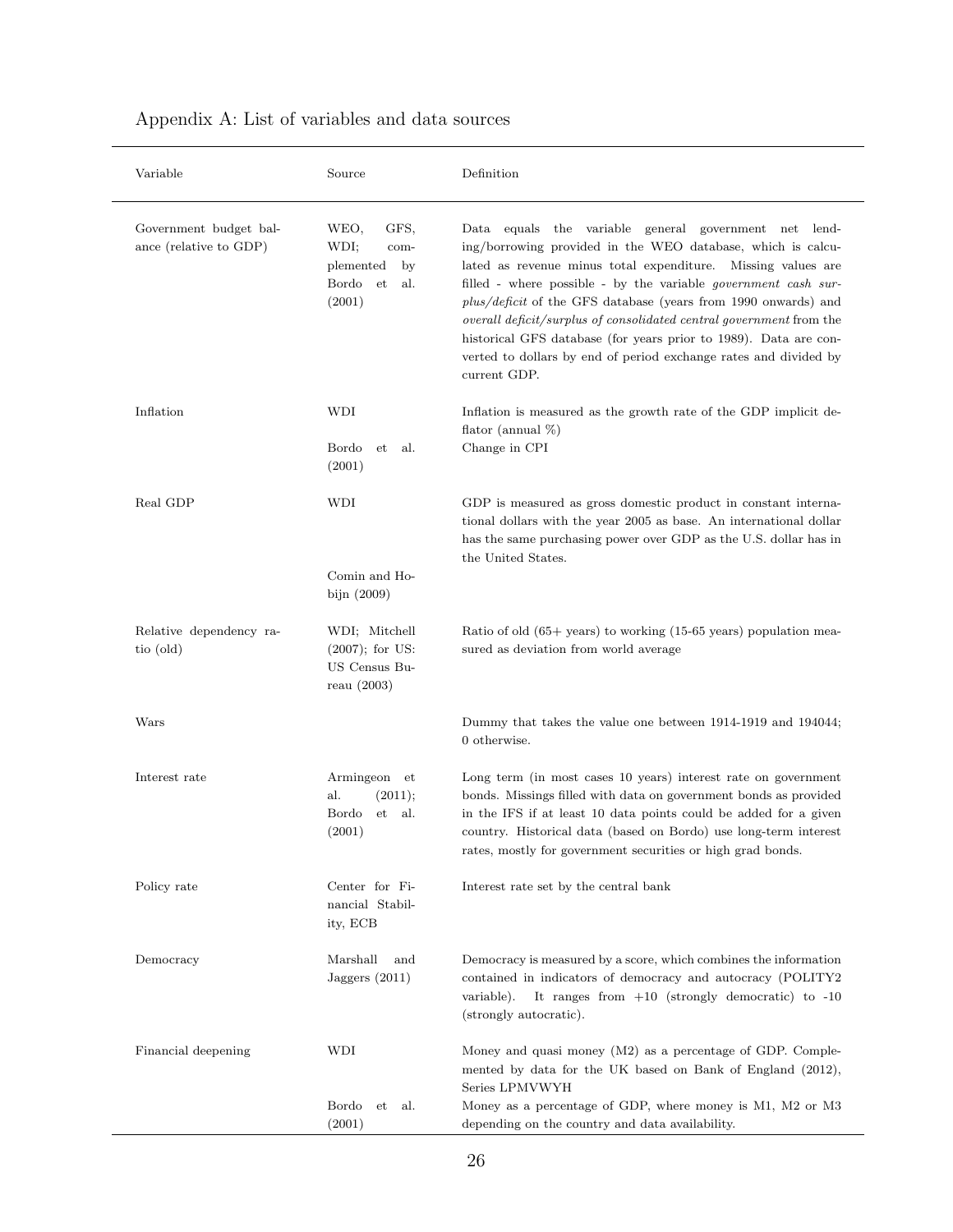| Variable                                         | Source                                                                                 | Definition                                                                                                                                                                                                                                                                                                                                                                                                                                                                                                                                                     |
|--------------------------------------------------|----------------------------------------------------------------------------------------|----------------------------------------------------------------------------------------------------------------------------------------------------------------------------------------------------------------------------------------------------------------------------------------------------------------------------------------------------------------------------------------------------------------------------------------------------------------------------------------------------------------------------------------------------------------|
| Government budget bal-<br>ance (relative to GDP) | GFS,<br>WEO,<br>WDI;<br>com-<br>plemented<br>by<br>Bordo<br>et<br>al.<br>(2001)        | Data equals the variable general government net lend-<br>ing/borrowing provided in the WEO database, which is calcu-<br>lated as revenue minus total expenditure. Missing values are<br>filled - where possible - by the variable <i>government</i> cash sur-<br>plus/deficit of the GFS database (years from 1990 onwards) and<br>overall deficit/surplus of consolidated central government from the<br>historical GFS database (for years prior to 1989). Data are con-<br>verted to dollars by end of period exchange rates and divided by<br>current GDP. |
| Inflation                                        | WDI<br>Bordo<br>et<br>al.<br>(2001)                                                    | Inflation is measured as the growth rate of the GDP implicit de-<br>flator (annual $\%$ )<br>Change in CPI                                                                                                                                                                                                                                                                                                                                                                                                                                                     |
| Real GDP                                         | WDI<br>Comin and Ho-                                                                   | GDP is measured as gross domestic product in constant interna-<br>tional dollars with the year 2005 as base. An international dollar<br>has the same purchasing power over GDP as the U.S. dollar has in<br>the United States.                                                                                                                                                                                                                                                                                                                                 |
| Relative dependency ra-<br>tio (old)             | bijn $(2009)$<br>WDI; Mitchell<br>$(2007)$ ; for US:<br>US Census Bu-<br>reau $(2003)$ | Ratio of old $(65+)$ years) to working $(15-65)$ years) population mea-<br>sured as deviation from world average                                                                                                                                                                                                                                                                                                                                                                                                                                               |
| Wars                                             |                                                                                        | Dummy that takes the value one between 1914-1919 and 194044;<br>0 otherwise.                                                                                                                                                                                                                                                                                                                                                                                                                                                                                   |
| Interest rate                                    | Armingeon et<br>al.<br>(2011);<br>Bordo<br>et<br>al.<br>(2001)                         | Long term (in most cases 10 years) interest rate on government<br>bonds. Missings filled with data on government bonds as provided<br>in the IFS if at least 10 data points could be added for a given<br>country. Historical data (based on Bordo) use long-term interest<br>rates, mostly for government securities or high grad bonds.                                                                                                                                                                                                                      |
| Policy rate                                      | Center for Fi-<br>nancial Stabil-<br>ity, ECB                                          | Interest rate set by the central bank                                                                                                                                                                                                                                                                                                                                                                                                                                                                                                                          |
| Democracy                                        | Marshall<br>and<br>Jaggers $(2011)$                                                    | Democracy is measured by a score, which combines the information<br>contained in indicators of democracy and autocracy (POLITY2<br>It ranges from $+10$ (strongly democratic) to $-10$<br>variable).<br>(strongly autocratic).                                                                                                                                                                                                                                                                                                                                 |
| Financial deepening                              | WDI<br>Bordo<br>al.<br>et<br>(2001)                                                    | Money and quasi money $(M2)$ as a percentage of GDP. Comple-<br>mented by data for the UK based on Bank of England (2012),<br>Series LPMVWYH<br>Money as a percentage of GDP, where money is M1, M2 or M3<br>depending on the country and data availability.                                                                                                                                                                                                                                                                                                   |

### Appendix A: List of variables and data sources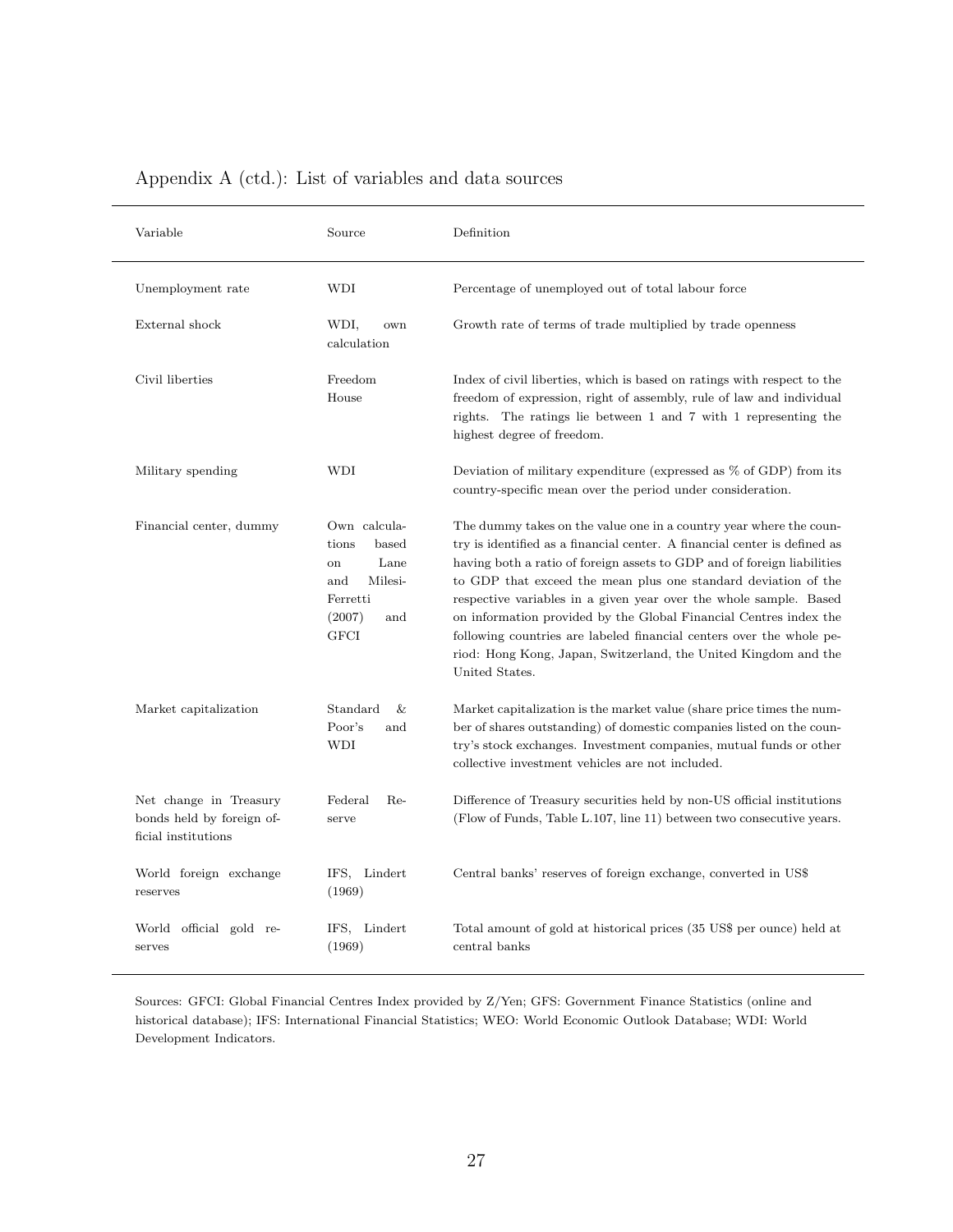| Variable                                                                   | Source                                                                                                     | Definition                                                                                                                                                                                                                                                                                                                                                                                                                                                                                                                                                                                          |
|----------------------------------------------------------------------------|------------------------------------------------------------------------------------------------------------|-----------------------------------------------------------------------------------------------------------------------------------------------------------------------------------------------------------------------------------------------------------------------------------------------------------------------------------------------------------------------------------------------------------------------------------------------------------------------------------------------------------------------------------------------------------------------------------------------------|
| Unemployment rate                                                          | WDI                                                                                                        | Percentage of unemployed out of total labour force                                                                                                                                                                                                                                                                                                                                                                                                                                                                                                                                                  |
| External shock                                                             | WDI,<br>own<br>calculation                                                                                 | Growth rate of terms of trade multiplied by trade openness                                                                                                                                                                                                                                                                                                                                                                                                                                                                                                                                          |
| Civil liberties                                                            | Freedom<br>House                                                                                           | Index of civil liberties, which is based on ratings with respect to the<br>freedom of expression, right of assembly, rule of law and individual<br>rights. The ratings lie between 1 and 7 with 1 representing the<br>highest degree of freedom.                                                                                                                                                                                                                                                                                                                                                    |
| Military spending                                                          | WDI                                                                                                        | Deviation of military expenditure (expressed as % of GDP) from its<br>country-specific mean over the period under consideration.                                                                                                                                                                                                                                                                                                                                                                                                                                                                    |
| Financial center, dummy                                                    | Own calcula-<br>tions<br>based<br>Lane<br>on<br>and<br>Milesi-<br>Ferretti<br>(2007)<br>and<br><b>GFCI</b> | The dummy takes on the value one in a country year where the coun-<br>try is identified as a financial center. A financial center is defined as<br>having both a ratio of foreign assets to GDP and of foreign liabilities<br>to GDP that exceed the mean plus one standard deviation of the<br>respective variables in a given year over the whole sample. Based<br>on information provided by the Global Financial Centres index the<br>following countries are labeled financial centers over the whole pe-<br>riod: Hong Kong, Japan, Switzerland, the United Kingdom and the<br>United States. |
| Market capitalization                                                      | Standard<br>&<br>Poor's<br>and<br>WDI                                                                      | Market capitalization is the market value (share price times the num-<br>ber of shares outstanding) of domestic companies listed on the coun-<br>try's stock exchanges. Investment companies, mutual funds or other<br>collective investment vehicles are not included.                                                                                                                                                                                                                                                                                                                             |
| Net change in Treasury<br>bonds held by foreign of-<br>ficial institutions | Federal<br>Re-<br>serve                                                                                    | Difference of Treasury securities held by non-US official institutions<br>(Flow of Funds, Table L.107, line 11) between two consecutive years.                                                                                                                                                                                                                                                                                                                                                                                                                                                      |
| World foreign exchange<br>reserves                                         | IFS, Lindert<br>(1969)                                                                                     | Central banks' reserves of foreign exchange, converted in US\$                                                                                                                                                                                                                                                                                                                                                                                                                                                                                                                                      |
| World official gold re-<br>serves                                          | IFS, Lindert<br>(1969)                                                                                     | Total amount of gold at historical prices (35 US\$ per ounce) held at<br>central banks                                                                                                                                                                                                                                                                                                                                                                                                                                                                                                              |

### Appendix A (ctd.): List of variables and data sources

Sources: GFCI: Global Financial Centres Index provided by Z/Yen; GFS: Government Finance Statistics (online and historical database); IFS: International Financial Statistics; WEO: World Economic Outlook Database; WDI: World Development Indicators.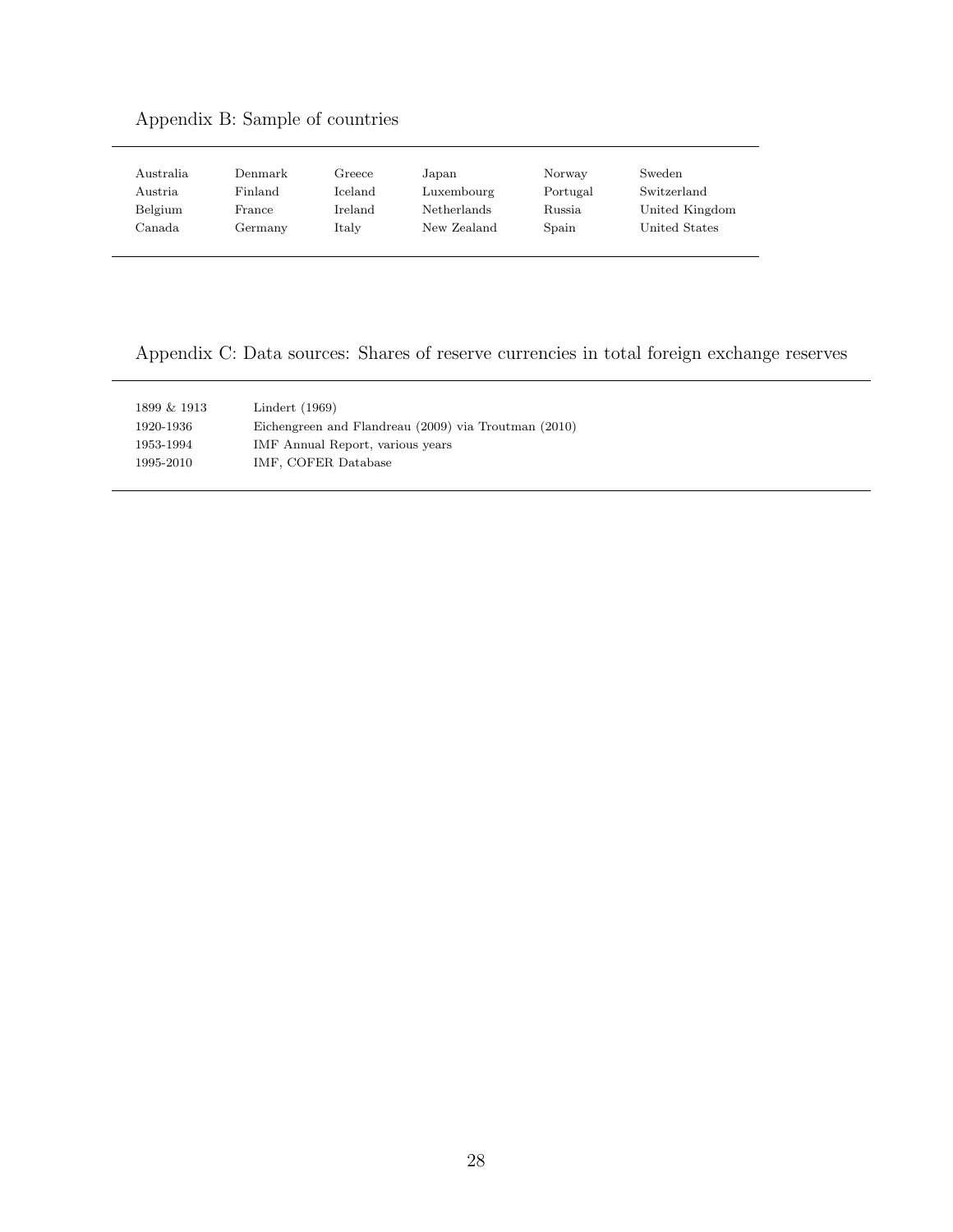### Appendix B: Sample of countries

| Australia | Denmark | Greece         | Japan       | Norway   | Sweden         |
|-----------|---------|----------------|-------------|----------|----------------|
| Austria   | Finland | <b>Iceland</b> | Luxembourg  | Portugal | Switzerland    |
| Belgium   | France  | Ireland        | Netherlands | Russia   | United Kingdom |
| Canada    | Germany | Italy          | New Zealand | Spain    | United States  |
|           |         |                |             |          |                |

Appendix C: Data sources: Shares of reserve currencies in total foreign exchange reserves

| 1899 & 1913 | Lindert $(1969)$                                     |  |
|-------------|------------------------------------------------------|--|
| 1920-1936   | Eichengreen and Flandreau (2009) via Troutman (2010) |  |
| 1953-1994   | IMF Annual Report, various years                     |  |
| 1995-2010   | IMF, COFER Database                                  |  |
|             |                                                      |  |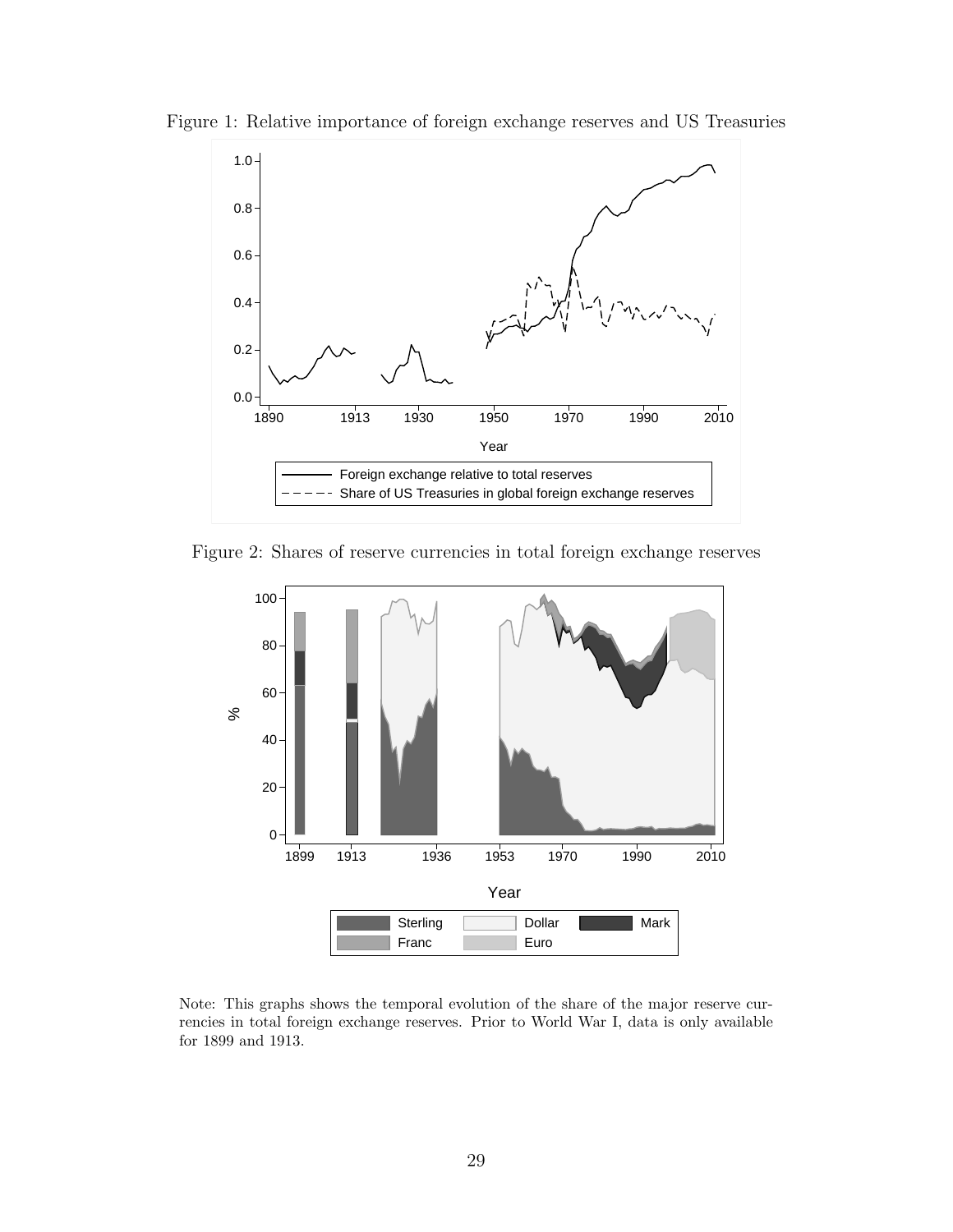

Figure 1: Relative importance of foreign exchange reserves and US Treasuries

Figure 2: Shares of reserve currencies in total foreign exchange reserves



Note: This graphs shows the temporal evolution of the share of the major reserve currencies in total foreign exchange reserves. Prior to World War I, data is only available for 1899 and 1913.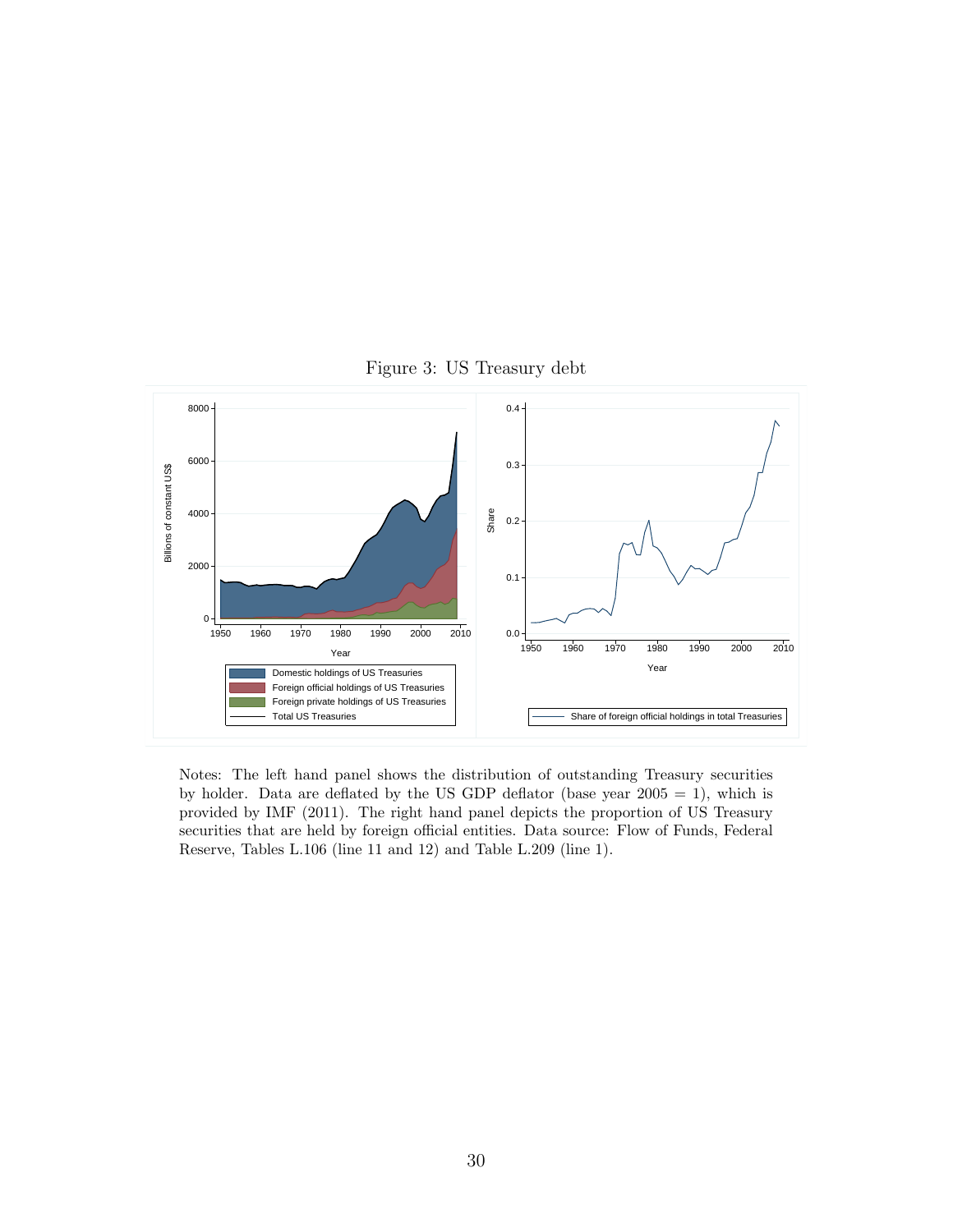

Figure 3: US Treasury debt

Notes: The left hand panel shows the distribution of outstanding Treasury securities by holder. Data are deflated by the US GDP deflator (base year  $2005 = 1$ ), which is provided by IMF (2011). The right hand panel depicts the proportion of US Treasury securities that are held by foreign official entities. Data source: Flow of Funds, Federal Reserve, Tables L.106 (line 11 and 12) and Table L.209 (line 1).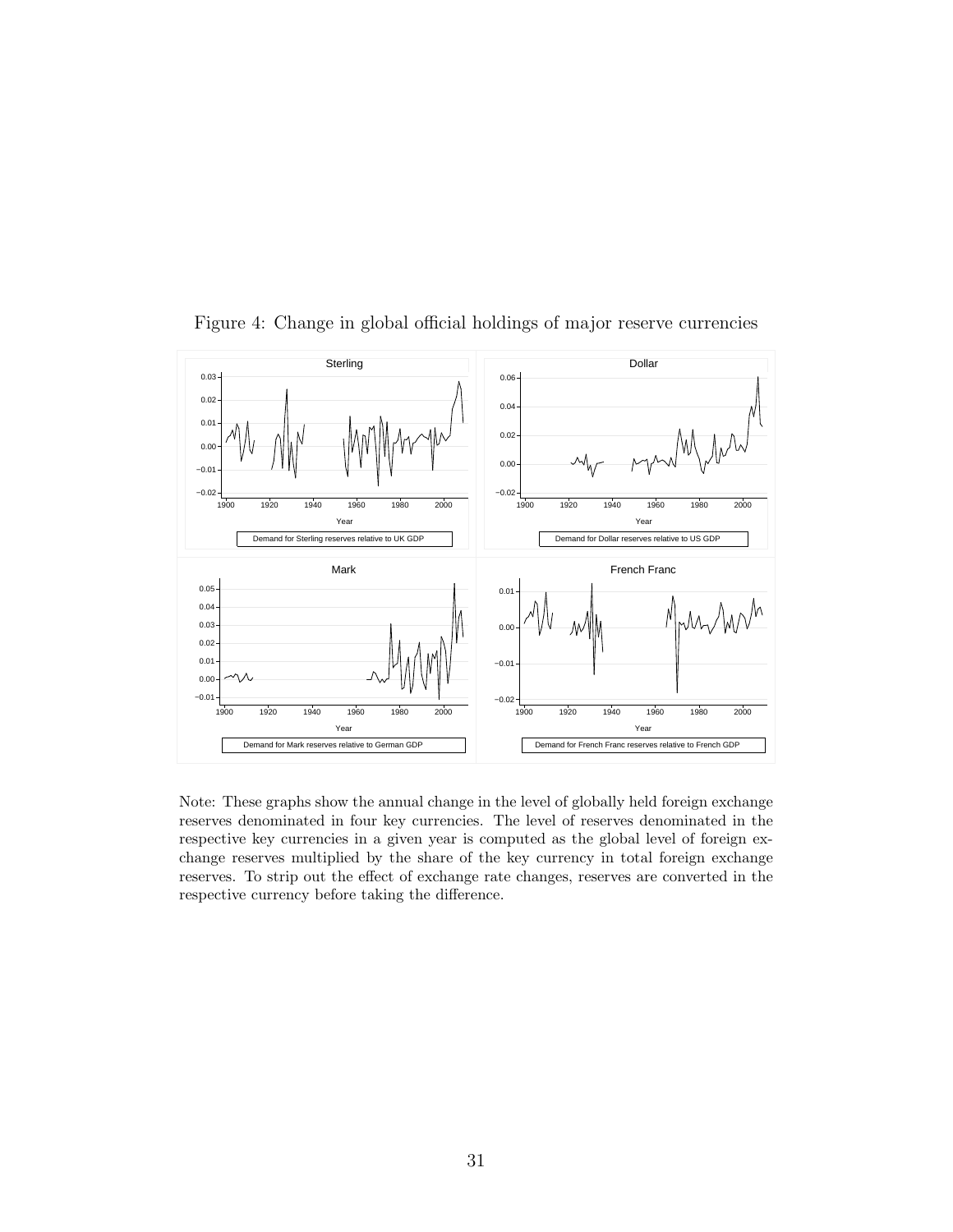

Figure 4: Change in global official holdings of major reserve currencies

Note: These graphs show the annual change in the level of globally held foreign exchange reserves denominated in four key currencies. The level of reserves denominated in the respective key currencies in a given year is computed as the global level of foreign exchange reserves multiplied by the share of the key currency in total foreign exchange reserves. To strip out the effect of exchange rate changes, reserves are converted in the respective currency before taking the difference.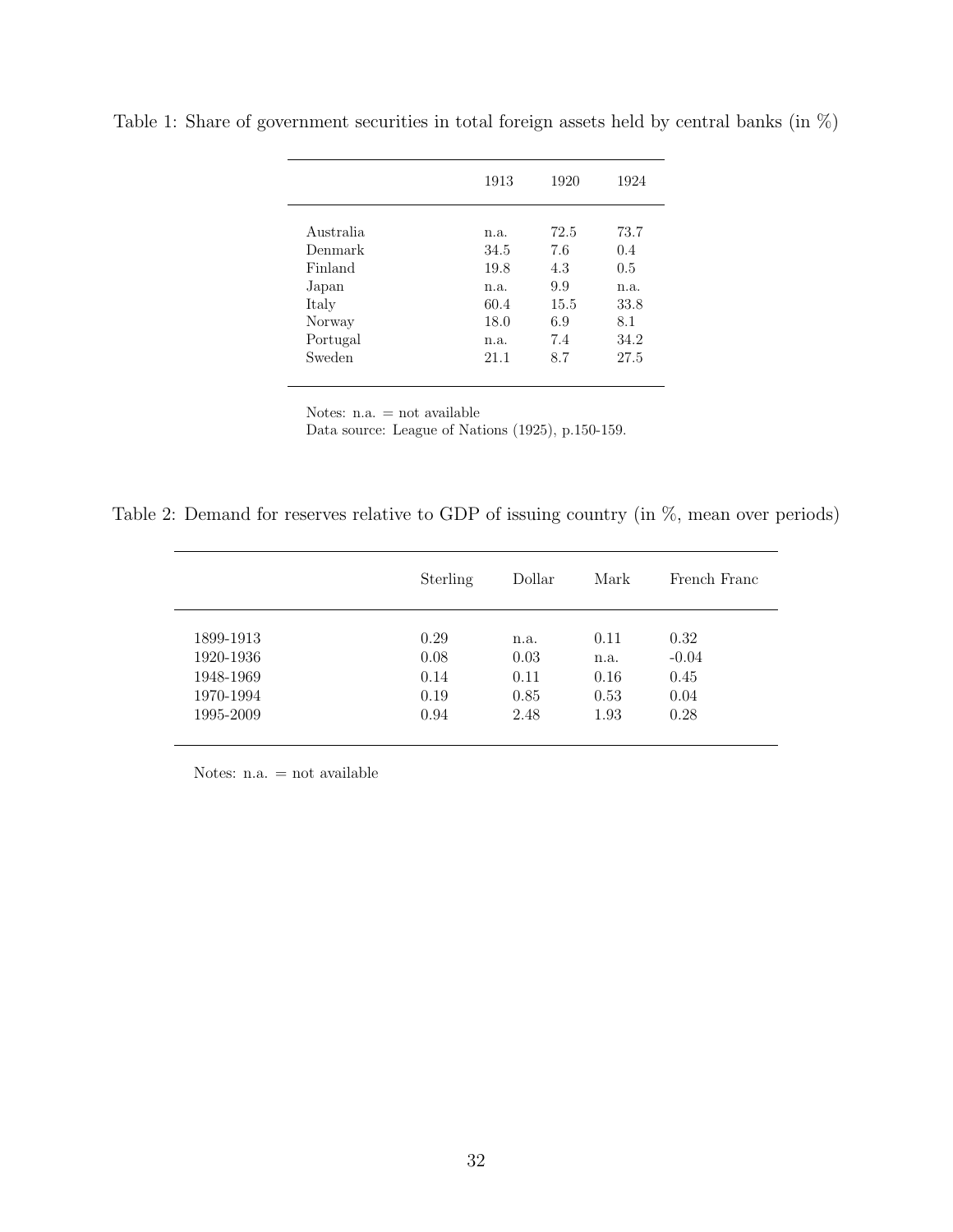|           | 1913 | 1920 | 1924 |
|-----------|------|------|------|
|           |      |      |      |
| Australia | n.a. | 72.5 | 73.7 |
| Denmark   | 34.5 | 7.6  | 0.4  |
| Finland   | 19.8 | 4.3  | 0.5  |
| Japan     | n.a. | 9.9  | n.a. |
| Italy     | 60.4 | 15.5 | 33.8 |
| Norway    | 18.0 | 6.9  | 8.1  |
| Portugal  | n.a. | 7.4  | 34.2 |
| Sweden    | 21.1 | 8.7  | 27.5 |

Table 1: Share of government securities in total foreign assets held by central banks (in  $\%$ )

Notes: n.a. = not available

Data source: League of Nations (1925), p.150-159.

Table 2: Demand for reserves relative to GDP of issuing country (in %, mean over periods)

|           | Sterling | Dollar | Mark | French Franc |
|-----------|----------|--------|------|--------------|
| 1899-1913 | 0.29     | n.a.   | 0.11 | 0.32         |
| 1920-1936 | 0.08     | 0.03   | n.a. | $-0.04$      |
| 1948-1969 | 0.14     | 0.11   | 0.16 | 0.45         |
| 1970-1994 | 0.19     | 0.85   | 0.53 | 0.04         |
| 1995-2009 | 0.94     | 2.48   | 1.93 | 0.28         |

Notes: n.a. = not available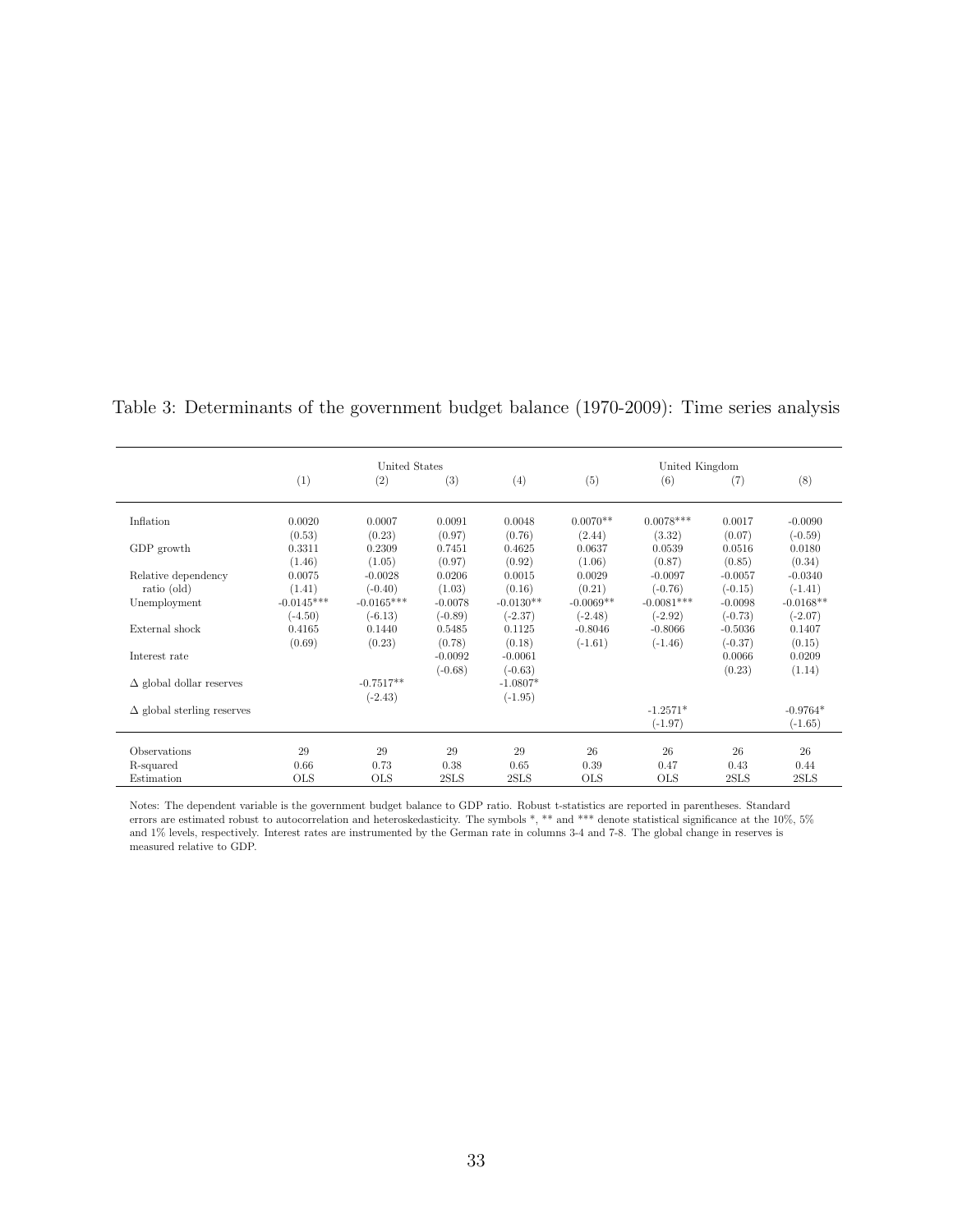|                                   |              | United States |           |             |             | United Kingdom |           |             |
|-----------------------------------|--------------|---------------|-----------|-------------|-------------|----------------|-----------|-------------|
|                                   | (1)          | (2)           | (3)       | (4)         | (5)         | (6)            | (7)       | (8)         |
| Inflation                         | 0.0020       | 0.0007        | 0.0091    | 0.0048      | $0.0070**$  | $0.0078***$    | 0.0017    | $-0.0090$   |
|                                   | (0.53)       | (0.23)        | (0.97)    | (0.76)      | (2.44)      | (3.32)         | (0.07)    | $(-0.59)$   |
| GDP growth                        | 0.3311       | 0.2309        | 0.7451    | 0.4625      | 0.0637      | 0.0539         | 0.0516    | 0.0180      |
|                                   | (1.46)       | (1.05)        | (0.97)    | (0.92)      | (1.06)      | (0.87)         | (0.85)    | (0.34)      |
| Relative dependency               | 0.0075       | $-0.0028$     | 0.0206    | 0.0015      | 0.0029      | $-0.0097$      | $-0.0057$ | $-0.0340$   |
| ratio (old)                       | (1.41)       | $(-0.40)$     | (1.03)    | (0.16)      | (0.21)      | $(-0.76)$      | $(-0.15)$ | $(-1.41)$   |
| Unemployment                      | $-0.0145***$ | $-0.0165***$  | $-0.0078$ | $-0.0130**$ | $-0.0069**$ | $-0.0081***$   | $-0.0098$ | $-0.0168**$ |
|                                   | $(-4.50)$    | $(-6.13)$     | $(-0.89)$ | $(-2.37)$   | $(-2.48)$   | $(-2.92)$      | $(-0.73)$ | $(-2.07)$   |
| External shock                    | 0.4165       | 0.1440        | 0.5485    | 0.1125      | $-0.8046$   | $-0.8066$      | $-0.5036$ | 0.1407      |
|                                   | (0.69)       | (0.23)        | (0.78)    | (0.18)      | $(-1.61)$   | $(-1.46)$      | $(-0.37)$ | (0.15)      |
| Interest rate                     |              |               | $-0.0092$ | $-0.0061$   |             |                | 0.0066    | 0.0209      |
|                                   |              |               | $(-0.68)$ | $(-0.63)$   |             |                | (0.23)    | (1.14)      |
| $\Delta$ global dollar reserves   |              | $-0.7517**$   |           | $-1.0807*$  |             |                |           |             |
|                                   |              | $(-2.43)$     |           | $(-1.95)$   |             |                |           |             |
| $\Delta$ global sterling reserves |              |               |           |             |             | $-1.2571*$     |           | $-0.9764*$  |
|                                   |              |               |           |             |             | $(-1.97)$      |           | $(-1.65)$   |
| Observations                      | 29           | 29            | 29        | 29          | 26          | 26             | 26        | 26          |
| R-squared                         | 0.66         | 0.73          | 0.38      | 0.65        | 0.39        | 0.47           | 0.43      | 0.44        |
| Estimation                        | <b>OLS</b>   | <b>OLS</b>    | 2SLS      | 2SLS        | <b>OLS</b>  | <b>OLS</b>     | 2SLS      | 2SLS        |

Table 3: Determinants of the government budget balance (1970-2009): Time series analysis

Notes: The dependent variable is the government budget balance to GDP ratio. Robust t-statistics are reported in parentheses. Standard errors are estimated robust to autocorrelation and heteroskedasticity. The symbols \*, \*\* and \*\*\* denote statistical significance at the 10%, 5% and 1% levels, respectively. Interest rates are instrumented by the German rate in columns 3-4 and 7-8. The global change in reserves is and 1% levels, respectively. Interest rates are instrumented by the German rate in co measured relative to GDP.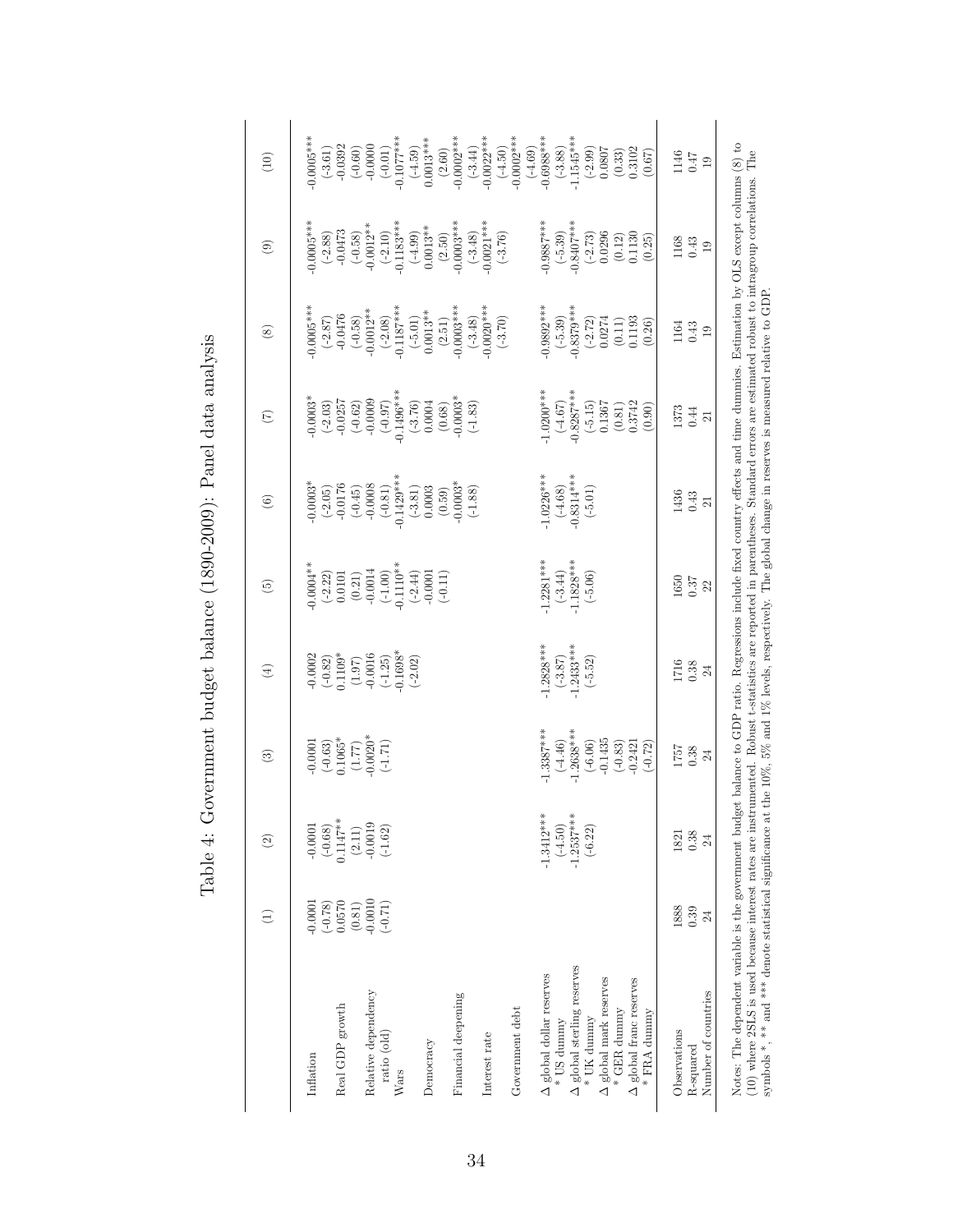| $-0.0001$<br>$(-0.78)$<br>Inflation                  | $\widehat{\infty}$        | $\widehat{\mathbf{c}}$                                                                          | $\bigoplus$                                                                                               | $\widehat{\mathfrak{G}}$                                                                                    | $\widehat{\odot}$                                                                                                   | $\widehat{C}$                                                                                          | $\circledast$                                                                                                                                                                              | $\circledcirc$                                                                                                                                                                                                                                                                                  | (10)                                                                      |
|------------------------------------------------------|---------------------------|-------------------------------------------------------------------------------------------------|-----------------------------------------------------------------------------------------------------------|-------------------------------------------------------------------------------------------------------------|---------------------------------------------------------------------------------------------------------------------|--------------------------------------------------------------------------------------------------------|--------------------------------------------------------------------------------------------------------------------------------------------------------------------------------------------|-------------------------------------------------------------------------------------------------------------------------------------------------------------------------------------------------------------------------------------------------------------------------------------------------|---------------------------------------------------------------------------|
|                                                      | 0.0001                    |                                                                                                 |                                                                                                           | $0.0004**$                                                                                                  |                                                                                                                     |                                                                                                        | $0.0005***$                                                                                                                                                                                | $0.0005***$                                                                                                                                                                                                                                                                                     | $0.0005***$                                                               |
| 0.0570<br>Real GDP growth                            | $0.1147**$<br>$(-0.68)$   |                                                                                                 |                                                                                                           |                                                                                                             |                                                                                                                     |                                                                                                        |                                                                                                                                                                                            |                                                                                                                                                                                                                                                                                                 |                                                                           |
| $(0.81)$<br>$-0.0010$<br>Relative dependency         | $(2.11)$<br>-0.0019       | $\begin{array}{c} -0.0001 \\ (-0.63) \\ 0.1065^* \\ (1.77) \\ -0.0020^* \\ (-1.71) \end{array}$ |                                                                                                           |                                                                                                             |                                                                                                                     |                                                                                                        |                                                                                                                                                                                            |                                                                                                                                                                                                                                                                                                 |                                                                           |
| $(-0.71)$<br>ratio (old)<br>Wars                     | $(-1.62)$                 |                                                                                                 | $\begin{array}{c} -0.0002 \\ (-0.82) \\ 0.1109^* \\ (1.97) \\ -0.0016 \\ (-1.25) \\ -0.058^* \end{array}$ | $\begin{array}{c} (-2.22) \\ 0.0101 \\ (0.21) \\ (0.31) \\ -0.0014 \\ (-1.00) \\ -0.10^{**} \\ \end{array}$ | $-0.0003$ *<br>$(-2.05)$<br>$-0.176$<br>$-0.176$<br>$-0.0176$<br>$-0.0008$<br>$-0.0008$<br>$-0.31$<br>$-0.1429$ *** | $-0.0003*$<br>$(-2.03)$<br>$-0.0257$<br>$(-0.62)$<br>$-0.0000$<br>$-0.0000$<br>$-0.0000$<br>$-0.0000*$ | $\begin{array}{l} (-2.87) \\ -0.0476 \\ -0.012^{**} \\ -0.012^{**} \\ -0.187^{**} \\ -0.1187^{**} \\ -0.137^{**} \\ -0.003^{**} \\ -0.003^{**} \\ (-3.48) \\ -0.0003^{***} \\ \end{array}$ | $\begin{array}{c} \textbf{(-2.88)} \\ \textbf{-0.0473} \\ \textbf{-0.012}^{\ast} \\ \textbf{-0.012}^{\ast} \\ \textbf{-0.012}^{\ast} \\ \textbf{-0.012}^{\ast} \\ \textbf{-0.013}^{\ast} \\ \textbf{-0.183}^{\ast\ast} \\ \textbf{-0.133}^{\ast\ast} \\ \textbf{-0.133}^{\ast\ast} \end{array}$ | $(-3.61)$<br>$-0.0392$<br>$(-0.60)$<br>$-0.0000$<br>$-0.001$<br>$(-0.01)$ |
|                                                      |                           |                                                                                                 | $(-2.02)$                                                                                                 | $\begin{array}{c} (+2.44) \\ +0.0001 \\ (-0.11) \end{array}$                                                |                                                                                                                     |                                                                                                        |                                                                                                                                                                                            |                                                                                                                                                                                                                                                                                                 | $0.0013***$<br>$(-4.59)$                                                  |
| Democracy                                            |                           |                                                                                                 |                                                                                                           |                                                                                                             | $\begin{array}{c} (-3.81) \\ 0.0003 \\ (0.59) \\ -0.0003^* \\ (-1.88) \end{array}$                                  | $\begin{array}{c} (-3.76) \\ 0.0004 \\ (0.68) \\ 0.0003^{*} \\ (-1.83) \end{array}$                    |                                                                                                                                                                                            | $(2.50)$<br>0.0003***                                                                                                                                                                                                                                                                           | $(2.60)$<br>-0.0002***                                                    |
| Financial deepening                                  |                           |                                                                                                 |                                                                                                           |                                                                                                             |                                                                                                                     |                                                                                                        |                                                                                                                                                                                            |                                                                                                                                                                                                                                                                                                 |                                                                           |
| Interest rate                                        |                           |                                                                                                 |                                                                                                           |                                                                                                             |                                                                                                                     |                                                                                                        |                                                                                                                                                                                            | $\begin{array}{c} (-3.48) \\ 0.0021*** \end{array}$                                                                                                                                                                                                                                             | $\begin{array}{c} (-3.44) \\ -0.0022*** \end{array}$                      |
|                                                      |                           |                                                                                                 |                                                                                                           |                                                                                                             |                                                                                                                     |                                                                                                        | $(-3.70)$                                                                                                                                                                                  | $(-3.76)$                                                                                                                                                                                                                                                                                       | $(4.50)$<br>-0.0002***                                                    |
| Government debt                                      |                           |                                                                                                 |                                                                                                           |                                                                                                             |                                                                                                                     |                                                                                                        |                                                                                                                                                                                            |                                                                                                                                                                                                                                                                                                 |                                                                           |
| $\Delta$ global dollar reserves                      | $-1.3412**$               | $1.3387***$                                                                                     | $1.2828***$                                                                                               | $-1.2281***$                                                                                                | $1.0226***$                                                                                                         | $4.0200$ ***                                                                                           | $0.9892***$                                                                                                                                                                                | $0.9887***$                                                                                                                                                                                                                                                                                     | $(4.69)$<br>-0.6988***                                                    |
| * US dummy                                           | $(-4.50)$                 | $(-4.46)$<br>-1.2638***                                                                         | $(-3.87)$<br>-1.2433***                                                                                   | $(-3.44)$<br>-1.1828***                                                                                     | $(-4.68)$<br>-0.8314***                                                                                             | $-0.8287***$                                                                                           | $(-5.39)$<br>-0.8379***                                                                                                                                                                    | $(-5.39)$<br>-0.8407***                                                                                                                                                                                                                                                                         | $(-3.88)$<br>-1.1545***                                                   |
| $\Delta$ global sterling reserves<br>$\ast$ UK dummy | $-1.2537***$<br>$(-6.22)$ |                                                                                                 | $(-5.52)$                                                                                                 | $(-5.06)$                                                                                                   | $(-5.01)$                                                                                                           |                                                                                                        |                                                                                                                                                                                            |                                                                                                                                                                                                                                                                                                 |                                                                           |
| $\Delta$ global mark reserves                        |                           | $\begin{array}{c} (-6.06) \\[-4pt] (-0.1435 \\[-4pt] (-0.83) \\[-4pt] -0.2421 \end{array}$      |                                                                                                           |                                                                                                             |                                                                                                                     | $\begin{array}{c} (-5.15) \\ 0.1367 \\ 0.0.81) \\ 0.3742 \end{array}$                                  | $\begin{array}{c} ( -2.72)\\ 0.0274\\ 0.11)\\ 0.11)\\ 0.1193 \end{array}$                                                                                                                  | $(-2.73)$<br>0.0296                                                                                                                                                                                                                                                                             | $(-2.99)$<br>0.0807                                                       |
| $*$ GER dunmy                                        |                           |                                                                                                 |                                                                                                           |                                                                                                             |                                                                                                                     |                                                                                                        |                                                                                                                                                                                            | $(0.12)$<br>0.1130                                                                                                                                                                                                                                                                              | $(0.33)$<br>$0.3102$                                                      |
| $\Delta$ global franc reserves                       |                           |                                                                                                 |                                                                                                           |                                                                                                             |                                                                                                                     |                                                                                                        |                                                                                                                                                                                            |                                                                                                                                                                                                                                                                                                 |                                                                           |
| * FRA dummy                                          |                           | $(-0.72)$                                                                                       |                                                                                                           |                                                                                                             |                                                                                                                     | (0.90)                                                                                                 | (0.26)                                                                                                                                                                                     | (0.25)                                                                                                                                                                                                                                                                                          | (0.67)                                                                    |
| 1888<br>Observations                                 | 1821                      | 1757                                                                                            | 1716                                                                                                      | 1650                                                                                                        | 1436                                                                                                                | 1373                                                                                                   | 1164                                                                                                                                                                                       | 1168                                                                                                                                                                                                                                                                                            | 1146                                                                      |
| 0.39<br>R-squared                                    | 0.38                      | 0.38                                                                                            | $0.38\,$                                                                                                  | $\begin{array}{c} 0.37 \\ 22 \end{array}$                                                                   | $\!0.43$                                                                                                            | $0.44\,$                                                                                               | $\!0.43$                                                                                                                                                                                   | $\!0.43$                                                                                                                                                                                                                                                                                        | 7F                                                                        |
| $\overline{24}$<br>Number of countries               | 24                        | 24                                                                                              | $\overline{24}$                                                                                           |                                                                                                             | $\overline{21}$                                                                                                     | $\overline{21}$                                                                                        | $\overline{19}$                                                                                                                                                                            | $\overline{19}$                                                                                                                                                                                                                                                                                 | 19                                                                        |

Table 4: Government budget balance (1890-2009): Panel data analysis Table 4: Government budget balance (1890-2009): Panel data analysis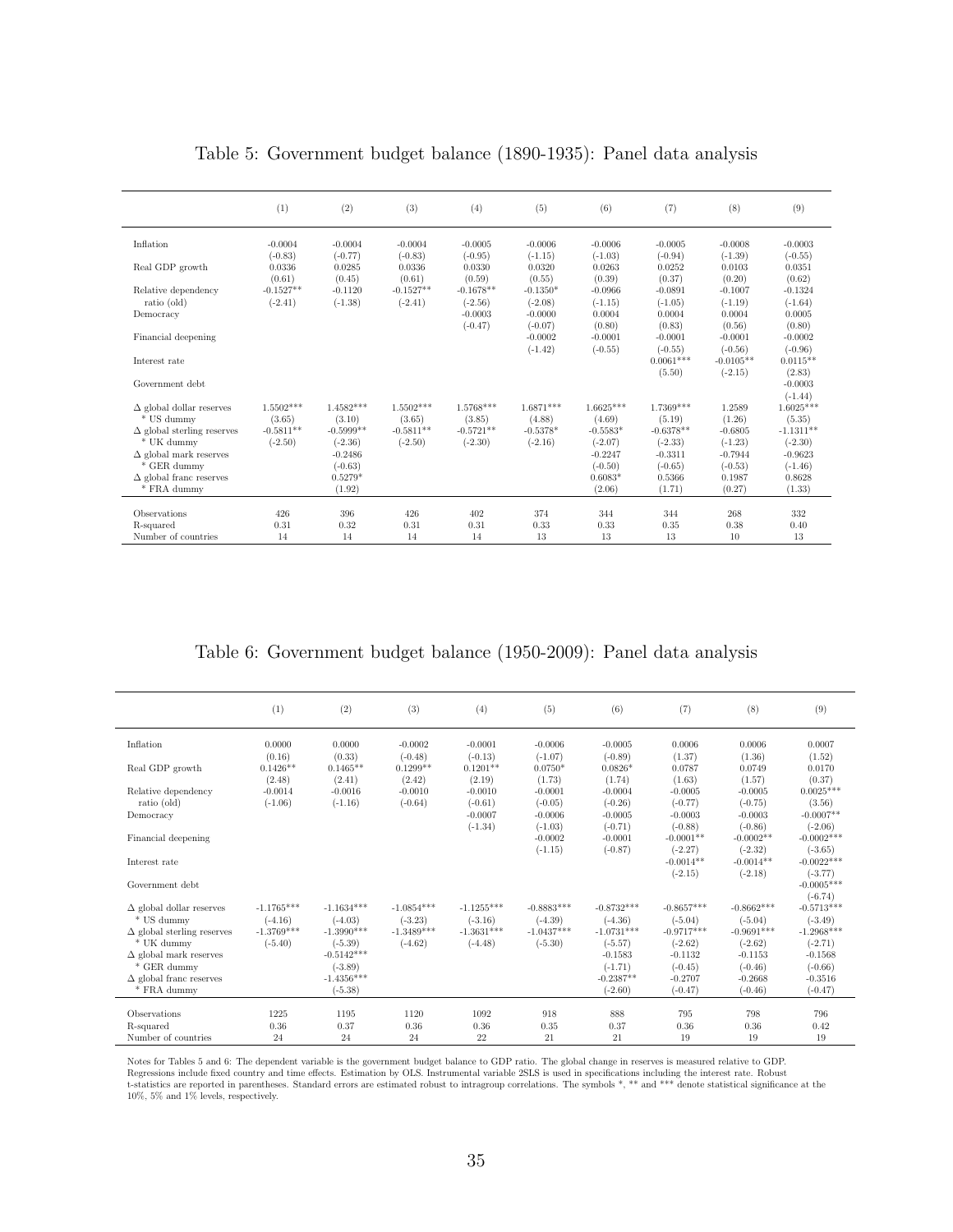|                                             | (1)                 | (2)                    | (3)                 | (4)                    | (5)                    | (6)                    | (7)                    | (8)                    | (9)                    |
|---------------------------------------------|---------------------|------------------------|---------------------|------------------------|------------------------|------------------------|------------------------|------------------------|------------------------|
| Inflation                                   | $-0.0004$           | $-0.0004$              | $-0.0004$           | $-0.0005$              | $-0.0006$              | $-0.0006$              | $-0.0005$              | $-0.0008$              | $-0.0003$              |
| Real GDP growth                             | $(-0.83)$<br>0.0336 | $(-0.77)$<br>0.0285    | $(-0.83)$<br>0.0336 | $(-0.95)$<br>0.0330    | $(-1.15)$<br>0.0320    | $(-1.03)$<br>0.0263    | $(-0.94)$<br>0.0252    | $(-1.39)$<br>0.0103    | $(-0.55)$<br>0.0351    |
|                                             | (0.61)              | (0.45)                 | (0.61)              | (0.59)                 | (0.55)                 | (0.39)                 | (0.37)                 | (0.20)                 | (0.62)                 |
| Relative dependency                         | $-0.1527**$         | $-0.1120$              | $-0.1527**$         | $-0.1678**$            | $-0.1350*$             | $-0.0966$              | $-0.0891$              | $-0.1007$              | $-0.1324$              |
| ratio (old)                                 | $(-2.41)$           | $(-1.38)$              | $(-2.41)$           | $(-2.56)$              | $(-2.08)$              | $(-1.15)$              | $(-1.05)$              | $(-1.19)$              | $(-1.64)$              |
| Democracy                                   |                     |                        |                     | $-0.0003$<br>$(-0.47)$ | $-0.0000$<br>$(-0.07)$ | 0.0004<br>(0.80)       | 0.0004<br>(0.83)       | 0.0004<br>(0.56)       | 0.0005<br>(0.80)       |
| Financial deepening                         |                     |                        |                     |                        | $-0.0002$              | $-0.0001$              | $-0.0001$              | $-0.0001$              | $-0.0002$              |
|                                             |                     |                        |                     |                        | $(-1.42)$              | $(-0.55)$              | $(-0.55)$              | $(-0.56)$              | $(-0.96)$              |
| Interest rate                               |                     |                        |                     |                        |                        |                        | $0.0061***$            | $-0.0105**$            | $0.0115**$             |
| Government debt                             |                     |                        |                     |                        |                        |                        | (5.50)                 | $(-2.15)$              | (2.83)<br>$-0.0003$    |
|                                             |                     |                        |                     |                        |                        |                        |                        |                        | $(-1.44)$              |
| $\Delta$ global dollar reserves             | $1.5502***$         | $1.4582***$            | $1.5502***$         | 1.5768***              | $1.6871***$            | $1.6625***$            | 1.7369***              | 1.2589                 | $1.6025***$            |
| * US dummy                                  | (3.65)              | (3.10)                 | (3.65)              | (3.85)                 | (4.88)                 | (4.69)                 | (5.19)                 | (1.26)                 | (5.35)                 |
| $\Delta$ global sterling reserves           | $-0.5811**$         | $-0.5999**$            | $-0.5811**$         | $-0.5721**$            | $-0.5378*$             | $-0.5583*$             | $-0.6378**$            | $-0.6805$              | $-1.1311**$            |
| * UK dummy<br>$\Delta$ global mark reserves | $(-2.50)$           | $(-2.36)$<br>$-0.2486$ | $(-2.50)$           | $(-2.30)$              | $(-2.16)$              | $(-2.07)$<br>$-0.2247$ | $(-2.33)$<br>$-0.3311$ | $(-1.23)$<br>$-0.7944$ | $(-2.30)$<br>$-0.9623$ |
| $*$ GER dummy                               |                     | $(-0.63)$              |                     |                        |                        | $(-0.50)$              | $(-0.65)$              | $(-0.53)$              | $(-1.46)$              |
| $\Delta$ global franc reserves              |                     | $0.5279*$              |                     |                        |                        | $0.6083*$              | 0.5366                 | 0.1987                 | 0.8628                 |
| * FRA dummy                                 |                     | (1.92)                 |                     |                        |                        | (2.06)                 | (1.71)                 | (0.27)                 | (1.33)                 |
|                                             |                     |                        |                     |                        |                        |                        |                        |                        |                        |
| Observations<br>R-squared                   | 426<br>0.31         | 396<br>0.32            | 426<br>0.31         | 402<br>0.31            | 374<br>0.33            | 344<br>0.33            | 344<br>0.35            | 268<br>0.38            | 332<br>0.40            |
| Number of countries                         | 14                  | 14                     | 14                  | 14                     | 13                     | 13                     | 13                     | 10                     | 13                     |

#### Table 5: Government budget balance (1890-1935): Panel data analysis

Table 6: Government budget balance (1950-2009): Panel data analysis

|                                                 | (1)                       | (2)                       | (3)                       | (4)                       | (5)                       | (6)                       | (7)                       | (8)                       | (9)                       |
|-------------------------------------------------|---------------------------|---------------------------|---------------------------|---------------------------|---------------------------|---------------------------|---------------------------|---------------------------|---------------------------|
| Inflation                                       | 0.0000                    | 0.0000                    | $-0.0002$                 | $-0.0001$                 | $-0.0006$                 | $-0.0005$                 | 0.0006                    | 0.0006                    | 0.0007                    |
| Real GDP growth                                 | (0.16)<br>$0.1426**$      | (0.33)<br>$0.1465**$      | $(-0.48)$<br>$0.1299**$   | $(-0.13)$<br>$0.1201**$   | $(-1.07)$<br>$0.0750*$    | $(-0.89)$<br>$0.0826*$    | (1.37)<br>0.0787          | (1.36)<br>0.0749          | (1.52)<br>0.0170          |
|                                                 | (2.48)                    | (2.41)                    | (2.42)                    | (2.19)                    | (1.73)                    | (1.74)                    | (1.63)                    | (1.57)                    | (0.37)                    |
| Relative dependency                             | $-0.0014$                 | $-0.0016$                 | $-0.0010$                 | $-0.0010$                 | $-0.0001$                 | $-0.0004$                 | $-0.0005$                 | $-0.0005$                 | $0.0025***$               |
| ratio (old)                                     | $(-1.06)$                 | $(-1.16)$                 | $(-0.64)$                 | $(-0.61)$                 | $(-0.05)$                 | $(-0.26)$                 | $(-0.77)$                 | $(-0.75)$                 | (3.56)                    |
| Democracy                                       |                           |                           |                           | $-0.0007$                 | $-0.0006$                 | $-0.0005$                 | $-0.0003$                 | $-0.0003$                 | $-0.0007**$               |
|                                                 |                           |                           |                           | $(-1.34)$                 | $(-1.03)$                 | $(-0.71)$                 | $(-0.88)$                 | $(-0.86)$                 | $(-2.06)$<br>$-0.0002***$ |
| Financial deepening                             |                           |                           |                           |                           | $-0.0002$<br>$(-1.15)$    | $-0.0001$<br>$(-0.87)$    | $-0.0001**$<br>$(-2.27)$  | $-0.0002**$<br>$(-2.32)$  | $(-3.65)$                 |
| Interest rate                                   |                           |                           |                           |                           |                           |                           | $-0.0014**$               | $-0.0014**$               | $-0.0022***$              |
|                                                 |                           |                           |                           |                           |                           |                           | $(-2.15)$                 | $(-2.18)$                 | $(-3.77)$                 |
| Government debt                                 |                           |                           |                           |                           |                           |                           |                           |                           | $-0.0005***$              |
|                                                 |                           |                           |                           |                           |                           |                           |                           |                           | $(-6.74)$                 |
| $\Delta$ global dollar reserves                 | $-1.1765***$              | $-1.1634***$              | $-1.0854***$              | $-1.1255***$              | $-0.8883***$              | $-0.8732***$              | $-0.8657***$              | $-0.8662***$              | $-0.5713***$              |
| * US dummy<br>$\Delta$ global sterling reserves | $(-4.16)$<br>$-1.3769***$ | $(-4.03)$<br>$-1.3990***$ | $(-3.23)$<br>$-1.3489***$ | $(-3.16)$<br>$-1.3631***$ | $(-4.39)$<br>$-1.0437***$ | $(-4.36)$<br>$-1.0731***$ | $(-5.04)$<br>$-0.9717***$ | $(-5.04)$<br>$-0.9691***$ | $(-3.49)$<br>$-1.2968***$ |
| $*$ UK dummy                                    | $(-5.40)$                 | $(-5.39)$                 | $(-4.62)$                 | $(-4.48)$                 | $(-5.30)$                 | $(-5.57)$                 | $(-2.62)$                 | $(-2.62)$                 | $(-2.71)$                 |
| $\Delta$ global mark reserves                   |                           | $-0.5142***$              |                           |                           |                           | $-0.1583$                 | $-0.1132$                 | $-0.1153$                 | $-0.1568$                 |
| * GER dummy                                     |                           | $(-3.89)$                 |                           |                           |                           | $(-1.71)$                 | $(-0.45)$                 | $(-0.46)$                 | $(-0.66)$                 |
| $\Delta$ global franc reserves                  |                           | $-1.4356***$              |                           |                           |                           | $-0.2387**$               | $-0.2707$                 | $-0.2668$                 | $-0.3516$                 |
| * FRA dummy                                     |                           | $(-5.38)$                 |                           |                           |                           | $(-2.60)$                 | $(-0.47)$                 | $(-0.46)$                 | $(-0.47)$                 |
| Observations                                    |                           | 1195                      |                           |                           |                           | 888                       | 795                       | 798                       | 796                       |
| R-squared                                       | 1225<br>0.36              | 0.37                      | 1120<br>0.36              | 1092<br>0.36              | 918<br>0.35               | 0.37                      | 0.36                      | 0.36                      | 0.42                      |
| Number of countries                             | 24                        | 24                        | 24                        | 22                        | 21                        | 21                        | 19                        | 19                        | 19                        |

Notes for Tables 5 and 6: The dependent variable is the government budget balance to GDP ratio. The global change in reserves is measured relative to GDP.<br>Regressions include fixed country and time effects. Estimation by O